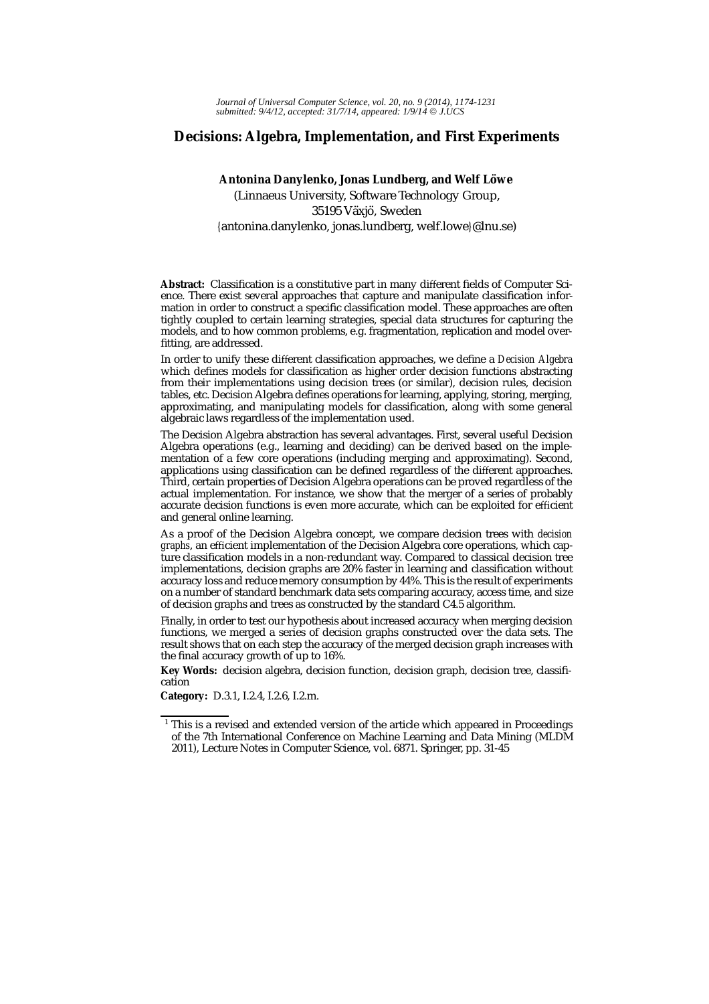# **Decisions: Algebra, Implementation, and First Experiments**

# Antonina Danylenko, Jonas Lundberg, and Welf Löwe (Linnaeus University, Software Technology Group, 35195 Växjö, Sweden {antonina.danylenko, jonas.lundberg, welf.lowe}@lnu.se)

**Abstract:** Classification is a constitutive part in many different fields of Computer Science. There exist several approaches that capture and manipulate classification information in order to construct a specific classification model. These approaches are often tightly coupled to certain learning strategies, special data structures for capturing the models, and to how common problems, e.g. fragmentation, replication and model overfitting, are addressed.

In order to unify these different classification approaches, we define a *Decision Algebra* which defines models for classification as higher order decision functions abstracting from their implementations using decision trees (or similar), decision rules, decision tables, etc. Decision Algebra defines operations for learning, applying, storing, merging, approximating, and manipulating models for classification, along with some general algebraic laws regardless of the implementation used.

The Decision Algebra abstraction has several advantages. First, several useful Decision Algebra operations (e.g., learning and deciding) can be derived based on the implementation of a few core operations (including merging and approximating). Second, applications using classification can be defined regardless of the different approaches. Third, certain properties of Decision Algebra operations can be proved regardless of the actual implementation. For instance, we show that the merger of a series of probably accurate decision functions is even more accurate, which can be exploited for efficient and general online learning.

As a proof of the Decision Algebra concept, we compare decision trees with *decision graphs*, an efficient implementation of the Decision Algebra core operations, which capture classification models in a non-redundant way. Compared to classical decision tree implementations, decision graphs are 20% faster in learning and classification without accuracy loss and reduce memory consumption by 44%. This is the result of experiments on a number of standard benchmark data sets comparing accuracy, access time, and size of decision graphs and trees as constructed by the standard C4.5 algorithm.

Finally, in order to test our hypothesis about increased accuracy when merging decision functions, we merged a series of decision graphs constructed over the data sets. The result shows that on each step the accuracy of the merged decision graph increases with the final accuracy growth of up to 16%.

**Key Words:** decision algebra, decision function, decision graph, decision tree, classification

**Category:** D.3.1, I.2.4, I.2.6, I.2.m.

<sup>&</sup>lt;sup>1</sup> This is a revised and extended version of the article which appeared in Proceedings of the 7th International Conference on Machine Learning and Data Mining (MLDM 2011), Lecture Notes in Computer Science, vol. 6871. Springer, pp. 31-45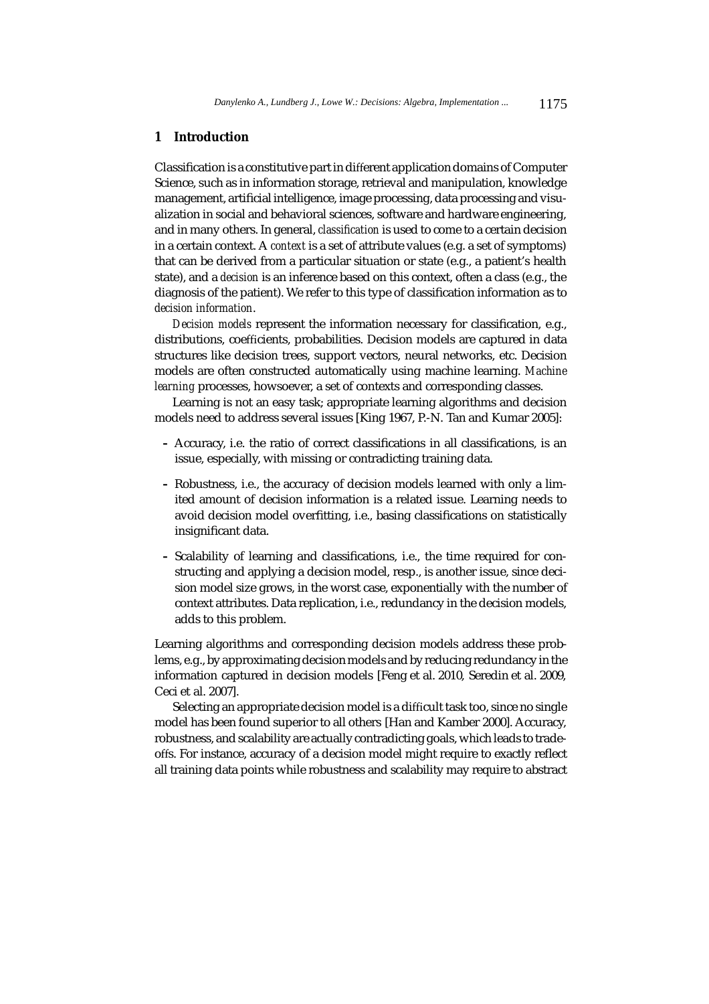# **1 Introduction**

Classification is a constitutive part in different application domains of Computer Science, such as in information storage, retrieval and manipulation, knowledge management, artificial intelligence, image processing, data processing and visualization in social and behavioral sciences, software and hardware engineering, and in many others. In general, *classification* is used to come to a certain decision in a certain context. A *context* is a set of attribute values (e.g. a set of symptoms) that can be derived from a particular situation or state (e.g., a patient's health state), and a *decision* is an inference based on this context, often a class (e.g., the diagnosis of the patient). We refer to this type of classification information as to *decision information*.

*Decision models* represent the information necessary for classification, e.g., distributions, coefficients, probabilities. Decision models are captured in data structures like decision trees, support vectors, neural networks, etc. Decision models are often constructed automatically using machine learning. *Machine learning* processes, howsoever, a set of contexts and corresponding classes.

Learning is not an easy task; appropriate learning algorithms and decision models need to address several issues [King 1967, P.-N. Tan and Kumar 2005]:

- **–** Accuracy, i.e. the ratio of correct classifications in all classifications, is an issue, especially, with missing or contradicting training data.
- **–** Robustness, i.e., the accuracy of decision models learned with only a limited amount of decision information is a related issue. Learning needs to avoid decision model overfitting, i.e., basing classifications on statistically insignificant data.
- **–** Scalability of learning and classifications, i.e., the time required for constructing and applying a decision model, resp., is another issue, since decision model size grows, in the worst case, exponentially with the number of context attributes. Data replication, i.e., redundancy in the decision models, adds to this problem.

Learning algorithms and corresponding decision models address these problems, e.g., by approximating decision models and by reducing redundancy in the information captured in decision models [Feng et al. 2010, Seredin et al. 2009, Ceci et al. 2007].

Selecting an appropriate decision model is a difficult task too, since no single model has been found superior to all others [Han and Kamber 2000]. Accuracy, robustness, and scalability are actually contradicting goals, which leads to tradeoffs. For instance, accuracy of a decision model might require to exactly reflect all training data points while robustness and scalability may require to abstract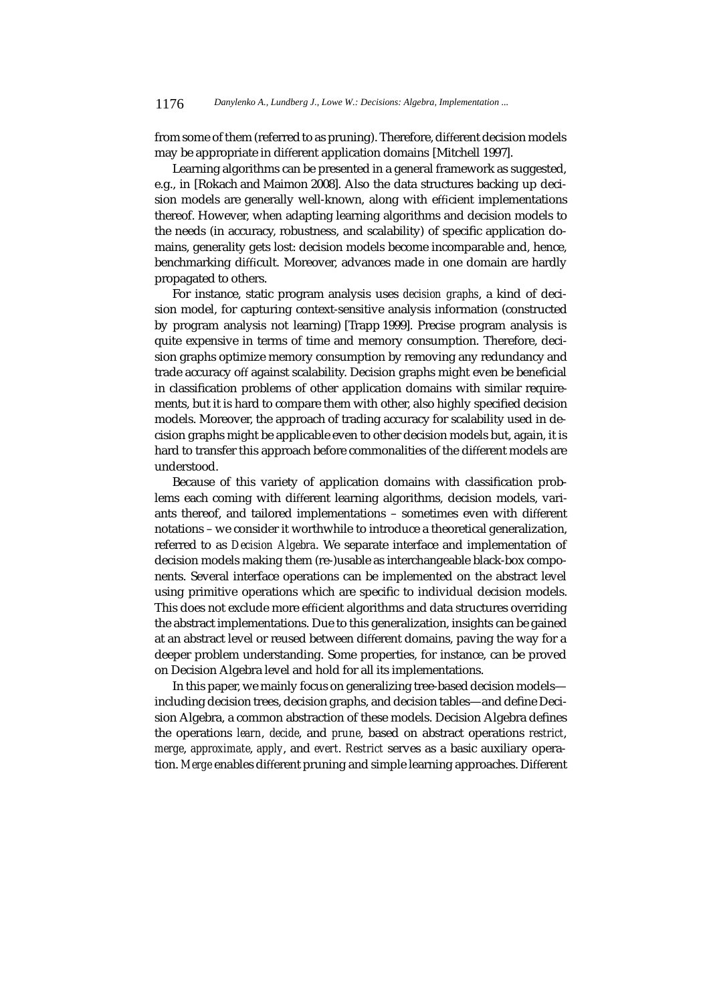from some of them (referred to as pruning). Therefore, different decision models may be appropriate in different application domains [Mitchell 1997].

Learning algorithms can be presented in a general framework as suggested, e.g., in [Rokach and Maimon 2008]. Also the data structures backing up decision models are generally well-known, along with efficient implementations thereof. However, when adapting learning algorithms and decision models to the needs (in accuracy, robustness, and scalability) of specific application domains, generality gets lost: decision models become incomparable and, hence, benchmarking difficult. Moreover, advances made in one domain are hardly propagated to others.

For instance, static program analysis uses *decision graphs*, a kind of decision model, for capturing context-sensitive analysis information (constructed by program analysis not learning) [Trapp 1999]. Precise program analysis is quite expensive in terms of time and memory consumption. Therefore, decision graphs optimize memory consumption by removing any redundancy and trade accuracy off against scalability. Decision graphs might even be beneficial in classification problems of other application domains with similar requirements, but it is hard to compare them with other, also highly specified decision models. Moreover, the approach of trading accuracy for scalability used in decision graphs might be applicable even to other decision models but, again, it is hard to transfer this approach before commonalities of the different models are understood.

Because of this variety of application domains with classification problems each coming with different learning algorithms, decision models, variants thereof, and tailored implementations – sometimes even with different notations – we consider it worthwhile to introduce a theoretical generalization, referred to as *Decision Algebra*. We separate interface and implementation of decision models making them (re-)usable as interchangeable black-box components. Several interface operations can be implemented on the abstract level using primitive operations which are specific to individual decision models. This does not exclude more efficient algorithms and data structures overriding the abstract implementations. Due to this generalization, insights can be gained at an abstract level or reused between different domains, paving the way for a deeper problem understanding. Some properties, for instance, can be proved on Decision Algebra level and hold for all its implementations.

In this paper, we mainly focus on generalizing tree-based decision models including decision trees, decision graphs, and decision tables—and define Decision Algebra, a common abstraction of these models. Decision Algebra defines the operations *learn*, *decide*, and *prune*, based on abstract operations *restrict*, *merge*, *approximate*, *apply*, and *evert*. *Restrict* serves as a basic auxiliary operation. *Merge* enables different pruning and simple learning approaches. Different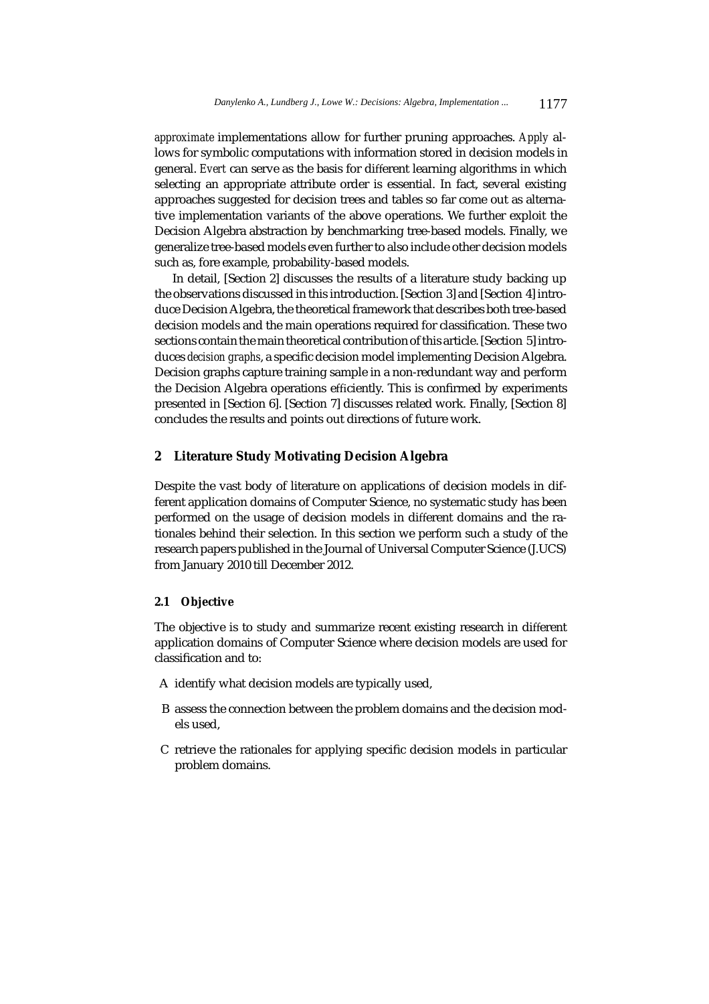*approximate* implementations allow for further pruning approaches. *Apply* allows for symbolic computations with information stored in decision models in general. *Evert* can serve as the basis for different learning algorithms in which selecting an appropriate attribute order is essential. In fact, several existing approaches suggested for decision trees and tables so far come out as alternative implementation variants of the above operations. We further exploit the Decision Algebra abstraction by benchmarking tree-based models. Finally, we generalize tree-based models even further to also include other decision models such as, fore example, probability-based models.

In detail, [Section 2] discusses the results of a literature study backing up the observations discussed in this introduction. [Section 3] and [Section 4] introduce Decision Algebra, the theoretical framework that describes both tree-based decision models and the main operations required for classification. These two sections contain the main theoretical contribution of this article. [Section 5] introduces *decision graphs*, a specific decision model implementing Decision Algebra. Decision graphs capture training sample in a non-redundant way and perform the Decision Algebra operations efficiently. This is confirmed by experiments presented in [Section 6]. [Section 7] discusses related work. Finally, [Section 8] concludes the results and points out directions of future work.

# **2 Literature Study Motivating Decision Algebra**

Despite the vast body of literature on applications of decision models in different application domains of Computer Science, no systematic study has been performed on the usage of decision models in different domains and the rationales behind their selection. In this section we perform such a study of the research papers published in the Journal of Universal Computer Science (J.UCS) from January 2010 till December 2012.

#### **2.1 Objective**

The objective is to study and summarize recent existing research in different application domains of Computer Science where decision models are used for classification and to:

- A identify what decision models are typically used,
- B assess the connection between the problem domains and the decision models used,
- C retrieve the rationales for applying specific decision models in particular problem domains.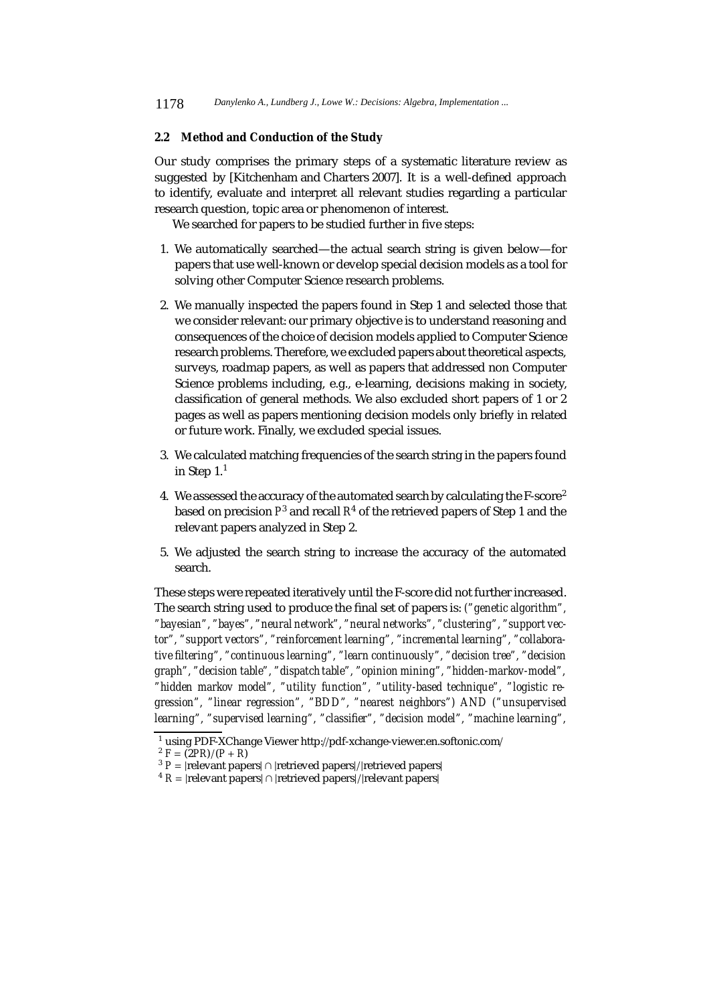# **2.2 Method and Conduction of the Study**

Our study comprises the primary steps of a systematic literature review as suggested by [Kitchenham and Charters 2007]. It is a well-defined approach to identify, evaluate and interpret all relevant studies regarding a particular research question, topic area or phenomenon of interest.

We searched for papers to be studied further in five steps:

- 1. We automatically searched—the actual search string is given below—for papers that use well-known or develop special decision models as a tool for solving other Computer Science research problems.
- 2. We manually inspected the papers found in Step 1 and selected those that we consider relevant: our primary objective is to understand reasoning and consequences of the choice of decision models applied to Computer Science research problems. Therefore, we excluded papers about theoretical aspects, surveys, roadmap papers, as well as papers that addressed non Computer Science problems including, e.g., e-learning, decisions making in society, classification of general methods. We also excluded short papers of 1 or 2 pages as well as papers mentioning decision models only briefly in related or future work. Finally, we excluded special issues.
- 3. We calculated matching frequencies of the search string in the papers found in Step  $1<sup>1</sup>$
- 4. We assessed the accuracy of the automated search by calculating the F-score<sup>2</sup> based on precision *P*<sup>3</sup> and recall *R*<sup>4</sup> of the retrieved papers of Step 1 and the relevant papers analyzed in Step 2.
- 5. We adjusted the search string to increase the accuracy of the automated search.

These steps were repeated iteratively until the F-score did not further increased. The search string used to produce the final set of papers is: *("genetic algorithm", "bayesian", "bayes", "neural network", "neural networks", "clustering", "support vector", "support vectors", "reinforcement learning", "incremental learning", "collaborative filtering", "continuous learning", "learn continuously", "decision tree", "decision graph", "decision table", "dispatch table", "opinion mining", "hidden-markov-model", "hidden markov model", "utility function", "utility-based technique", "logistic regression", "linear regression", "BDD", "nearest neighbors") AND ("unsupervised learning", "supervised learning", "classifier", "decision model", "machine learning",*

<sup>1</sup> using PDF-XChange Viewer http://pdf-xchange-viewer.en.softonic.com/

 $^{2}$  *F* =  $\frac{1}{2}$ *PR*)/(*P* + *R*)

<sup>&</sup>lt;sup>3</sup> *P* = |relevant papers| ∩ |retrieved papers|/|retrieved papers|

 $4 R = |rellevant papers| \cap |retrieved papers|/|relevant papers|$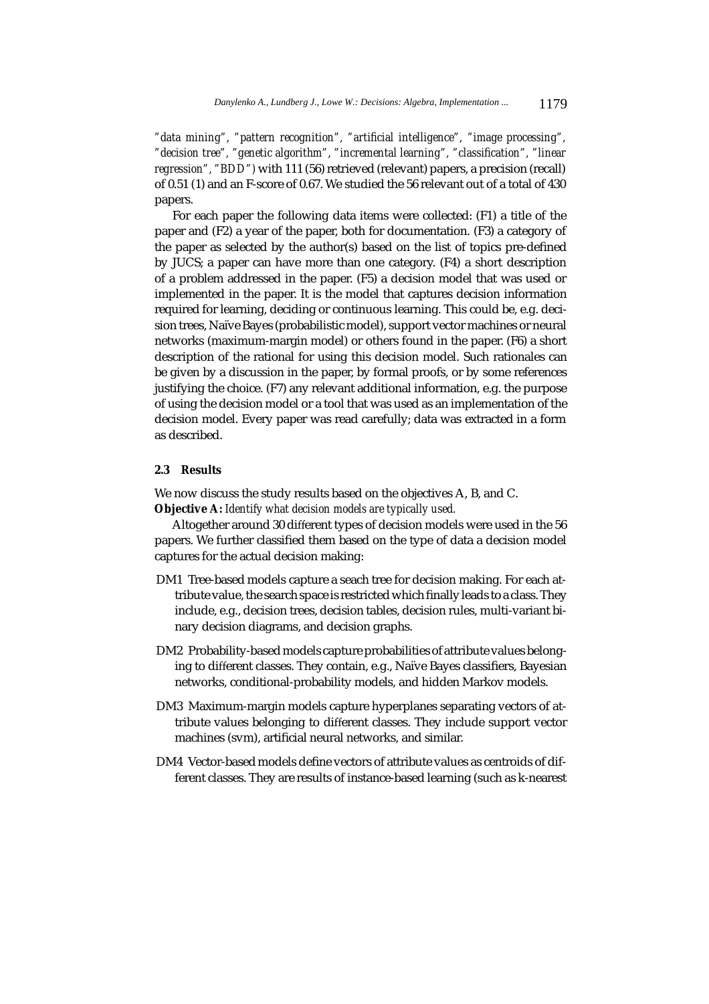*"data mining", "pattern recognition", "artificial intelligence", "image processing", "decision tree", "genetic algorithm", "incremental learning", "classification", "linear regression", "BDD")* with 111 (56) retrieved (relevant) papers, a precision (recall) of 0.51 (1) and an F-score of 0.67. We studied the 56 relevant out of a total of 430 papers.

For each paper the following data items were collected: (F1) a title of the paper and (F2) a year of the paper, both for documentation. (F3) a category of the paper as selected by the author(s) based on the list of topics pre-defined by JUCS; a paper can have more than one category. (F4) a short description of a problem addressed in the paper. (F5) a decision model that was used or implemented in the paper. It is the model that captures decision information required for learning, deciding or continuous learning. This could be, e.g. decision trees, Naïve Bayes (probabilistic model), support vector machines or neural networks (maximum-margin model) or others found in the paper. (F6) a short description of the rational for using this decision model. Such rationales can be given by a discussion in the paper, by formal proofs, or by some references justifying the choice. (F7) any relevant additional information, e.g. the purpose of using the decision model or a tool that was used as an implementation of the decision model. Every paper was read carefully; data was extracted in a form as described.

#### **2.3 Results**

We now discuss the study results based on the objectives A, B, and C. **Objective A:** *Identify what decision models are typically used.*

Altogether around 30 different types of decision models were used in the 56 papers. We further classified them based on the type of data a decision model captures for the actual decision making:

- DM1 Tree-based models capture a seach tree for decision making. For each attribute value, the search space is restricted which finally leads to a class. They include, e.g., decision trees, decision tables, decision rules, multi-variant binary decision diagrams, and decision graphs.
- DM2 Probability-based models capture probabilities of attribute values belonging to different classes. They contain, e.g., Naïve Bayes classifiers, Bayesian networks, conditional-probability models, and hidden Markov models.
- DM3 Maximum-margin models capture hyperplanes separating vectors of attribute values belonging to different classes. They include support vector machines (svm), artificial neural networks, and similar.
- DM4 Vector-based models define vectors of attribute values as centroids of different classes. They are results of instance-based learning (such as k-nearest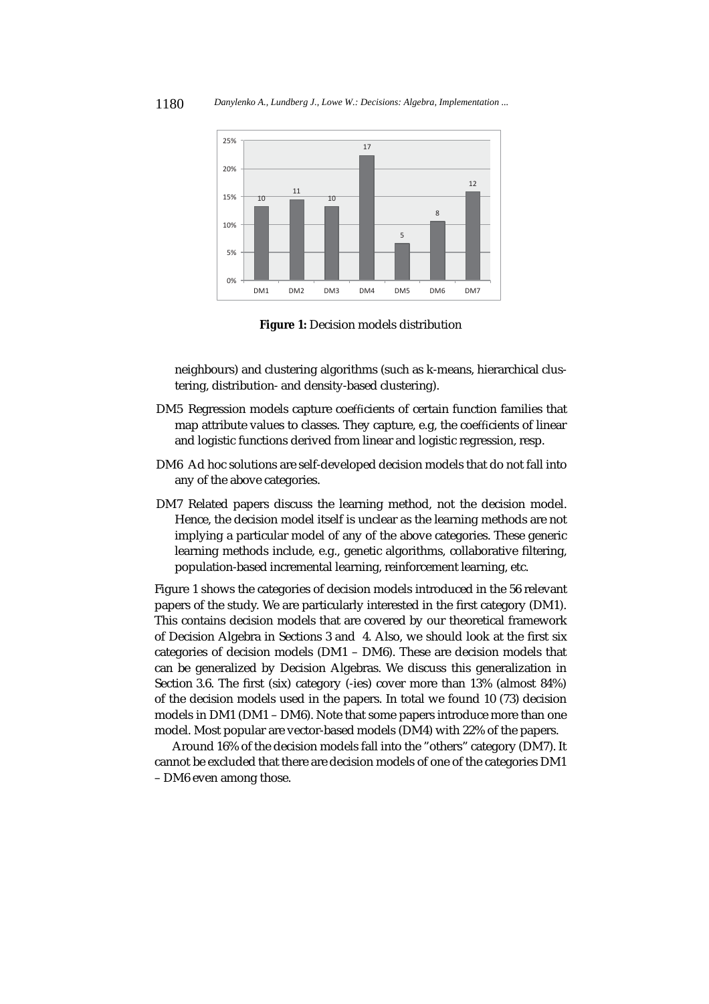

**Figure 1:** Decision models distribution

neighbours) and clustering algorithms (such as k-means, hierarchical clustering, distribution- and density-based clustering).

- DM5 Regression models capture coefficients of certain function families that map attribute values to classes. They capture, e.g, the coefficients of linear and logistic functions derived from linear and logistic regression, resp.
- DM6 Ad hoc solutions are self-developed decision models that do not fall into any of the above categories.
- DM7 Related papers discuss the learning method, not the decision model. Hence, the decision model itself is unclear as the learning methods are not implying a particular model of any of the above categories. These generic learning methods include, e.g., genetic algorithms, collaborative filtering, population-based incremental learning, reinforcement learning, etc.

Figure 1 shows the categories of decision models introduced in the 56 relevant papers of the study. We are particularly interested in the first category (DM1). This contains decision models that are covered by our theoretical framework of Decision Algebra in Sections 3 and 4. Also, we should look at the first six categories of decision models (DM1 – DM6). These are decision models that can be generalized by Decision Algebras. We discuss this generalization in Section 3.6. The first (six) category (-ies) cover more than 13% (almost 84%) of the decision models used in the papers. In total we found 10 (73) decision models in DM1 (DM1 – DM6). Note that some papers introduce more than one model. Most popular are vector-based models (DM4) with 22% of the papers.

Around 16% of the decision models fall into the "others" category (DM7). It cannot be excluded that there are decision models of one of the categories DM1 – DM6 even among those.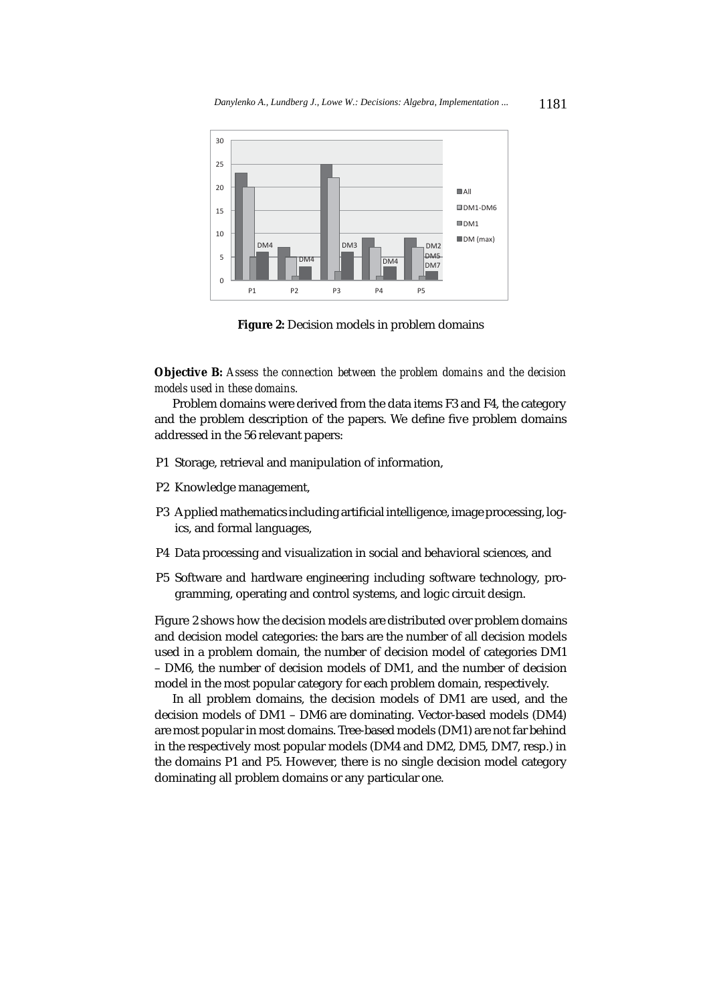

**Figure 2:** Decision models in problem domains

**Objective B:** *Assess the connection between the problem domains and the decision models used in these domains.*

Problem domains were derived from the data items F3 and F4, the category and the problem description of the papers. We define five problem domains addressed in the 56 relevant papers:

- P1 Storage, retrieval and manipulation of information,
- P2 Knowledge management,
- P3 Applied mathematics including artificial intelligence, image processing, logics, and formal languages,
- P4 Data processing and visualization in social and behavioral sciences, and
- P5 Software and hardware engineering including software technology, programming, operating and control systems, and logic circuit design.

Figure 2 shows how the decision models are distributed over problem domains and decision model categories: the bars are the number of all decision models used in a problem domain, the number of decision model of categories DM1 – DM6, the number of decision models of DM1, and the number of decision model in the most popular category for each problem domain, respectively.

In all problem domains, the decision models of DM1 are used, and the decision models of DM1 – DM6 are dominating. Vector-based models (DM4) are most popular in most domains. Tree-based models (DM1) are not far behind in the respectively most popular models (DM4 and DM2, DM5, DM7, resp.) in the domains P1 and P5. However, there is no single decision model category dominating all problem domains or any particular one.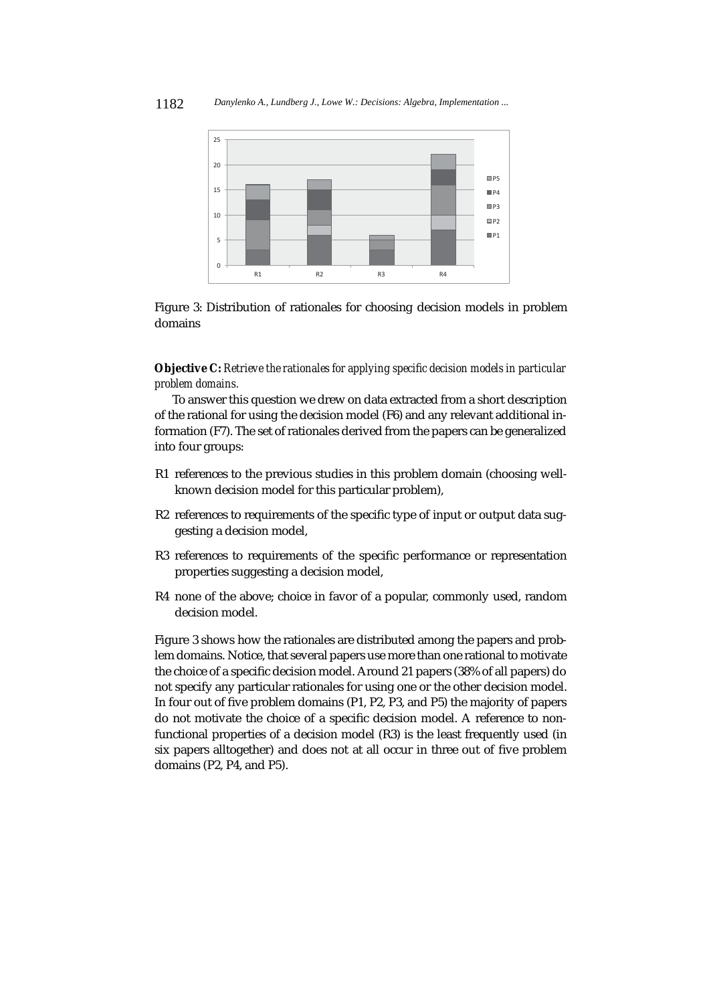

Figure 3: Distribution of rationales for choosing decision models in problem domains

**Objective C:** *Retrieve the rationales for applying specific decision models in particular problem domains.*

To answer this question we drew on data extracted from a short description of the rational for using the decision model (F6) and any relevant additional information (F7). The set of rationales derived from the papers can be generalized into four groups:

- R1 references to the previous studies in this problem domain (choosing wellknown decision model for this particular problem),
- R2 references to requirements of the specific type of input or output data suggesting a decision model,
- R3 references to requirements of the specific performance or representation properties suggesting a decision model,
- R4 none of the above; choice in favor of a popular, commonly used, random decision model.

Figure 3 shows how the rationales are distributed among the papers and problem domains. Notice, that several papers use more than one rational to motivate the choice of a specific decision model. Around 21 papers (38% of all papers) do not specify any particular rationales for using one or the other decision model. In four out of five problem domains (P1, P2, P3, and P5) the majority of papers do not motivate the choice of a specific decision model. A reference to nonfunctional properties of a decision model (R3) is the least frequently used (in six papers alltogether) and does not at all occur in three out of five problem domains (P2, P4, and P5).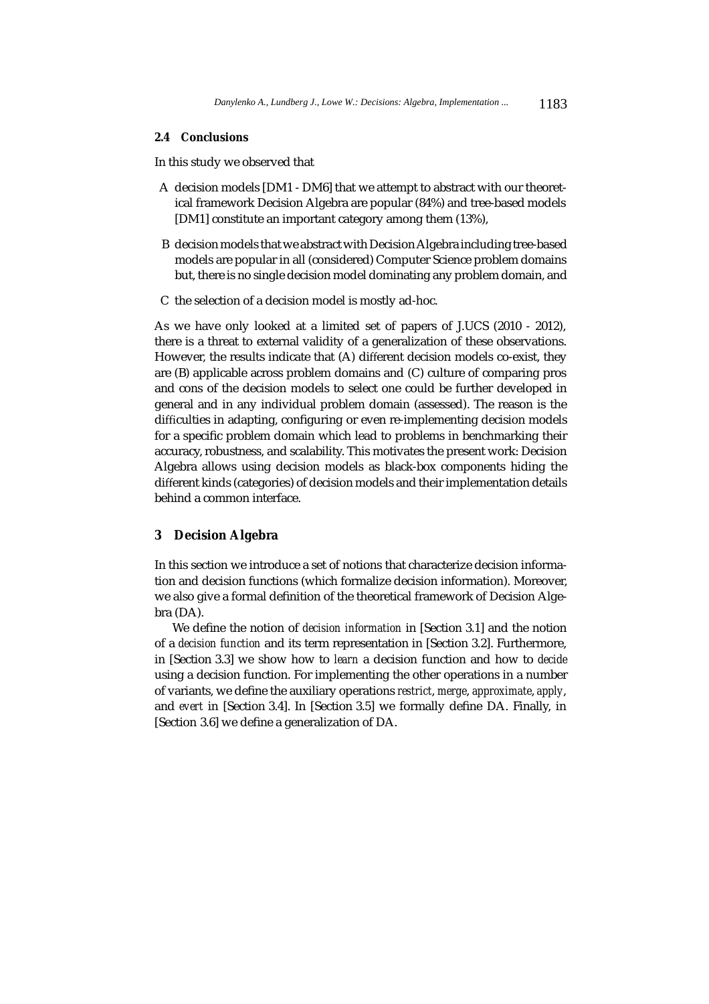#### **2.4 Conclusions**

In this study we observed that

- A decision models [DM1 DM6] that we attempt to abstract with our theoretical framework Decision Algebra are popular (84%) and tree-based models [DM1] constitute an important category among them (13%),
- B decision models that we abstract with Decision Algebra including tree-based models are popular in all (considered) Computer Science problem domains but, there is no single decision model dominating any problem domain, and
- C the selection of a decision model is mostly ad-hoc.

As we have only looked at a limited set of papers of J.UCS (2010 - 2012), there is a threat to external validity of a generalization of these observations. However, the results indicate that (A) different decision models co-exist, they are (B) applicable across problem domains and (C) culture of comparing pros and cons of the decision models to select one could be further developed in general and in any individual problem domain (assessed). The reason is the difficulties in adapting, configuring or even re-implementing decision models for a specific problem domain which lead to problems in benchmarking their accuracy, robustness, and scalability. This motivates the present work: Decision Algebra allows using decision models as black-box components hiding the different kinds (categories) of decision models and their implementation details behind a common interface.

# **3 Decision Algebra**

In this section we introduce a set of notions that characterize decision information and decision functions (which formalize decision information). Moreover, we also give a formal definition of the theoretical framework of Decision Algebra (DA).

We define the notion of *decision information* in [Section 3.1] and the notion of a *decision function* and its term representation in [Section 3.2]. Furthermore, in [Section 3.3] we show how to *learn* a decision function and how to *decide* using a decision function. For implementing the other operations in a number of variants, we define the auxiliary operations *restrict*, *merge*, *approximate*, *apply*, and *evert* in [Section 3.4]. In [Section 3.5] we formally define DA. Finally, in [Section 3.6] we define a generalization of DA.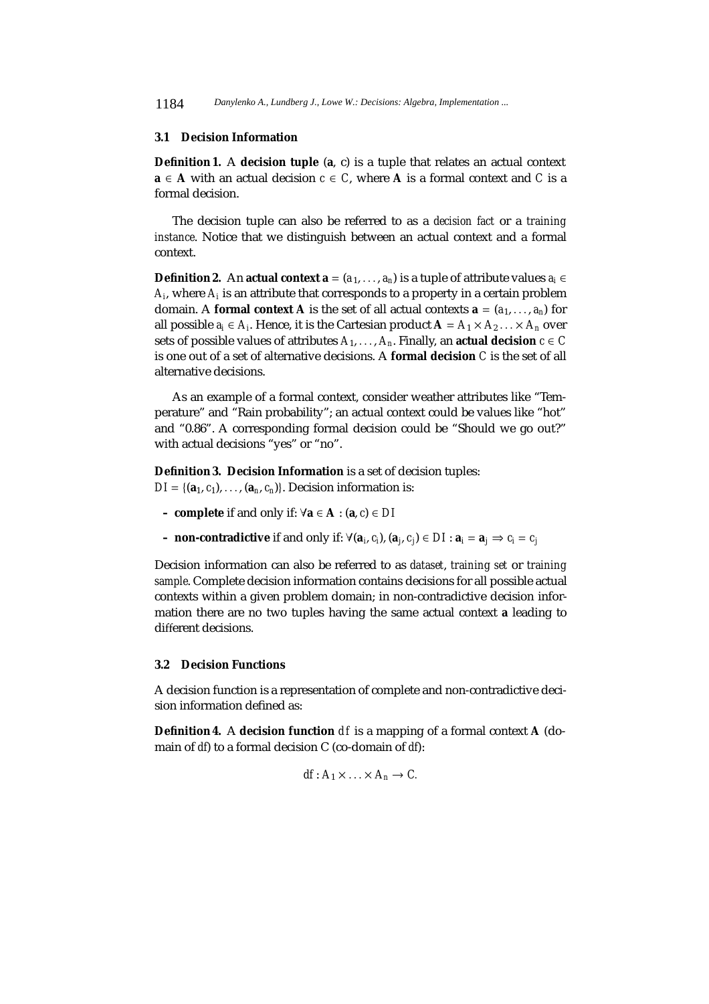1184 *Danylenko A., Lundberg J., Lowe W.: Decisions: Algebra, Implementation ...*

#### **3.1 Decision Information**

**Definition 1.** A **decision tuple** (**a**, c) is a tuple that relates an actual context **a** ∈ **A** with an actual decision  $c \in C$ , where **A** is a formal context and *C* is a formal decision.

The decision tuple can also be referred to as a *decision fact* or a *training instance*. Notice that we distinguish between an actual context and a formal context.

**Definition 2.** An **actual context a** =  $(a_1, \ldots, a_n)$  is a tuple of attribute values  $a_i \in$ *Ai*, where *Ai* is an attribute that corresponds to a property in a certain problem domain. A **formal context A** is the set of all actual contexts  $\mathbf{a} = (a_1, \ldots, a_n)$  for all possible *a<sub>i</sub>* ∈ *A<sub>i</sub>*. Hence, it is the Cartesian product  $\mathbf{A} = A_1 \times A_2 \dots \times A_n$  over sets of possible values of attributes  $A_1, \ldots, A_n$ . Finally, an **actual decision**  $c \in C$ is one out of a set of alternative decisions. A **formal decision** *C* is the set of all alternative decisions.

As an example of a formal context, consider weather attributes like "Temperature" and "Rain probability"; an actual context could be values like "hot" and "0.86". A corresponding formal decision could be "Should we go out?" with actual decisions "yes" or "no".

**Definition 3. Decision Information** is a set of decision tuples:  $DI = \{({\bf a}_1, c_1), \ldots, ({\bf a}_n, c_n)\}\)$ . Decision information is:

- **complete** if and only if: ∀**a** ∈ **A** : (**a**, *c*) ∈ *DI*
- **non-contradictive** if and only if: ∀(**a***i*, *ci*), (**a***j*, *cj*) ∈ *DI* : **a***<sup>i</sup>* = **a***<sup>j</sup>* ⇒ *ci* = *cj*

Decision information can also be referred to as *dataset*, *training set* or *training sample*. Complete decision information contains decisions for all possible actual contexts within a given problem domain; in non-contradictive decision information there are no two tuples having the same actual context **a** leading to different decisions.

#### **3.2 Decision Functions**

A decision function is a representation of complete and non-contradictive decision information defined as:

**Definition 4.** A **decision function**  $df$  is a mapping of a formal context  $A$  (domain of *df*) to a formal decision C (co-domain of *df*):

$$
df: A_1 \times \ldots \times A_n \to C.
$$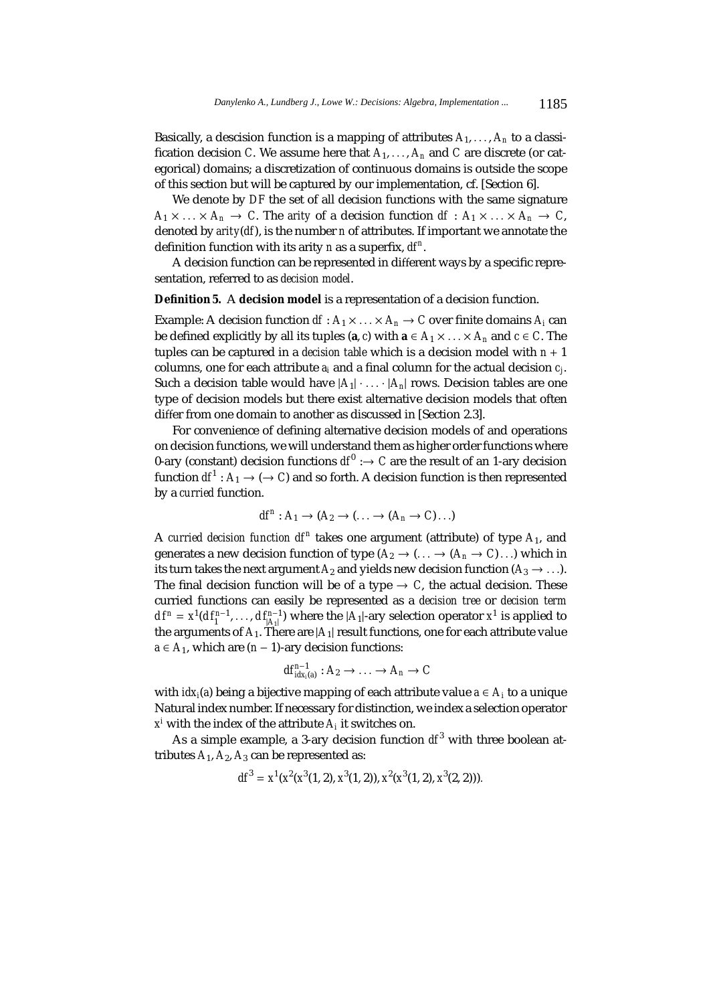Basically, a descision function is a mapping of attributes  $A_1, \ldots, A_n$  to a classification decision *C*. We assume here that  $A_1, \ldots, A_n$  and *C* are discrete (or categorical) domains; a discretization of continuous domains is outside the scope of this section but will be captured by our implementation, cf. [Section 6].

We denote by *DF* the set of all decision functions with the same signature  $A_1 \times \ldots \times A_n \to C$ . The *arity* of a decision function  $df : A_1 \times \ldots \times A_n \to C$ , denoted by *arity*(*df*), is the number *n* of attributes. If important we annotate the definition function with its arity *n* as a superfix,  $df^n$ .

A decision function can be represented in different ways by a specific representation, referred to as *decision model*.

**Definition 5.** A **decision model** is a representation of a decision function.

Example: A decision function  $df: A_1 \times \ldots \times A_n \to C$  over finite domains  $A_i$  can be defined explicitly by all its tuples ( $\mathbf{a}, c$ ) with  $\mathbf{a} \in A_1 \times \ldots \times A_n$  and  $c \in C$ . The tuples can be captured in a *decision table* which is a decision model with *n* + 1 columns, one for each attribute *ai* and a final column for the actual decision *cj*. Such a decision table would have  $|A_1| \cdot ... \cdot |A_n|$  rows. Decision tables are one type of decision models but there exist alternative decision models that often differ from one domain to another as discussed in [Section 2.3].

For convenience of defining alternative decision models of and operations on decision functions, we will understand them as higher order functions where 0-ary (constant) decision functions  $df^0 : \rightarrow C$  are the result of an 1-ary decision function  $df^1: A_1 \to (\to C)$  and so forth. A decision function is then represented by a *curried* function.

$$
df^n: A_1 \to (A_2 \to (\ldots \to (A_n \to C) \ldots)
$$

A *curried decision function*  $df^n$  takes one argument (attribute) of type  $A_1$ , and generates a new decision function of type  $(A_2 \rightarrow (\dots \rightarrow (A_n \rightarrow C) \dots)$  which in its turn takes the next argument  $A_2$  and yields new decision function  $(A_3 \rightarrow \ldots)$ . The final decision function will be of a type  $\rightarrow C$ , the actual decision. These curried functions can easily be represented as a *decision tree* or *decision term*  $d f^n = x^1(d f_1^{n-1},..., d f_{|A_1|}^{n-1})$  where the  $|A_1|$ -ary selection operator  $x^1$  is applied to the arguments of  $A_1$ . There are  $|A_1|$  result functions, one for each attribute value  $a \in A_1$ , which are  $(n-1)$ -ary decision functions:

$$
df_{idx_i(a)}^{n-1}: A_2 \to \ldots \to A_n \to C
$$

with  $idx_i(a)$  being a bijective mapping of each attribute value  $a \in A_i$  to a unique Natural index number. If necessary for distinction, we index a selection operator  $x^i$  with the index of the attribute  $A_i$  it switches on.

As a simple example, a 3-ary decision function  $df^3$  with three boolean attributes  $A_1$ ,  $A_2$ ,  $A_3$  can be represented as:

$$
df^{3} = x^{1}(x^{2}(x^{3}(1,2), x^{3}(1,2)), x^{2}(x^{3}(1,2), x^{3}(2,2))).
$$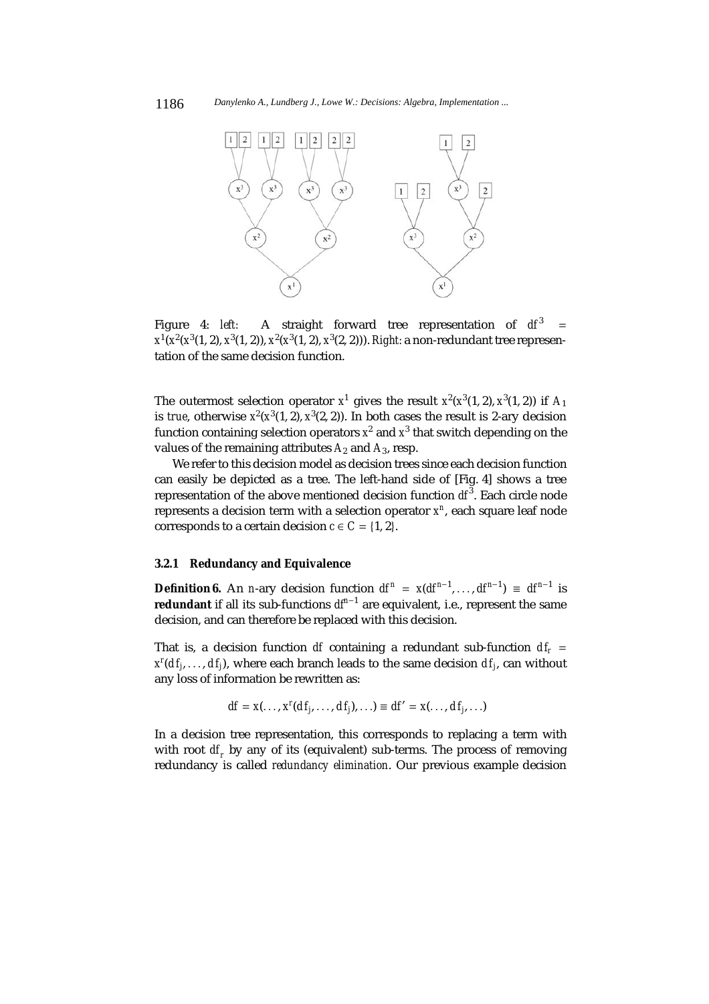

Figure 4: *left:* A straight forward tree representation of  $df^3$ *x*1(*x*2(*x*3(1, 2), *x*3(1, 2)), *x*<sup>2</sup> (*x*3(1, 2), *x*<sup>3</sup> (2, 2))). *Right:* a non-redundant tree representation of the same decision function.

The outermost selection operator  $x^1$  gives the result  $x^2(x^3(1,2), x^3(1,2))$  if  $A_1$ is *true*, otherwise  $x^2(x^3(1, 2), x^3(2, 2))$ . In both cases the result is 2-ary decision function containing selection operators  $x^2$  and  $x^3$  that switch depending on the values of the remaining attributes  $A_2$  and  $A_3$ , resp.

We refer to this decision model as decision trees since each decision function can easily be depicted as a tree. The left-hand side of [Fig. 4] shows a tree representation of the above mentioned decision function  $\mathit{df}^3$ . Each circle node represents a decision term with a selection operator *x<sup>n</sup>*, each square leaf node corresponds to a certain decision  $c \in C = \{1, 2\}.$ 

## **3.2.1 Redundancy and Equivalence**

**Definition 6.** An *n*-ary decision function  $df^n = x(df^{n-1},...,df^{n-1}) \equiv df^{n-1}$  is **redundant** if all its sub-functions *df<sup>n</sup>*−<sup>1</sup> are equivalent, i.e., represent the same decision, and can therefore be replaced with this decision.

That is, a decision function *df* containing a redundant sub-function  $df_r =$  $x^{r}(df_j, \ldots, df_j)$ , where each branch leads to the same decision  $df_j$ , can without any loss of information be rewritten as:

$$
df = x(\ldots, x^r(df_j, \ldots, df_j), \ldots) \equiv df' = x(\ldots, df_j, \ldots)
$$

In a decision tree representation, this corresponds to replacing a term with with root *df<sub>r</sub>* by any of its (equivalent) sub-terms. The process of removing redundancy is called *redundancy elimination*. Our previous example decision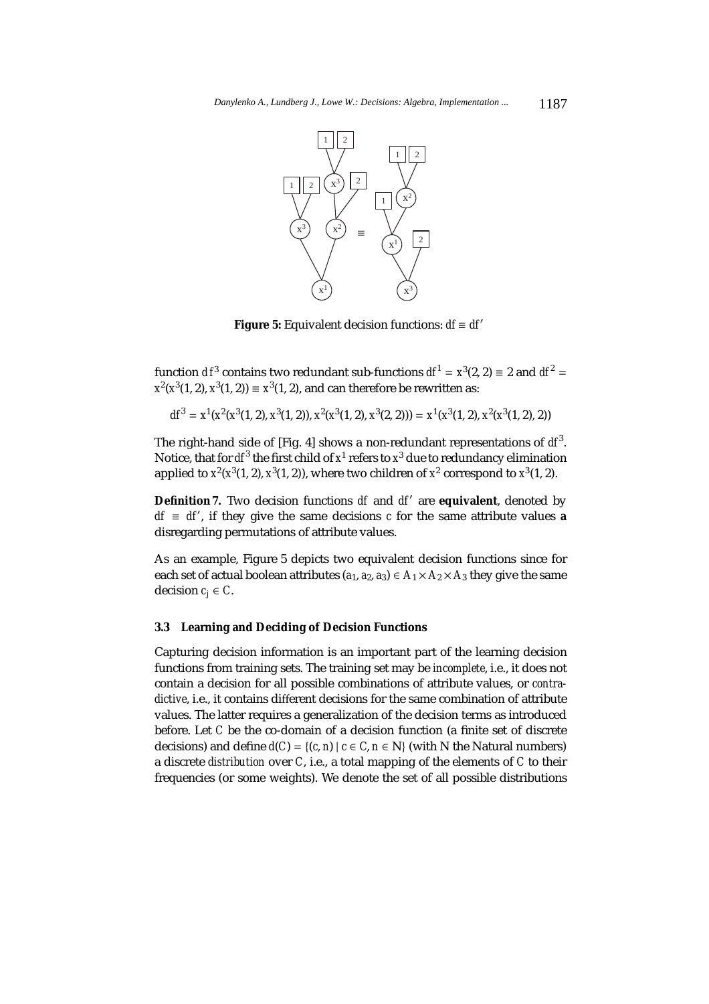

**Figure 5:** Equivalent decision functions: *df* ≡ *df*

function *df*<sup>3</sup> contains two redundant sub-functions  $df^1 = x^3(2, 2) \equiv 2$  and  $df^2 = 2$  $x^{2}(x^{3}(1, 2), x^{3}(1, 2)) \equiv x^{3}(1, 2)$ , and can therefore be rewritten as:

$$
df^{3} = x^{1}(x^{2}(x^{3}(1, 2), x^{3}(1, 2)), x^{2}(x^{3}(1, 2), x^{3}(2, 2))) = x^{1}(x^{3}(1, 2), x^{2}(x^{3}(1, 2), 2))
$$

The right-hand side of [Fig. 4] shows a non-redundant representations of  $\mathit{df}^3$ . Notice, that for  $df^3$  the first child of  $x^1$  refers to  $x^3$  due to redundancy elimination applied to  $x^2(x^3(1, 2), x^3(1, 2))$ , where two children of  $x^2$  correspond to  $x^3(1, 2)$ .

**Definition 7.** Two decision functions *df* and *df'* are **equivalent**, denoted by  $df \equiv df'$ , if they give the same decisions *c* for the same attribute values **a** disregarding permutations of attribute values.

As an example, Figure 5 depicts two equivalent decision functions since for each set of actual boolean attributes  $(a_1, a_2, a_3) \in A_1 \times A_2 \times A_3$  they give the same decision  $c_j \in C$ .

### **3.3 Learning and Deciding of Decision Functions**

Capturing decision information is an important part of the learning decision functions from training sets. The training set may be *incomplete*, i.e., it does not contain a decision for all possible combinations of attribute values, or *contradictive*, i.e., it contains different decisions for the same combination of attribute values. The latter requires a generalization of the decision terms as introduced before. Let *C* be the co-domain of a decision function (a finite set of discrete decisions) and define  $d(C) = \{(c, n) | c \in C, n \in \mathbb{N}\}\$  (with N the Natural numbers) a discrete *distribution* over *C*, i.e., a total mapping of the elements of *C* to their frequencies (or some weights). We denote the set of all possible distributions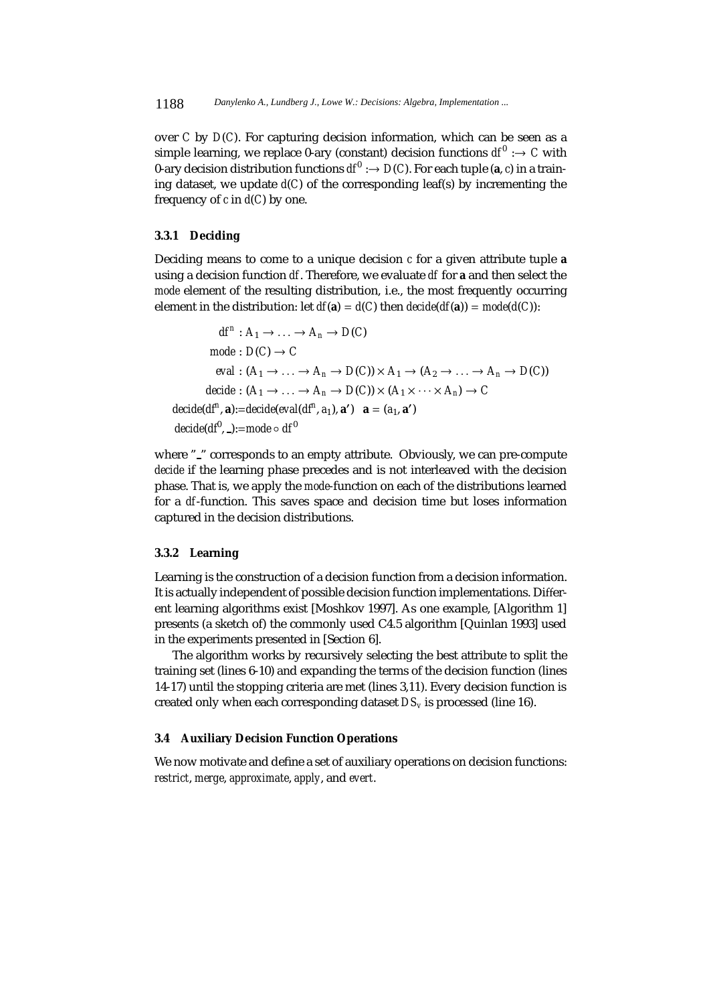over *C* by *D*(*C*). For capturing decision information, which can be seen as a simple learning, we replace 0-ary (constant) decision functions  $df^0 : \rightarrow C$  with 0-ary decision distribution functions  $df^0 : \to D(C)$ . For each tuple (a, *c*) in a training dataset, we update *d*(*C*) of the corresponding leaf(s) by incrementing the frequency of *c* in *d*(*C*) by one.

# **3.3.1 Deciding**

Deciding means to come to a unique decision *c* for a given attribute tuple **a** using a decision function *df*. Therefore, we evaluate *df* for **a** and then select the *mode* element of the resulting distribution, i.e., the most frequently occurring element in the distribution: let  $df(a) = d(C)$  then  $decide(df(a)) = mode(d(C))$ :

 $df^n: A_1 \rightarrow \ldots \rightarrow A_n \rightarrow D(C)$  $mode: D(C) \rightarrow C$  $eval: (A_1 \rightarrow \ldots \rightarrow A_n \rightarrow D(C)) \times A_1 \rightarrow (A_2 \rightarrow \ldots \rightarrow A_n \rightarrow D(C))$  $decide: (A_1 \rightarrow \ldots \rightarrow A_n \rightarrow D(C)) \times (A_1 \times \cdots \times A_n) \rightarrow C$ *decide*(*df<sup>n</sup>*, **a**):=*decide*(*eval*(*df<sup>n</sup>*, *a*<sub>1</sub>), **a**') **a** = (*a*<sub>1</sub>, **a**') *decide*(*df*<sup>0</sup>, \_):=mode ∘ *df*<sup>0</sup>

where "" corresponds to an empty attribute. Obviously, we can pre-compute *decide* if the learning phase precedes and is not interleaved with the decision phase. That is, we apply the *mode*-function on each of the distributions learned for a *df*-function. This saves space and decision time but loses information captured in the decision distributions.

# **3.3.2 Learning**

Learning is the construction of a decision function from a decision information. It is actually independent of possible decision function implementations. Different learning algorithms exist [Moshkov 1997]. As one example, [Algorithm 1] presents (a sketch of) the commonly used C4.5 algorithm [Quinlan 1993] used in the experiments presented in [Section 6].

The algorithm works by recursively selecting the best attribute to split the training set (lines 6-10) and expanding the terms of the decision function (lines 14-17) until the stopping criteria are met (lines 3,11). Every decision function is created only when each corresponding dataset *DSv* is processed (line 16).

# **3.4 Auxiliary Decision Function Operations**

We now motivate and define a set of auxiliary operations on decision functions: *restrict*, *merge*, *approximate*, *apply*, and *evert*.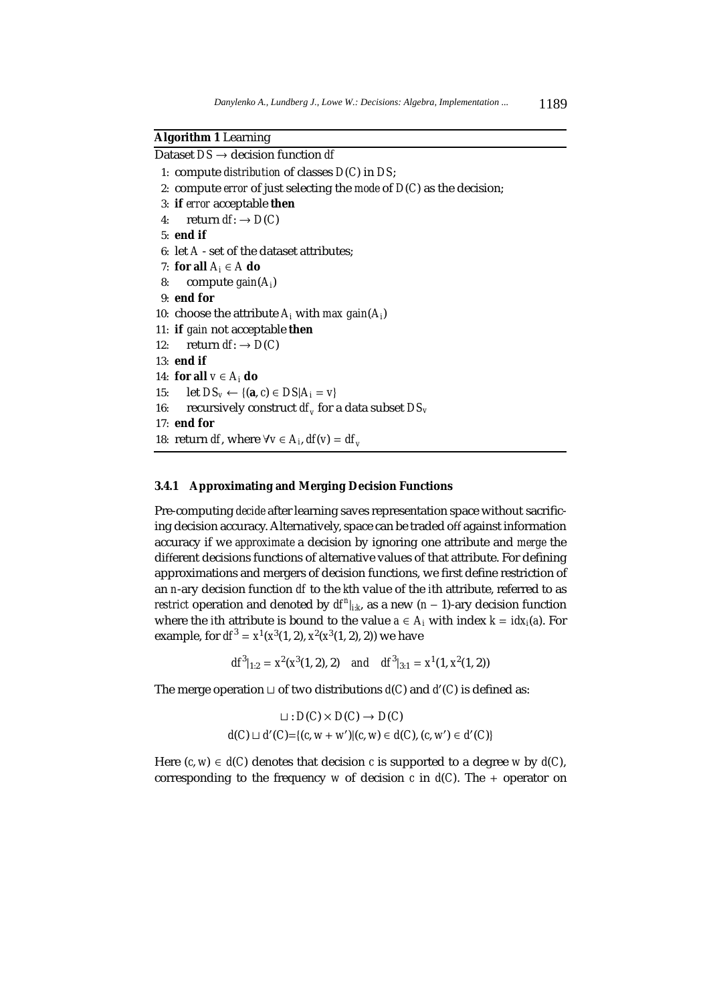# **Algorithm 1** Learning

Dataset *DS* → decision function *df*

- 1: compute *distribution* of classes *D*(*C*) in *DS*;
- 2: compute *error* of just selecting the *mode* of *D*(*C*) as the decision;
- 3: **if** *error* acceptable **then**
- 4: return  $df: \rightarrow D(C)$
- 5: **end if**
- 6: let *A* set of the dataset attributes;
- 7: **for all**  $A_i \in A$  **do**
- 8: compute *gain*(*Ai*)
- 9: **end for**
- 10: choose the attribute  $A_i$  with *max gain*( $A_i$ )
- 11: **if** *gain* not acceptable **then**
- 12: return  $df: \rightarrow D(C)$
- 13: **end if**
- 14: **for all** *v* ∈ *Ai* **do**
- 15: let  $DS_v \leftarrow \{(\mathbf{a}, c) \in DS | A_i = v\}$
- 16: recursively construct  $df_v$  for a data subset  $DS_v$

```
17: end for
```
18: return *df*, where  $\forall v \in A_i$ , *df*(*v*) = *df*<sub>*v*</sub>

### **3.4.1 Approximating and Merging Decision Functions**

Pre-computing *decide* after learning saves representation space without sacrificing decision accuracy. Alternatively, space can be traded off against information accuracy if we *approximate* a decision by ignoring one attribute and *merge* the different decisions functions of alternative values of that attribute. For defining approximations and mergers of decision functions, we first define restriction of an *n*-ary decision function *df* to the *k*th value of the *i*th attribute, referred to as *restrict* operation and denoted by  $df^{n}|_{ik}$ , as a new  $(n - 1)$ -ary decision function where the *i*th attribute is bound to the value  $a \in A_i$  with index  $k = i dx_i(a)$ . For example, for  $df^3 = x^1(x^3(1, 2), x^2(x^3(1, 2), 2))$  we have

 $df^{3}|_{1:2} = x^{2}(x^{3}(1, 2), 2)$  *and*  $df^{3}|_{3:1} = x^{1}(1, x^{2}(1, 2))$ 

The merge operation  $\sqcup$  of two distributions  $d(C)$  and  $d'(C)$  is defined as:

$$
\sqcup: D(C) \times D(C) \to D(C)
$$
  

$$
d(C) \sqcup d'(C) = \{(c, w + w')|(c, w) \in d(C), (c, w') \in d'(C)\}
$$

Here  $(c, w) \in d(C)$  denotes that decision *c* is supported to a degree *w* by  $d(C)$ , corresponding to the frequency *w* of decision *c* in  $d(C)$ . The + operator on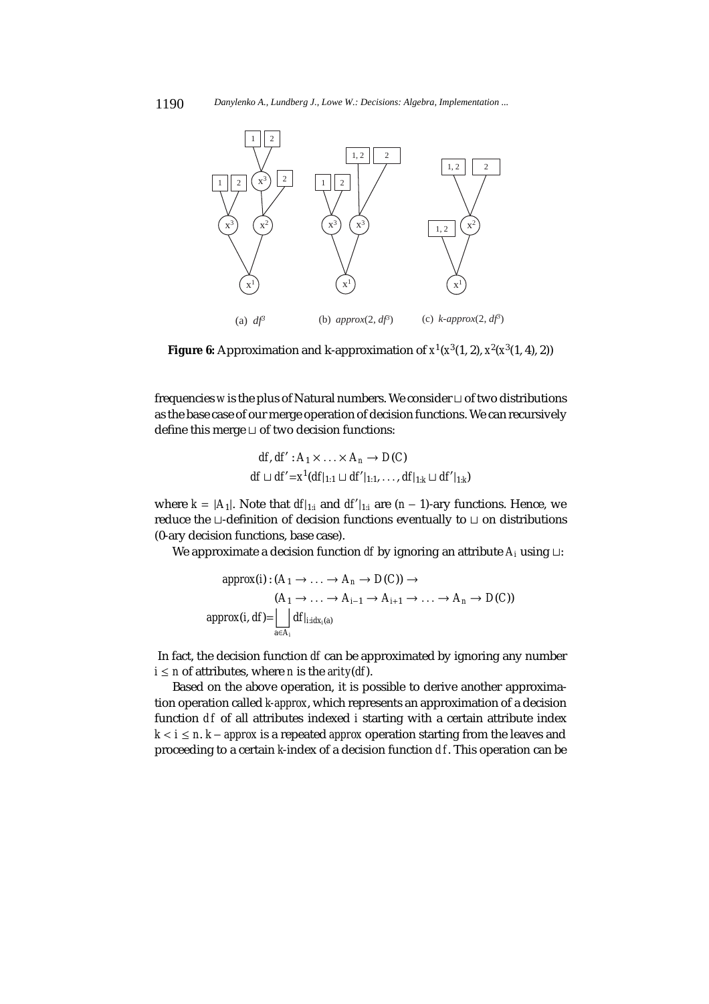

**Figure 6:** Approximation and k-approximation of  $x^1(x^3(1, 2), x^2(x^3(1, 4), 2))$ 

frequencies *w* is the plus of Natural numbers. We consider  $\sqcup$  of two distributions as the base case of our merge operation of decision functions. We can recursively define this merge  $\sqcup$  of two decision functions:

$$
df, df': A_1 \times \ldots \times A_n \to D(C)
$$
  

$$
df \sqcup df' = x^1(df|_{1:1} \sqcup df'|_{1:1}, \ldots, df|_{1:k} \sqcup df'|_{1:k}
$$

where  $k = |A_1|$ . Note that  $df|_{1:i}$  and  $df'|_{1:i}$  are  $(n-1)$ -ary functions. Hence, we reduce the  $\sqcup$ -definition of decision functions eventually to  $\sqcup$  on distributions (0-ary decision functions, base case).

We approximate a decision function *df* by ignoring an attribute  $A_i$  using  $\sqcup$ :

$$
approx(i): (A_1 \to \dots \to A_n \to D(C)) \to
$$
  
\n
$$
(A_1 \to \dots \to A_{i-1} \to A_{i+1} \to \dots \to A_n \to D(C))
$$
  
\n
$$
approx(i, df) = \bigsqcup_{a \in A_i} df_{i \text{ } \text{ } idx_i(a)}
$$

In fact, the decision function *df* can be approximated by ignoring any number  $i \le n$  of attributes, where *n* is the *arity*(*df*).

Based on the above operation, it is possible to derive another approximation operation called *k-approx*, which represents an approximation of a decision function *df* of all attributes indexed *i* starting with a certain attribute index *k* < *i* ≤ *n*. *k* − *approx* is a repeated *approx* operation starting from the leaves and proceeding to a certain *k*-index of a decision function *d f*. This operation can be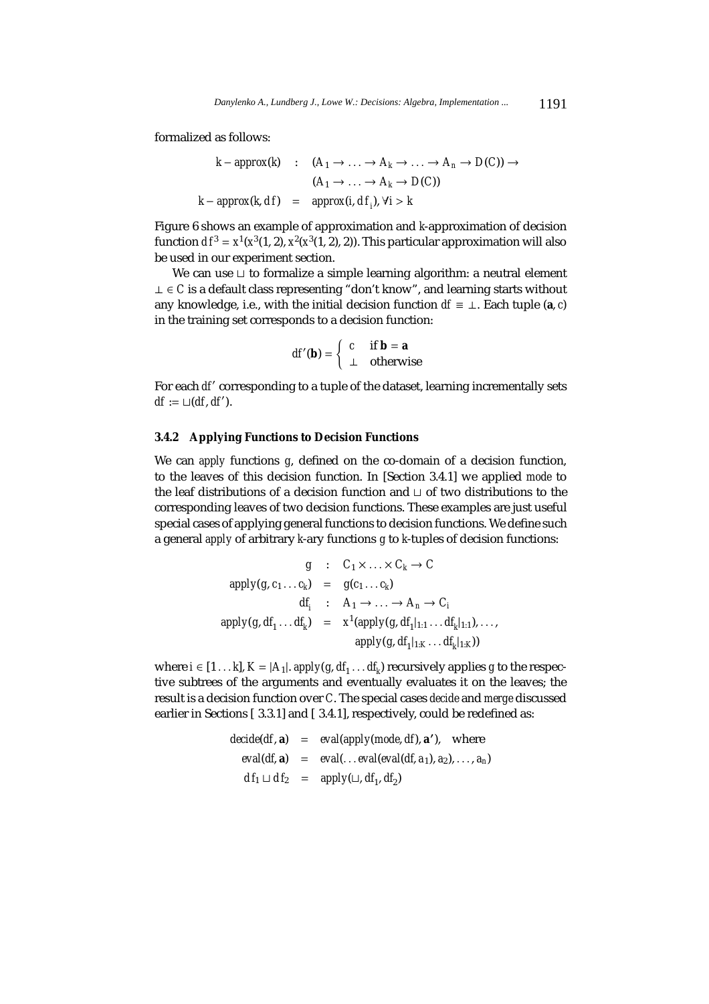formalized as follows:

$$
k - approx(k) : (A_1 \to \dots \to A_k \to \dots \to A_n \to D(C)) \to
$$
  

$$
(A_1 \to \dots \to A_k \to D(C))
$$
  

$$
k - approx(k, df) = approx(i, df_j), \forall i > k
$$

Figure 6 shows an example of approximation and *k*-approximation of decision function  $df^3 = x^1(x^3(1, 2), x^2(x^3(1, 2), 2)$ . This particular approximation will also be used in our experiment section.

We can use  $\sqcup$  to formalize a simple learning algorithm: a neutral element ⊥ ∈ *C* is a default class representing "don't know", and learning starts without any knowledge, i.e., with the initial decision function  $df \equiv \bot$ . Each tuple (a, *c*) in the training set corresponds to a decision function:

$$
df'(\mathbf{b}) = \begin{cases} c & \text{if } \mathbf{b} = \mathbf{a} \\ \perp & \text{otherwise} \end{cases}
$$

For each *df'* corresponding to a tuple of the dataset, learning incrementally sets  $df := \sqcup(df, df').$ 

# **3.4.2 Applying Functions to Decision Functions**

We can *apply* functions *g*, defined on the co-domain of a decision function, to the leaves of this decision function. In [Section 3.4.1] we applied *mode* to the leaf distributions of a decision function and  $\sqcup$  of two distributions to the corresponding leaves of two decision functions. These examples are just useful special cases of applying general functions to decision functions. We define such a general *apply* of arbitrary *k*-ary functions *g* to *k*-tuples of decision functions:

$$
g : C_1 \times \ldots \times C_k \to C
$$
  
\n
$$
apply(g, c_1 \ldots c_k) = g(c_1 \ldots c_k)
$$
  
\n
$$
df_i : A_1 \to \ldots \to A_n \to C_i
$$
  
\n
$$
apply(g, df_1 \ldots df_k) = x^1 (apply(g, df_1|_{1:1} \ldots df_k|_{1:1}), \ldots,
$$
  
\n
$$
apply(g, df_1|_{1:K} \ldots df_k|_{1:K}))
$$

where  $i \in [1 \dots k]$ ,  $K = |A_1|$ . *apply*( $g$ ,  $df_1 \dots df_k$ ) recursively applies  $g$  to the respective subtrees of the arguments and eventually evaluates it on the leaves; the result is a decision function over *C*. The special cases *decide* and *merge* discussed earlier in Sections [ 3.3.1] and [ 3.4.1], respectively, could be redefined as:

> *decide*(*df*, **a**) = *eval*(*apply*(*mode*, *df*), **a**- ), where  $eval(df, a) = eval(...evaleval(df, a<sub>1</sub>), a<sub>2</sub>), ..., a<sub>n</sub>)$  $df_1 \sqcup df_2 = apply(\sqcup, df_1, df_2)$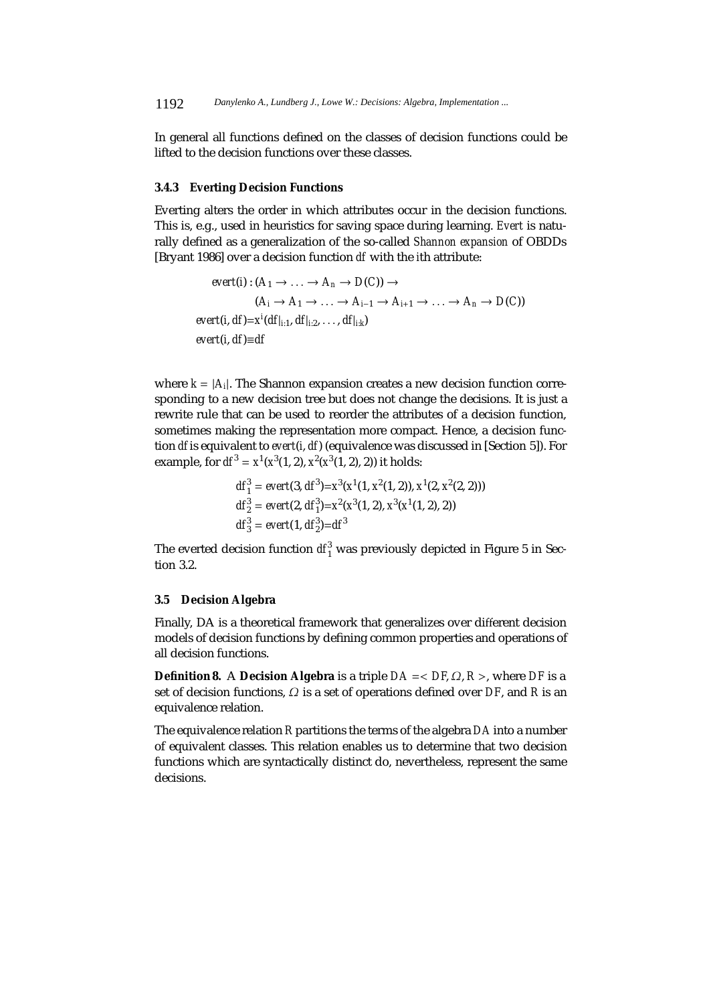In general all functions defined on the classes of decision functions could be lifted to the decision functions over these classes.

#### **3.4.3 Everting Decision Functions**

Everting alters the order in which attributes occur in the decision functions. This is, e.g., used in heuristics for saving space during learning. *Evert* is naturally defined as a generalization of the so-called *Shannon expansion* of OBDDs [Bryant 1986] over a decision function *df* with the *i*th attribute:

$$
event(i): (A_1 \rightarrow ... \rightarrow A_n \rightarrow D(C)) \rightarrow
$$
  
\n
$$
(A_i \rightarrow A_1 \rightarrow ... \rightarrow A_{i-1} \rightarrow A_{i+1} \rightarrow ... \rightarrow A_n \rightarrow D(C))
$$
  
\n
$$
event(i, df) = x^i(df_{i:1}, df_{i:2}, ..., df_{i:k})
$$
  
\n
$$
event(i, df) \equiv df
$$

where  $k = |A_i|$ . The Shannon expansion creates a new decision function corresponding to a new decision tree but does not change the decisions. It is just a rewrite rule that can be used to reorder the attributes of a decision function, sometimes making the representation more compact. Hence, a decision function *df* is equivalent to *evert*(*i*, *df*) (equivalence was discussed in [Section 5]). For example, for  $df^3 = x^1(x^3(1, 2), x^2(x^3(1, 2), 2))$  it holds:

$$
df_1^3 = \text{evert}(3, \, dt^3) = x^3(x^1(1, x^2(1, 2)), \, x^1(2, x^2(2, 2)))
$$
\n
$$
df_2^3 = \text{evert}(2, \, df_1^3) = x^2(x^3(1, 2), \, x^3(x^1(1, 2), 2))
$$
\n
$$
df_3^3 = \text{evert}(1, \, df_2^3) = df^3
$$

The everted decision function  $df_1^3$  was previously depicted in Figure 5 in Section 3.2.

## **3.5 Decision Algebra**

Finally, DA is a theoretical framework that generalizes over different decision models of decision functions by defining common properties and operations of all decision functions.

**Definition 8.** A **Decision Algebra** is a triple  $DA = \langle DF, \Omega, R \rangle$ , where *DF* is a set of decision functions, Ω is a set of operations defined over *DF*, and *R* is an equivalence relation.

The equivalence relation *R* partitions the terms of the algebra *DA* into a number of equivalent classes. This relation enables us to determine that two decision functions which are syntactically distinct do, nevertheless, represent the same decisions.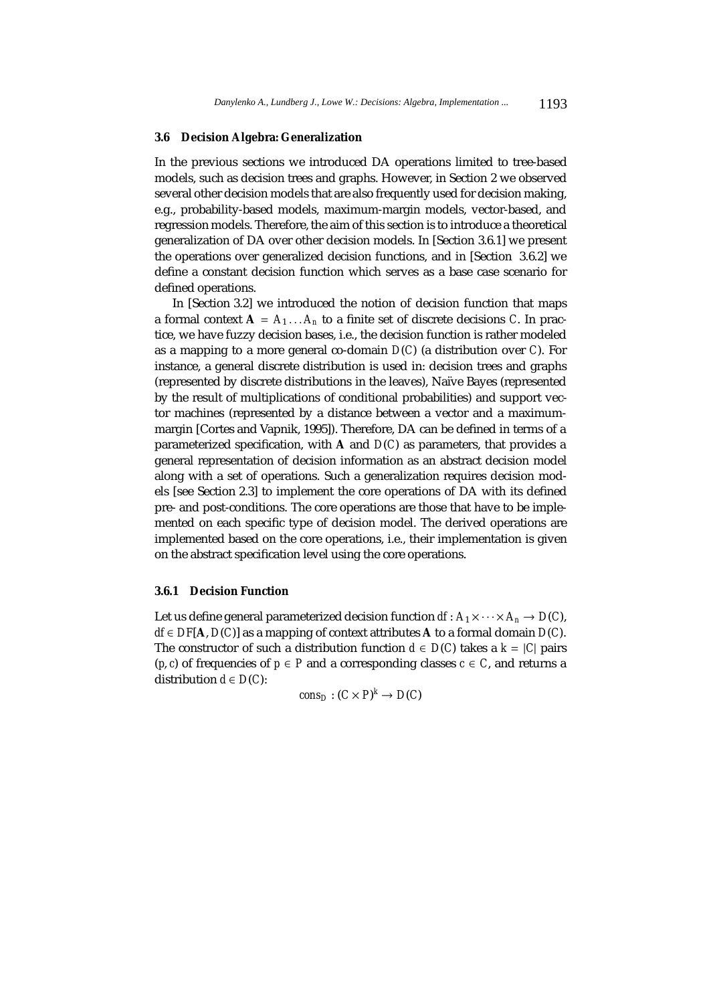## **3.6 Decision Algebra: Generalization**

In the previous sections we introduced DA operations limited to tree-based models, such as decision trees and graphs. However, in Section 2 we observed several other decision models that are also frequently used for decision making, e.g., probability-based models, maximum-margin models, vector-based, and regression models. Therefore, the aim of this section is to introduce a theoretical generalization of DA over other decision models. In [Section 3.6.1] we present the operations over generalized decision functions, and in [Section 3.6.2] we define a constant decision function which serves as a base case scenario for defined operations.

In [Section 3.2] we introduced the notion of decision function that maps a formal context  $A = A_1 \dots A_n$  to a finite set of discrete decisions *C*. In practice, we have fuzzy decision bases, i.e., the decision function is rather modeled as a mapping to a more general co-domain *D*(*C*) (a distribution over *C*). For instance, a general discrete distribution is used in: decision trees and graphs (represented by discrete distributions in the leaves), Na¨ıve Bayes (represented by the result of multiplications of conditional probabilities) and support vector machines (represented by a distance between a vector and a maximummargin [Cortes and Vapnik, 1995]). Therefore, DA can be defined in terms of a parameterized specification, with **A** and *D*(*C*) as parameters, that provides a general representation of decision information as an abstract decision model along with a set of operations. Such a generalization requires decision models [see Section 2.3] to implement the core operations of DA with its defined pre- and post-conditions. The core operations are those that have to be implemented on each specific type of decision model. The derived operations are implemented based on the core operations, i.e., their implementation is given on the abstract specification level using the core operations.

#### **3.6.1 Decision Function**

Let us define general parameterized decision function  $df: A_1 \times \cdots \times A_n \to D(C)$ , *df* ∈ *DF*[**A**, *D*(*C*)] as a mapping of context attributes **A** to a formal domain *D*(*C*). The constructor of such a distribution function  $d \in D(C)$  takes a  $k = |C|$  pairs (*p*, *c*) of frequencies of  $p \in P$  and a corresponding classes  $c \in C$ , and returns a distribution  $d \in D(C)$ :

 $cons_D : (C \times P)^k \to D(C)$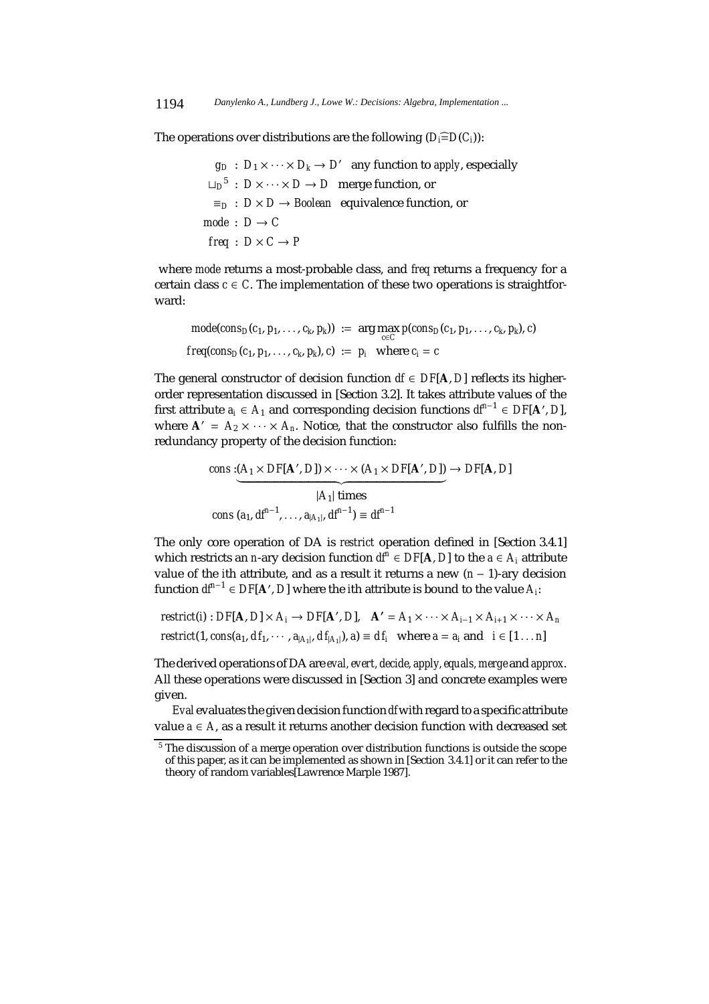The operations over distributions are the following  $(D_i \widehat{=} D(C_i))$ :

$$
g_D: D_1 \times \cdots \times D_k \to D'
$$
 any function to *apply*, especially  
\n $\sqcup_D^5: D \times \cdots \times D \to D$  merge function, or  
\n $\equiv_D: D \times D \to Boolean \quad \text{equivalence function, or}$   
\n*mode*:  $D \to C$   
\n*freq*:  $D \times C \to P$ 

where *mode* returns a most-probable class, and *freq* returns a frequency for a certain class  $c \in C$ . The implementation of these two operations is straightforward:

$$
mode(cons_D(c_1, p_1, \ldots, c_k, p_k)) := \arg\max_{c \in C} p(cons_D(c_1, p_1, \ldots, c_k, p_k), c)
$$
  
freq(cons\_D(c\_1, p\_1, \ldots, c\_k, p\_k), c) := p<sub>i</sub> where c<sub>i</sub> = c

The general constructor of decision function  $df$  ∈  $DF[A, D]$  reflects its higherorder representation discussed in [Section 3.2]. It takes attribute values of the first attribute  $a_i$  ∈  $A_1$  and corresponding decision functions  $df^{n-1}$  ∈  $DF[A', D]$ , where  $A' = A_2 \times \cdots \times A_n$ . Notice, that the constructor also fulfills the nonredundancy property of the decision function:

cons: 
$$
(A_1 \times DF[A', D]) \times \cdots \times (A_1 \times DF[A', D]) \rightarrow DF[A, D]
$$
  
\n $|A_1| \text{ times}$   
\ncons:  $(a_1, df^{n-1}, \ldots, a_{|A_1|}, df^{n-1}) \equiv df^{n-1}$ 

The only core operation of DA is *restrict* operation defined in [Section 3.4.1] which restricts an *n*-ary decision function  $df^n$  ∈ *DF*[**A**, *D*] to the *a* ∈ *A<sub>i</sub>* attribute value of the *i*th attribute, and as a result it returns a new (*n* − 1)-ary decision function *dfn*<sup>−</sup><sup>1</sup> ∈ *DF*[**A** , *D*] where the *i*th attribute is bound to the value *Ai*:

$$
restrict(i): DF[A, D] \times A_i \rightarrow DF[A', D], \quad A' = A_1 \times \cdots \times A_{i-1} \times A_{i+1} \times \cdots \times A_n
$$
  

$$
restrict(1, cons(a_1, df_1, \cdots, a_{|A_1|}, df_{|A_1|}), a) \equiv df_i \text{ where } a = a_i \text{ and } i \in [1 \dots n]
$$

The derived operations of DA are *eval, evert, decide, apply, equals, merge* and *approx*. All these operations were discussed in [Section 3] and concrete examples were given.

*Eval* evaluates the given decision function *df*with regard to a specific attribute value  $a ∈ A$ , as a result it returns another decision function with decreased set

<sup>&</sup>lt;sup>5</sup> The discussion of a merge operation over distribution functions is outside the scope of this paper, as it can be implemented as shown in [Section 3.4.1] or it can refer to the theory of random variables[Lawrence Marple 1987].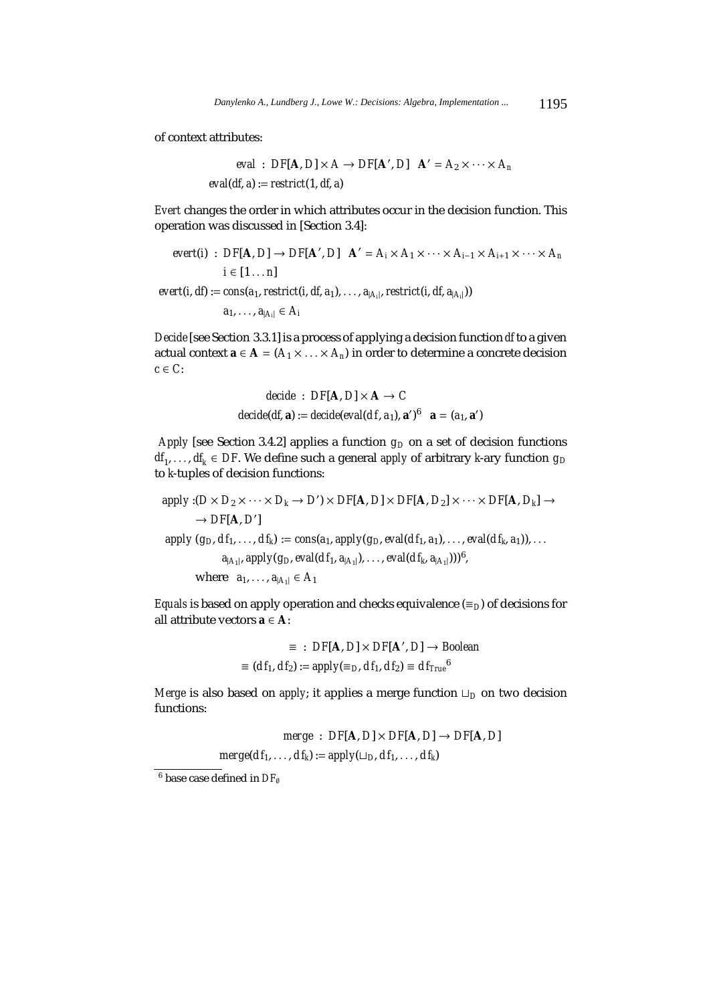of context attributes:

$$
eval: DF[A, D] \times A \rightarrow DF[A', D] \quad A' = A_2 \times \cdots \times A_n
$$
  
eval(df, a) := restrict(1, df, a)

*Evert* changes the order in which attributes occur in the decision function. This operation was discussed in [Section 3.4]:

$$
evert(i) : DF[A, D] \rightarrow DF[A', D] \quad A' = A_i \times A_1 \times \cdots \times A_{i-1} \times A_{i+1} \times \cdots \times A_n
$$
  
\n $i \in [1 \dots n]$   
\n
$$
evert(i, df) := cons(a_1, restrict(i, df, a_1), \dots, a_{|A_i|}, restrict(i, df, a_{|A_i|}))
$$
  
\n $a_1, \dots, a_{|A_i|} \in A_i$ 

*Decide*[see Section 3.3.1] is a process of applying a decision function *df* to a given actual context **a** ∈ **A** =  $(A_1 \times \ldots \times A_n)$  in order to determine a concrete decision *c* ∈ *C*:

decide : 
$$
DF[A, D] \times A \rightarrow C
$$
  
decide(df, a) := decide(eval(df, a<sub>1</sub>), a')<sup>6</sup> a = (a<sub>1</sub>, a')

*Apply* [see Section 3.4.2] applies a function  $g_D$  on a set of decision functions *df*<sub>1</sub>,..., *df*<sub>*k*</sub> ∈ *DF*. We define such a general *apply* of arbitrary *k*-ary function  $g_D$ to *k*-tuples of decision functions:

 $\alpha$ *apply* :( $D \times D_2 \times \cdots \times D_k \rightarrow D' \times DF[A, D] \times DF[A, D_2] \times \cdots \times DF[A, D_k] \rightarrow$  $\rightarrow$  *DF*[**A**, *D'*]  $apply(q_D, df_1, ..., df_k) := cons(a_1, apply(q_D, eval(df_1, a_1), ..., eval(df_k, a_1)),...$  $a_{|A_1|}$ , *apply*( $g_D$ , *eval*( $df_1$ ,  $a_{|A_1|}$ ),..., *eval*( $df_k$ ,  $a_{|A_1|}$ )))<sup>6</sup>, where  $a_1, ..., a_{|A_1|} \in A_1$ 

*Equals* is based on apply operation and checks equivalence ( $\equiv_D$ ) of decisions for all attribute vectors **a** ∈ **A**:

$$
\equiv : DF[A, D] \times DF[A', D] \rightarrow Boolean
$$
  

$$
\equiv (df_1, df_2) := apply(\equiv_D, df_1, df_2) \equiv df_{True}^6
$$

*Merge* is also based on *apply*; it applies a merge function  $\Box_D$  on two decision functions:

> $merge: DF[A, D] \times DF[A, D] \rightarrow DF[A, D]$  $merge(df_1, \ldots, df_k) := apply(\sqcup_D, df_1, \ldots, df_k)$

<sup>6</sup> base case defined in *DF*<sup>∅</sup>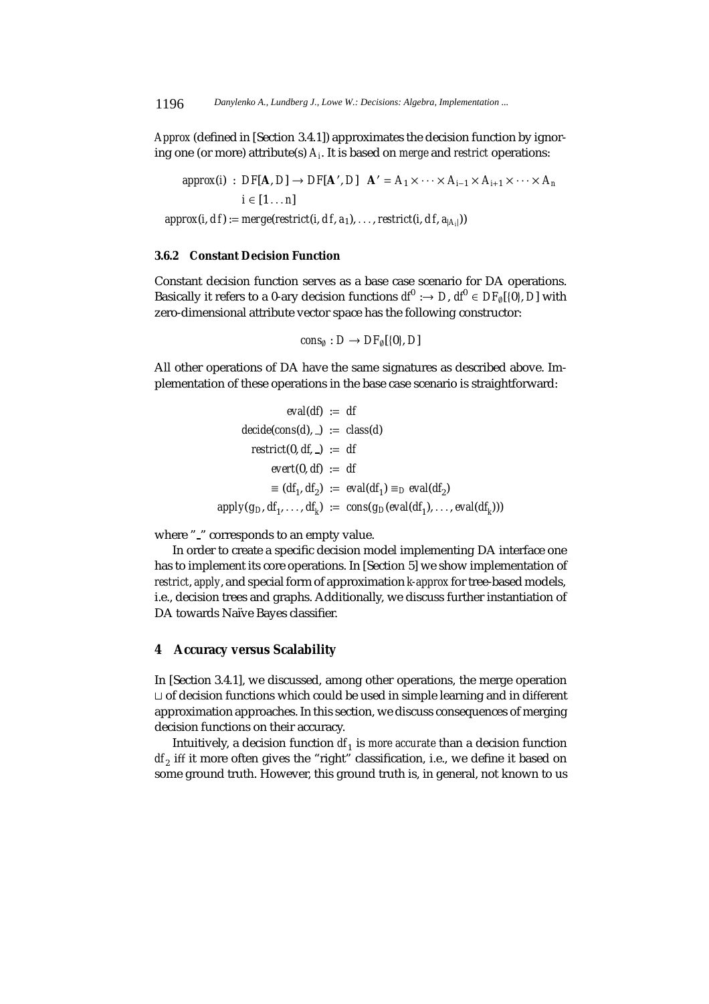*Approx* (defined in [Section 3.4.1]) approximates the decision function by ignoring one (or more) attribute(s) *Ai*. It is based on *merge* and *restrict* operations:

 $approx(i)$  :  $DF[A, D] \rightarrow DF[A', D]$   $A' = A_1 \times \cdots \times A_{i-1} \times A_{i+1} \times \cdots \times A_n$  $i \in [1 \dots n]$  $approx(i, df) := merge(restrict(i, df, a_1), \ldots, restrict(i, df, a_{|A_i|}))$ 

# **3.6.2 Constant Decision Function**

Constant decision function serves as a base case scenario for DA operations. Basically it refers to a 0-ary decision functions  $d^{0}$  :  $\rightarrow$  *D*,  $d^{0} \in DF_{0}[\{0\}, D]$  with zero-dimensional attribute vector space has the following constructor:

$$
cons_{\emptyset}: D \to DF_{\emptyset}[\{0\}, D]
$$

All other operations of DA have the same signatures as described above. Implementation of these operations in the base case scenario is straightforward:

$$
eval(df) := df
$$
  
decide(cos(d), -) := class(d)  
restrict(0, df, -) := df  
event(0, df) := df  

$$
\equiv (df_1, df_2) := eval(df_1) \equiv_D eval(df_2)
$$
  
apply(g<sub>D</sub>, df<sub>1</sub>,..., df<sub>k</sub>) := cons(g<sub>D</sub>(eval(df<sub>1</sub>),..., eval(df<sub>k</sub>)))

where " " corresponds to an empty value.

In order to create a specific decision model implementing DA interface one has to implement its core operations. In [Section 5] we show implementation of *restrict*, *apply*, and special form of approximation *k-approx* for tree-based models, i.e., decision trees and graphs. Additionally, we discuss further instantiation of DA towards Naïve Bayes classifier.

# **4 Accuracy versus Scalability**

In [Section 3.4.1], we discussed, among other operations, the merge operation  $\sqcup$  of decision functions which could be used in simple learning and in different approximation approaches. In this section, we discuss consequences of merging decision functions on their accuracy.

Intuitively, a decision function *df* <sup>1</sup> is *more accurate* than a decision function df<sub>2</sub> iff it more often gives the "right" classification, i.e., we define it based on some ground truth. However, this ground truth is, in general, not known to us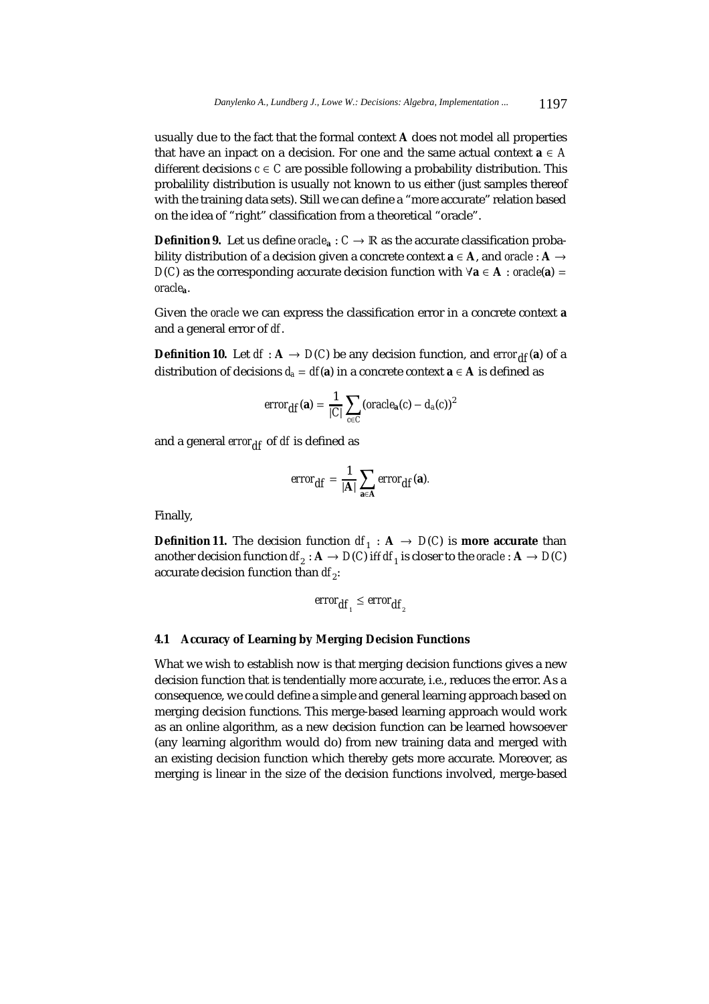usually due to the fact that the formal context **A** does not model all properties that have an inpact on a decision. For one and the same actual context  $a \in A$ different decisions  $c \in C$  are possible following a probability distribution. This probalility distribution is usually not known to us either (just samples thereof with the training data sets). Still we can define a "more accurate" relation based on the idea of "right" classification from a theoretical "oracle".

**Definition 9.** Let us define *oracle*<sub>a</sub> :  $C \rightarrow \mathbb{R}$  as the accurate classification probability distribution of a decision given a concrete context  $a \in A$ , and *oracle* :  $A \rightarrow$ *D*(*C*) as the corresponding accurate decision function with  $\forall$ **a** ∈ **A** : *oracle*(**a**) = *oracle***a**.

Given the *oracle* we can express the classification error in a concrete context **a** and a general error of *df*.

**Definition 10.** Let  $df : A \rightarrow D(C)$  be any decision function, and *error*<sub>df</sub>(a) of a distribution of decisions  $d_a = df(a)$  in a concrete context  $a \in A$  is defined as

$$
error_{\text{df}}(\mathbf{a}) = \frac{1}{|C|} \sum_{c \in C} (oracle_{\mathbf{a}}(c) - d_{a}(c))^{2}
$$

and a general *error*<sub>df</sub> of *df* is defined as

$$
error_{\text{df}} = \frac{1}{|\mathbf{A}|} \sum_{\mathbf{a} \in \mathbf{A}} error_{\text{df}}(\mathbf{a}).
$$

Finally,

**Definition 11.** The decision function  $df_1 : A \rightarrow D(C)$  is **more accurate** than another decision function  $df_2: \mathbf{A} \to D(C)$  iff  $df_1$  is closer to the *oracle* :  $\mathbf{A} \to D(C)$ accurate decision function than *df*<sub>2</sub>:

$$
error_{df_1} \leq error_{df_2}
$$

# **4.1 Accuracy of Learning by Merging Decision Functions**

What we wish to establish now is that merging decision functions gives a new decision function that is tendentially more accurate, i.e., reduces the error. As a consequence, we could define a simple and general learning approach based on merging decision functions. This merge-based learning approach would work as an online algorithm, as a new decision function can be learned howsoever (any learning algorithm would do) from new training data and merged with an existing decision function which thereby gets more accurate. Moreover, as merging is linear in the size of the decision functions involved, merge-based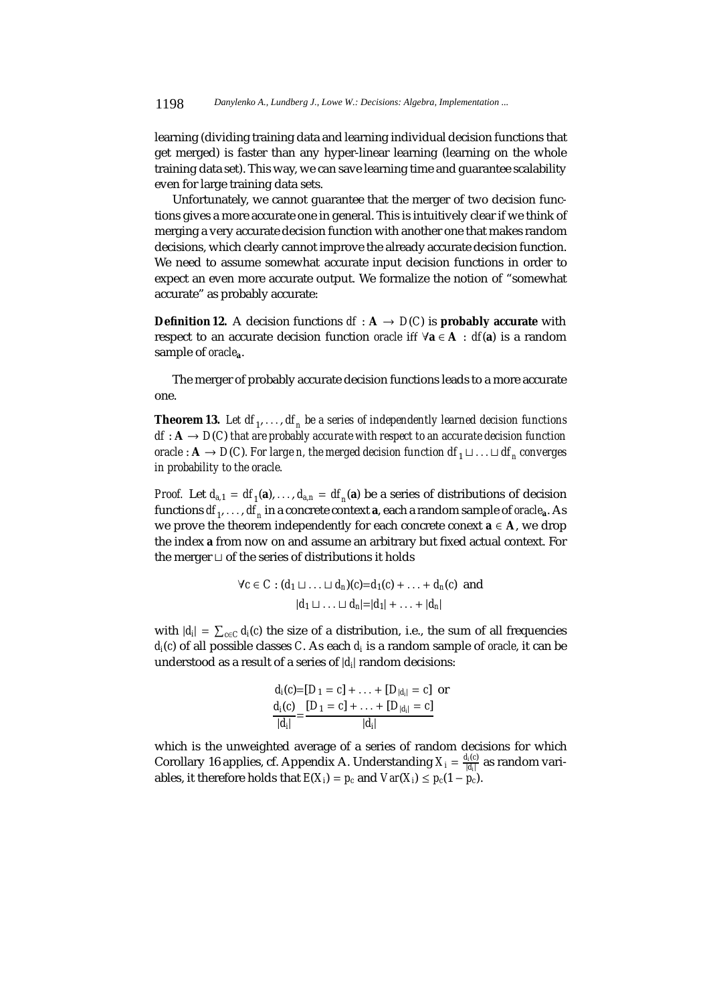learning (dividing training data and learning individual decision functions that get merged) is faster than any hyper-linear learning (learning on the whole training data set). This way, we can save learning time and guarantee scalability even for large training data sets.

Unfortunately, we cannot guarantee that the merger of two decision functions gives a more accurate one in general. This is intuitively clear if we think of merging a very accurate decision function with another one that makes random decisions, which clearly cannot improve the already accurate decision function. We need to assume somewhat accurate input decision functions in order to expect an even more accurate output. We formalize the notion of "somewhat accurate" as probably accurate:

**Definition 12.** A decision functions  $df : A \rightarrow D(C)$  is **probably accurate** with respect to an accurate decision function *oracle* iff ∀**a** ∈ **A** : *df*(**a**) is a random sample of *oracle***a**.

The merger of probably accurate decision functions leads to a more accurate one.

**Theorem 13.** Let  $df_1, \ldots, df_n$  be a series of independently learned decision functions  $df: A \rightarrow D(C)$  *that are probably accurate with respect to an accurate decision function oracle* :  $A \rightarrow D(C)$ *. For large n, the merged decision function*  $df_1 \sqcup \ldots \sqcup df_n$  *converges in probability to the oracle.*

*Proof.* Let  $d_{a,1} = df_1(a),..., d_{a,n} = df_n(a)$  be a series of distributions of decision functions  $df_1, \ldots, df_n$  in a concrete context **a**, each a random sample of *oracle*<sub>a</sub>. As we prove the theorem independently for each concrete conext **a** ∈ **A**, we drop the index **a** from now on and assume an arbitrary but fixed actual context. For the merger  $\sqcup$  of the series of distributions it holds

$$
\forall c \in C : (d_1 \sqcup \ldots \sqcup d_n)(c) = d_1(c) + \ldots + d_n(c) \text{ and}
$$

$$
|d_1 \sqcup \ldots \sqcup d_n| = |d_1| + \ldots + |d_n|
$$

with  $|d_i| = \sum_{c \in C} d_i(c)$  the size of a distribution, i.e., the sum of all frequencies *di*(*c*) of all possible classes *C*. As each *di* is a random sample of *oracle*, it can be understood as a result of a series of |*di*| random decisions:

$$
\frac{d_i(c) = [D_1 = c] + \ldots + [D_{|d_i|} = c]}{|d_i|} = \frac{[D_1 = c] + \ldots + [D_{|d_i|} = c]}{|d_i|}
$$

which is the unweighted average of a series of random decisions for which Corollary 16 applies, cf. Appendix A. Understanding  $X_i = \frac{d_i(c)}{|d_i|}$  as random variables, it therefore holds that  $E(X_i) = p_c$  and  $Var(X_i) \leq p_c(1 - p_c)$ .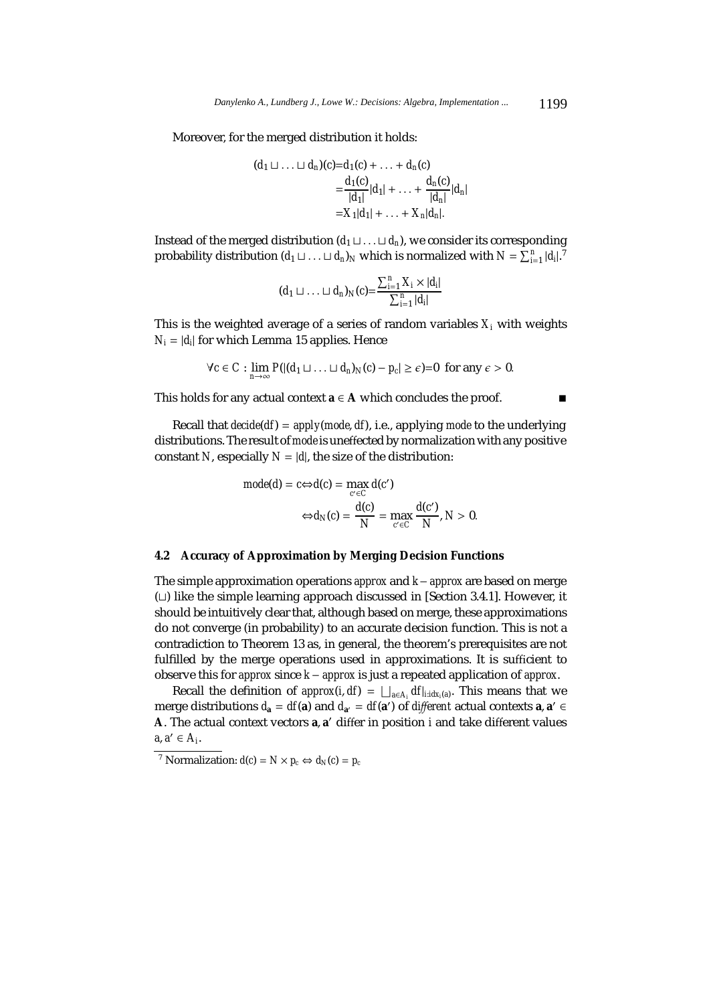Moreover, for the merged distribution it holds:

$$
(d_1 \sqcup \ldots \sqcup d_n)(c) = d_1(c) + \ldots + d_n(c)
$$
  
= 
$$
\frac{d_1(c)}{|d_1|} |d_1| + \ldots + \frac{d_n(c)}{|d_n|} |d_n|
$$
  
= 
$$
X_1|d_1| + \ldots + X_n|d_n|.
$$

Instead of the merged distribution  $(d_1 \sqcup \ldots \sqcup d_n)$ , we consider its corresponding probability distribution  $(d_1 \sqcup ... \sqcup d_n)_N$  which is normalized with  $N = \sum_{i=1}^n |d_i|^T$ 

$$
(d_1 \sqcup \ldots \sqcup d_n)_N(c) = \frac{\sum_{i=1}^n X_i \times |d_i|}{\sum_{i=1}^n |d_i|}
$$

This is the weighted average of a series of random variables  $X_i$  with weights  $N_i = |d_i|$  for which Lemma 15 applies. Hence

$$
\forall c \in C : \lim_{n \to \infty} P(| (d_1 \sqcup \ldots \sqcup d_n)_{N}(c) - p_c | \geq \epsilon) = 0 \text{ for any } \epsilon > 0.
$$

This holds for any actual context  $\mathbf{a} \in \mathbf{A}$  which concludes the proof.  $\blacksquare$ 

Recall that *decide*(*df*) = *apply*(*mode*, *df*), i.e., applying *mode* to the underlying distributions. The result of *mode*is uneffected by normalization with any positive constant *N*, especially  $N = |d|$ , the size of the distribution:

$$
mode(d) = c \Leftrightarrow d(c) = \max_{c' \in C} d(c')
$$

$$
\Leftrightarrow d_N(c) = \frac{d(c)}{N} = \max_{c' \in C} \frac{d(c')}{N}, N > 0.
$$

### **4.2 Accuracy of Approximation by Merging Decision Functions**

The simple approximation operations *approx* and *k* − *approx* are based on merge  $(L)$  like the simple learning approach discussed in [Section 3.4.1]. However, it should be intuitively clear that, although based on merge, these approximations do not converge (in probability) to an accurate decision function. This is not a contradiction to Theorem 13 as, in general, the theorem's prerequisites are not fulfilled by the merge operations used in approximations. It is sufficient to observe this for *approx* since *k* − *approx* is just a repeated application of *approx*.

Recall the definition of *approx*(*i*, *df*) =  $\bigsqcup_{a \in A_i} df|_{i : idx_i(a)}$ . This means that we merge distributions  $d_{\bf a} = df({\bf a})$  and  $d_{\bf a'} = df({\bf a'})$  of *different* actual contexts  ${\bf a}, {\bf a'} \in$ **A**. The actual context vectors **a**, **a** differ in position *i* and take different values  $a, a' \in A_i$ .

<sup>&</sup>lt;sup>7</sup> Normalization:  $d(c) = N \times p_c \Leftrightarrow d_N(c) = p_c$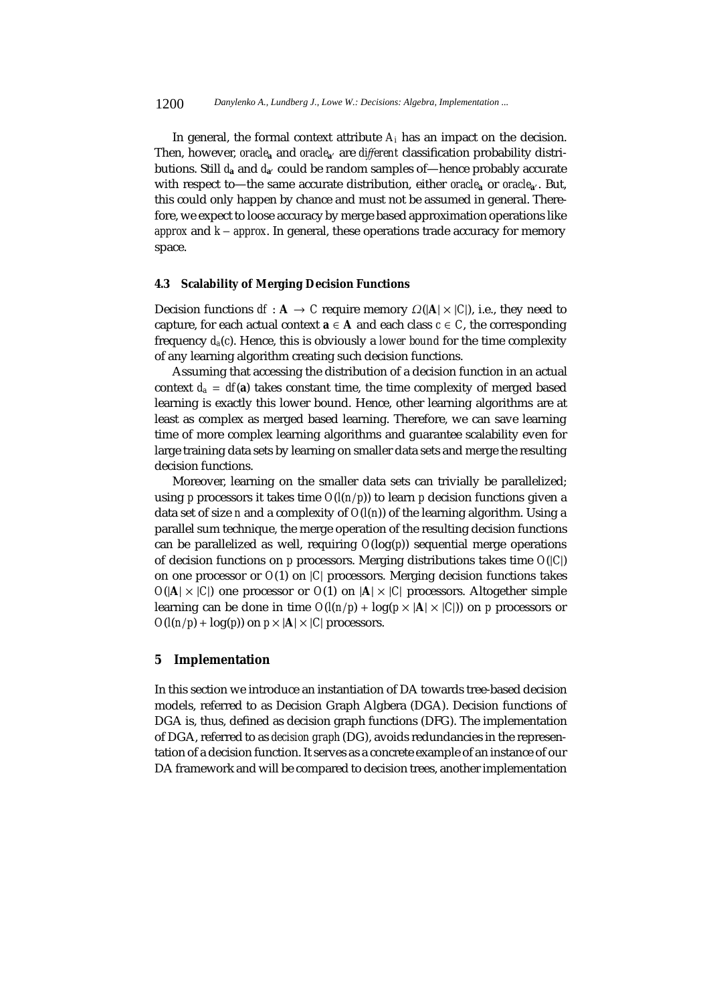In general, the formal context attribute  $A_i$  has an impact on the decision. Then, however, *oracle***<sup>a</sup>** and *oracle***a** are *di*ff*erent* classification probability distributions. Still  $d_{a}$  and  $d_{a'}$  could be random samples of—hence probably accurate with respect to—the same accurate distribution, either *oracle*<sub>a</sub> or *oracle*<sub>a</sub>. But, this could only happen by chance and must not be assumed in general. Therefore, we expect to loose accuracy by merge based approximation operations like *approx* and *k* − *approx*. In general, these operations trade accuracy for memory space.

#### **4.3 Scalability of Merging Decision Functions**

Decision functions  $df : A \to C$  require memory  $\Omega(|A| \times |C|)$ , i.e., they need to capture, for each actual context  $\mathbf{a} \in \mathbf{A}$  and each class  $c \in C$ , the corresponding frequency  $d_a(c)$ . Hence, this is obviously a *lower bound* for the time complexity of any learning algorithm creating such decision functions.

Assuming that accessing the distribution of a decision function in an actual context  $d_a = df(a)$  takes constant time, the time complexity of merged based learning is exactly this lower bound. Hence, other learning algorithms are at least as complex as merged based learning. Therefore, we can save learning time of more complex learning algorithms and guarantee scalability even for large training data sets by learning on smaller data sets and merge the resulting decision functions.

Moreover, learning on the smaller data sets can trivially be parallelized; using *p* processors it takes time *O*(*l*(*n*/*p*)) to learn *p* decision functions given a data set of size *n* and a complexity of *O*(*l*(*n*)) of the learning algorithm. Using a parallel sum technique, the merge operation of the resulting decision functions can be parallelized as well, requiring *O*(log(*p*)) sequential merge operations of decision functions on *p* processors. Merging distributions takes time *O*(|*C*|) on one processor or *O*(1) on |*C*| processors. Merging decision functions takes  $O(|A| \times |C|)$  one processor or  $O(1)$  on  $|A| \times |C|$  processors. Altogether simple learning can be done in time  $O(l(n/p) + log(p \times |A| \times |C|))$  on *p* processors or  $O(l(n/p) + log(p))$  on  $p \times |A| \times |C|$  processors.

## **5 Implementation**

In this section we introduce an instantiation of DA towards tree-based decision models, referred to as Decision Graph Algbera (DGA). Decision functions of DGA is, thus, defined as decision graph functions (DFG). The implementation of DGA, referred to as *decision graph* (DG), avoids redundancies in the representation of a decision function. It serves as a concrete example of an instance of our DA framework and will be compared to decision trees, another implementation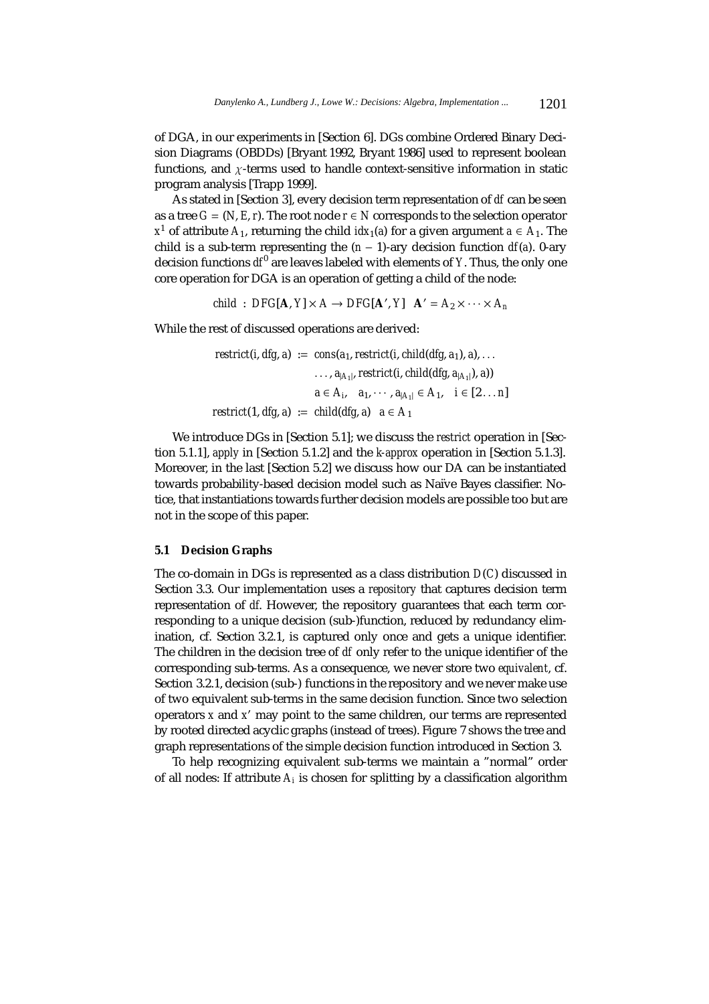of DGA, in our experiments in [Section 6]. DGs combine Ordered Binary Decision Diagrams (OBDDs) [Bryant 1992, Bryant 1986] used to represent boolean functions, and  $\chi$ -terms used to handle context-sensitive information in static program analysis [Trapp 1999].

As stated in [Section 3], every decision term representation of *df* can be seen as a tree  $G = (N, E, r)$ . The root node  $r \in N$  corresponds to the selection operator *x*<sup>1</sup> of attribute *A*<sub>1</sub>, returning the child *idx*<sub>1</sub>(*a*) for a given argument *a* ∈ *A*<sub>1</sub>. The child is a sub-term representing the  $(n - 1)$ -ary decision function  $df(a)$ . 0-ary decision functions  $df^{0}$  are leaves labeled with elements of *Y*. Thus, the only one core operation for DGA is an operation of getting a child of the node:

*child* : *DFG*[**A**,  $Y$ ] × *A* → *DFG*[**A**',  $Y$ ] **A**<sup>'</sup> =  $A_2$  × ···×  $A_n$ 

While the rest of discussed operations are derived:

*restrict*(*i*, *dfg*, *a*) := *cons*( $a_1$ , *restrict*(*i*, *child*(*dfg*,  $a_1$ ), *a*),... ...,  $a_{\vert A_1\vert}$ , restrict(*i*, child(*dfg*,  $a_{\vert A_1\vert}$ ), *a*)) *a* ∈ *A*<sub>*i*</sub>, *a*<sub>1</sub>, ···, *a*<sub>|*A*<sub>1</sub></sub> ∈ *A*<sub>1</sub>, *i* ∈ [2...*n*] *restrict*(1, *dfg*, *a*) := *child*(*dfg*, *a*)  $a \in A_1$ 

We introduce DGs in [Section 5.1]; we discuss the *restrict* operation in [Section 5.1.1], *apply* in [Section 5.1.2] and the *k-approx* operation in [Section 5.1.3]. Moreover, in the last [Section 5.2] we discuss how our DA can be instantiated towards probability-based decision model such as Naïve Bayes classifier. Notice, that instantiations towards further decision models are possible too but are not in the scope of this paper.

# **5.1 Decision Graphs**

The co-domain in DGs is represented as a class distribution *D*(*C*) discussed in Section 3.3. Our implementation uses a *repository* that captures decision term representation of *df*. However, the repository guarantees that each term corresponding to a unique decision (sub-)function, reduced by redundancy elimination, cf. Section 3.2.1, is captured only once and gets a unique identifier. The children in the decision tree of *df* only refer to the unique identifier of the corresponding sub-terms. As a consequence, we never store two *equivalent*, cf. Section 3.2.1, decision (sub-) functions in the repository and we never make use of two equivalent sub-terms in the same decision function. Since two selection operators *x* and *x* may point to the same children, our terms are represented by rooted directed acyclic graphs (instead of trees). Figure 7 shows the tree and graph representations of the simple decision function introduced in Section 3.

To help recognizing equivalent sub-terms we maintain a "normal" order of all nodes: If attribute *Ai* is chosen for splitting by a classification algorithm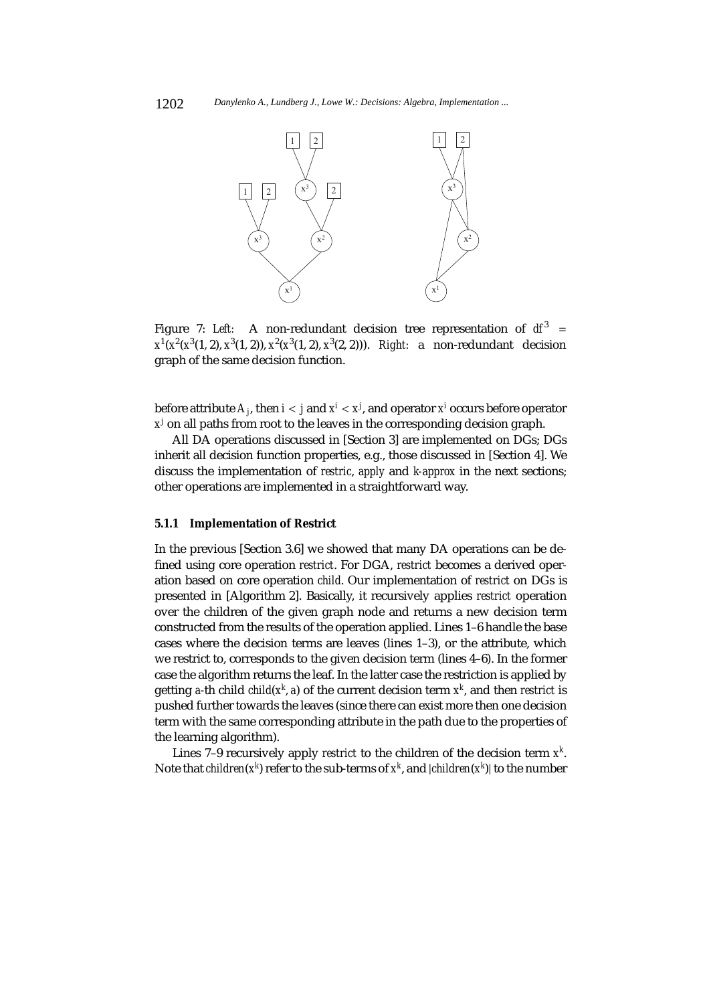

Figure 7: *Left:* A non-redundant decision tree representation of  $df^3$  = *x*1(*x*2(*x*3(1, 2), *x*3(1, 2)), *x*<sup>2</sup> (*x*3(1, 2), *x*<sup>3</sup> (2, 2))). *Right:* a non-redundant decision graph of the same decision function.

before attribute *Aj*, then *i* < *j* and *x<sup>i</sup>* < *x<sup>j</sup>* , and operator *x<sup>i</sup>* occurs before operator *x<sup>j</sup>* on all paths from root to the leaves in the corresponding decision graph.

All DA operations discussed in [Section 3] are implemented on DGs; DGs inherit all decision function properties, e.g., those discussed in [Section 4]. We discuss the implementation of *restric*, *apply* and *k-approx* in the next sections; other operations are implemented in a straightforward way.

#### **5.1.1 Implementation of Restrict**

In the previous [Section 3.6] we showed that many DA operations can be defined using core operation *restrict*. For DGA, *restrict* becomes a derived operation based on core operation *child*. Our implementation of *restrict* on DGs is presented in [Algorithm 2]. Basically, it recursively applies *restrict* operation over the children of the given graph node and returns a new decision term constructed from the results of the operation applied. Lines 1–6 handle the base cases where the decision terms are leaves (lines 1–3), or the attribute, which we restrict to, corresponds to the given decision term (lines 4–6). In the former case the algorithm returns the leaf. In the latter case the restriction is applied by getting *a*-th child *child*(*x<sup>k</sup>* , *a*) of the current decision term *x<sup>k</sup>*, and then *restrict* is pushed further towards the leaves (since there can exist more then one decision term with the same corresponding attribute in the path due to the properties of the learning algorithm).

Lines 7–9 recursively apply *restrict* to the children of the decision term *x<sup>k</sup>* . Note that  $\mathit{children}(x^k)$  refer to the sub-terms of  $x^k$ , and  $|\mathit{children}(x^k)|$  to the number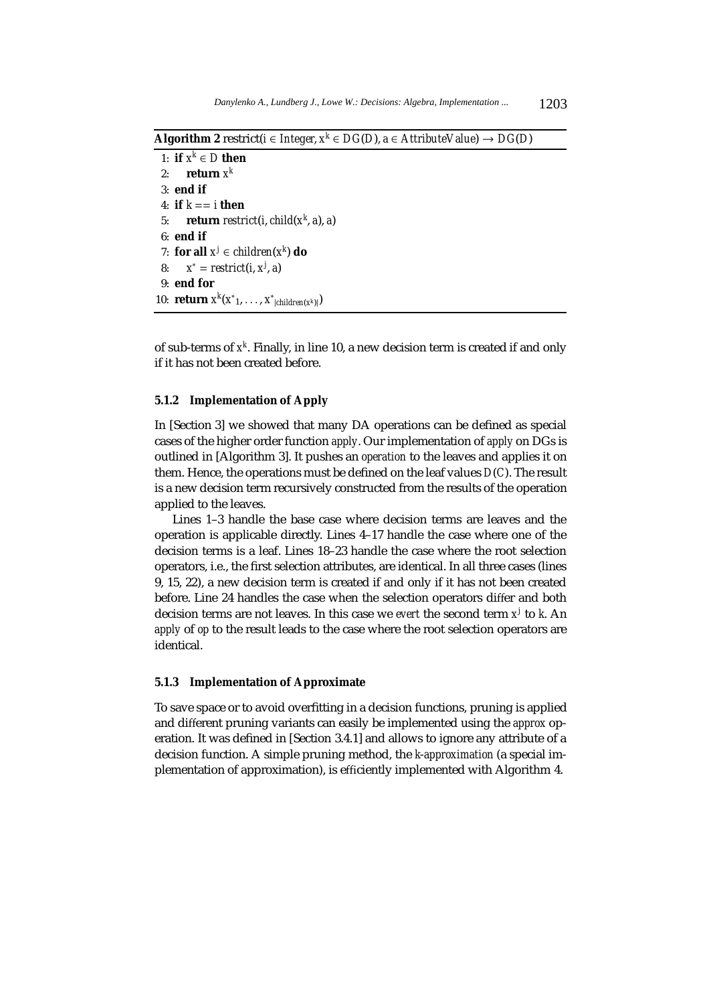**Algorithm 2** restrict( $i \in Integer, x^k \in DG(D)$ ,  $a \in ArtributeValue$ ) →  $DG(D)$ 

1: **if**  $x^k \in D$  **then** 2: **return**  $x^k$ 3: **end if** 4: **if**  $k ==$  *i* then 5: **return** *restrict*(*i*, *child*(*x<sup>k</sup>* , *a*), *a*) 6: **end if** 7: **for all**  $x^j \in children(x^k)$  **do** 8: *x*<sup>∗</sup> = *restrict*(*i*, *x<sup>j</sup>* , *a*) 9: **end for** 10: **return**  $x^k(x^*_{1},...,x^*_{|children(x^k)|})$ 

of sub-terms of *x<sup>k</sup>* . Finally, in line 10, a new decision term is created if and only if it has not been created before.

# **5.1.2 Implementation of Apply**

In [Section 3] we showed that many DA operations can be defined as special cases of the higher order function *apply*. Our implementation of *apply* on DGs is outlined in [Algorithm 3]. It pushes an *operation* to the leaves and applies it on them. Hence, the operations must be defined on the leaf values *D*(*C*). The result is a new decision term recursively constructed from the results of the operation applied to the leaves.

Lines 1–3 handle the base case where decision terms are leaves and the operation is applicable directly. Lines 4–17 handle the case where one of the decision terms is a leaf. Lines 18–23 handle the case where the root selection operators, i.e., the first selection attributes, are identical. In all three cases (lines 9, 15, 22), a new decision term is created if and only if it has not been created before. Line 24 handles the case when the selection operators differ and both decision terms are not leaves. In this case we *evert* the second term *x<sup>j</sup>* to *k*. An *apply* of *op* to the result leads to the case where the root selection operators are identical.

### **5.1.3 Implementation of Approximate**

To save space or to avoid overfitting in a decision functions, pruning is applied and different pruning variants can easily be implemented using the *approx* operation. It was defined in [Section 3.4.1] and allows to ignore any attribute of a decision function. A simple pruning method, the *k*-*approximation* (a special implementation of approximation), is efficiently implemented with Algorithm 4.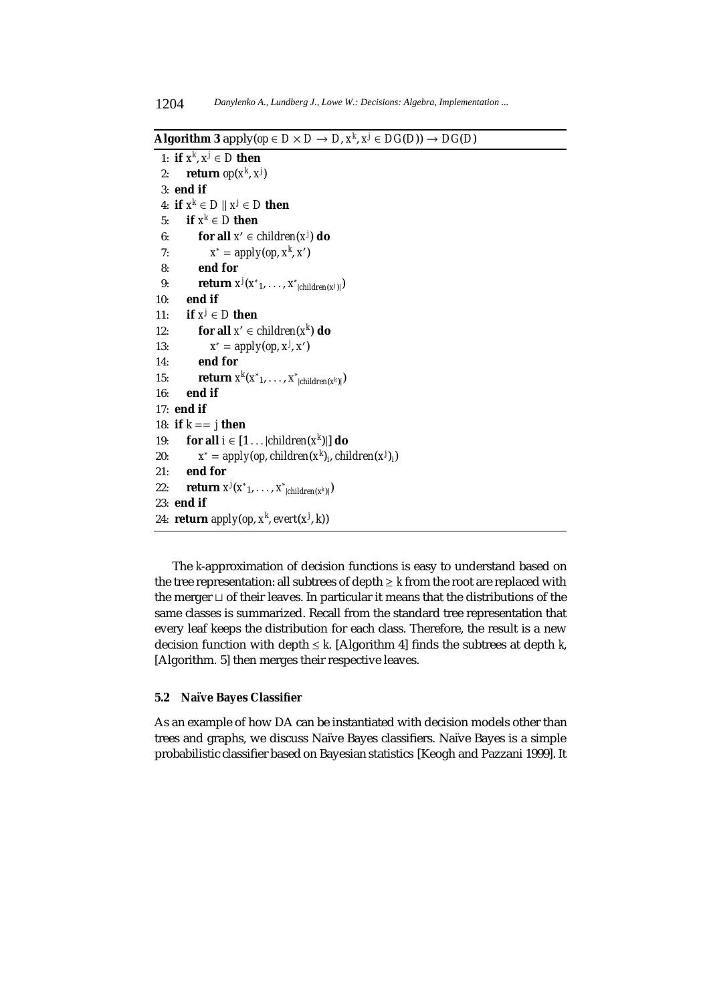**Algorithm 3** apply( $op \in D \times D \to D$ ,  $x^k$ ,  $x^j \in DG(D) \to DG(D)$ 

```
1: if x^k, x^j \in D then
 2: return op(x^k, x^j)3: end if
 4: if x^k \in D \parallel x^j \in D then
 5: if x^k \in D then
 6: for all x' \in children(x^j) do
 7: x^* = apply(op, x^k, x')8: end for
 9: return x^j(x^*_{1},...,x^*_{|children(x^j)|})10: end if
11: if x^j \in D then
12: for all x' \in children(x^k) do
13: x^* = apply(op, x^j, x')14: end for
15: return x^k(x^*_{1},...,x^*_{|children(x^k)|})16: end if
17: end if
18: if k == j then
19: for all i \in [1 \dots | children(x^k)] do
20: x^* = apply(op, children(x^k)_i, children(x^j)_i)21: end for
22: return x^j(x^*_{1},...,x^*_{|children(x^k)|})23: end if
24: return apply(op, xk
,evert(xj
, k))
```
The *k*-approximation of decision functions is easy to understand based on the tree representation: all subtrees of depth  $\geq k$  from the root are replaced with the merger  $\sqcup$  of their leaves. In particular it means that the distributions of the same classes is summarized. Recall from the standard tree representation that every leaf keeps the distribution for each class. Therefore, the result is a new decision function with depth  $\leq k$ . [Algorithm 4] finds the subtrees at depth *k*, [Algorithm. 5] then merges their respective leaves.

# **5.2 Na¨ıve Bayes Classifier**

As an example of how DA can be instantiated with decision models other than trees and graphs, we discuss Naïve Bayes classifiers. Naïve Bayes is a simple probabilistic classifier based on Bayesian statistics [Keogh and Pazzani 1999]. It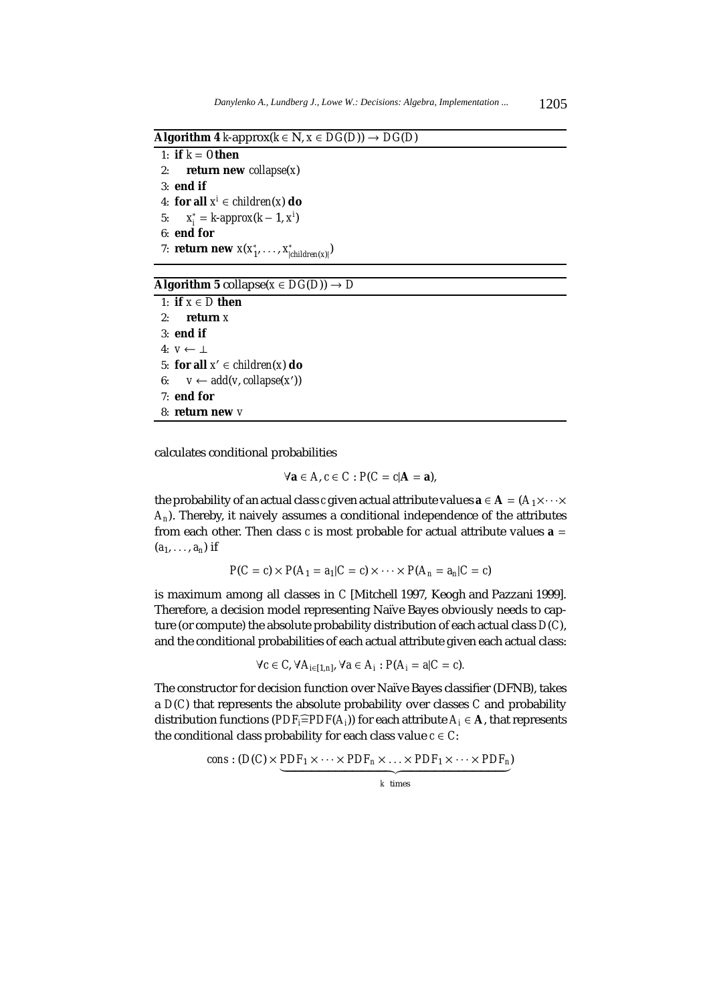$\overline{Algorithm 4 \ k\text{-approx}(k \in N, x \in DG(D)) \rightarrow DG(D)}$ 

1: **if**  $k = 0$  **then** 2: **return new** *collapse*(*x*) 3: **end if** 4: **for all**  $x^i \in \text{children}(x)$  **do** 5:  $x_i^* = k \text{-}approx(k-1, x^i)$ 6: **end for** 7: **return new**  $x(x_1^*, \ldots, x_{|children(x)|}^*)$ 

### $\overline{\text{Algorithm 5 collapse}}(x \in DG(D)) \rightarrow D$

1: **if**  $x \in D$  **then** 2: **return** *x* 3: **end if** 4: *v* ← ⊥ 5: **for all**  $x' \in children(x)$  **do** 6:  $v \leftarrow add(v, collapse(x'))$ 7: **end for** 8: **return new** *v*

calculates conditional probabilities

$$
\forall \mathbf{a} \in A, c \in C : P(C = c | \mathbf{A} = \mathbf{a}),
$$

the probability of an actual class *c* given actual attribute values  $\mathbf{a} \in \mathbf{A} = (A_1 \times \cdots \times$ *An*). Thereby, it naively assumes a conditional independence of the attributes from each other. Then class  $c$  is most probable for actual attribute values  $a =$  $(a_1, \ldots, a_n)$  if

$$
P(C = c) \times P(A_1 = a_1 | C = c) \times \cdots \times P(A_n = a_n | C = c)
$$

is maximum among all classes in *C* [Mitchell 1997, Keogh and Pazzani 1999]. Therefore, a decision model representing Naïve Bayes obviously needs to capture (or compute) the absolute probability distribution of each actual class *D*(*C*), and the conditional probabilities of each actual attribute given each actual class:

$$
\forall c \in C, \forall A_{i \in [1,n]}, \forall a \in A_i : P(A_i = a | C = c).
$$

The constructor for decision function over Naïve Bayes classifier (DFNB), takes a *D*(*C*) that represents the absolute probability over classes *C* and probability distribution functions ( $PDF_i = PDF(A_i)$ ) for each attribute  $A_i \in \mathbf{A}$ , that represents the conditional class probability for each class value  $c \in C$ :

cons: 
$$
(D(C) \times \underbrace{PDF_1 \times \cdots \times PDF_n \times \cdots \times PDF_1 \times \cdots \times PDF_n}_{k \text{ times}})
$$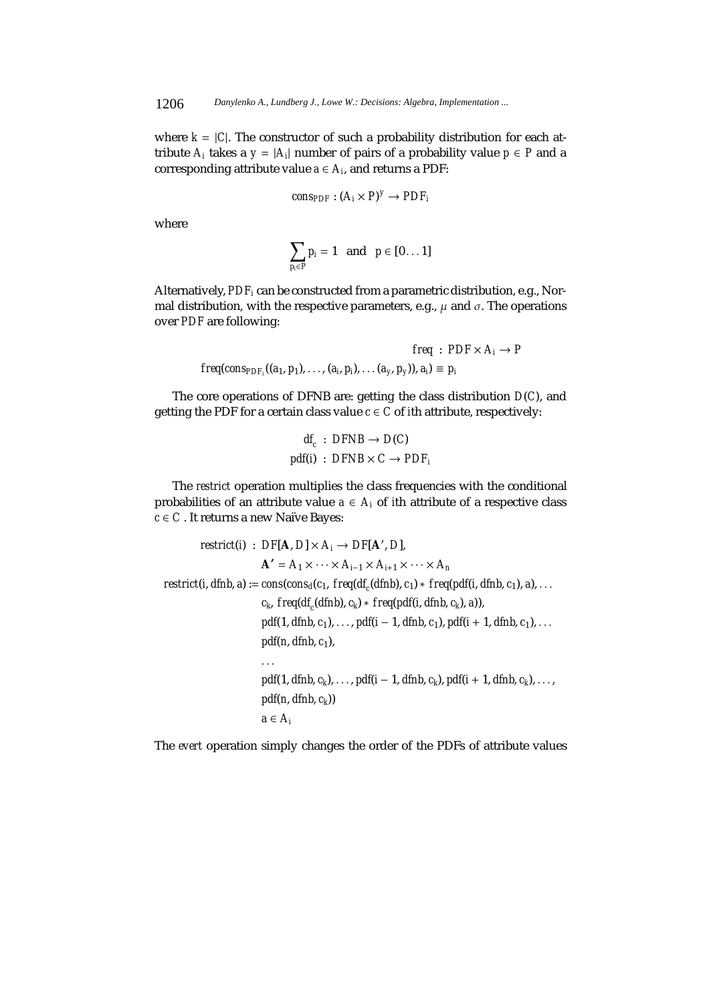where  $k = |C|$ . The constructor of such a probability distribution for each attribute  $A_i$  takes a  $y = |A_i|$  number of pairs of a probability value  $p \in P$  and a corresponding attribute value  $a \in A_i$ , and returns a PDF:

$$
cons_{PDF}: (A_i \times P)^y \rightarrow PDF_i
$$

where

$$
\sum_{p_i\in P}p_i=1 \text{ and } p\in [0\ldots 1]
$$

Alternatively, *PDFi* can be constructed from a parametric distribution, e.g., Normal distribution, with the respective parameters, e.g.,  $\mu$  and  $\sigma$ . The operations over *PDF* are following:

$$
freq: PDF \times A_i \rightarrow P
$$
  

$$
freq(cons_{PDF_i}((a_1, p_1), \ldots, (a_i, p_i), \ldots (a_{y}, p_y)), a_i) \equiv p_i
$$

The core operations of DFNB are: getting the class distribution *D*(*C*), and getting the PDF for a certain class value  $c \in C$  of *i*th attribute, respectively:

$$
df_c : DFNB \rightarrow D(C)
$$
  
pdf(i) : DFNB × C → PDF<sub>i</sub>

The *restrict* operation multiplies the class frequencies with the conditional probabilities of an attribute value  $a \in A_i$  of *i*th attribute of a respective class  $c \in C$ . It returns a new Naïve Bayes:

$$
restrict(i) : DF[A, D] \times A_i \rightarrow DF[A', D],
$$
  
\n
$$
A' = A_1 \times \cdots \times A_{i-1} \times A_{i+1} \times \cdots \times A_n
$$
  
\n
$$
restrict(i, dfnb, a) := cons(cos_a(c_1, freq(df_c(dfnb), c_1) * freq(pdf(i, dfnb, c_1), a), ...
$$
  
\n
$$
c_k, freq(df_c(dfnb), c_k) * freq(pdf(i, dfnb, c_k), a)),
$$
  
\n
$$
pdf(1, dfnb, c_1), ..., pdf(i - 1, dfnb, c_1), pdf(i + 1, dfnb, c_1), ...
$$
  
\n
$$
pdf(1, dfnb, c_1), ... , pdf(i - 1, dfnb, c_k), pdf(i + 1, dfnb, c_k), ... ,
$$
  
\n
$$
pdf(n, dfnb, c_k))
$$
  
\n
$$
a \in A_i
$$

The *evert* operation simply changes the order of the PDFs of attribute values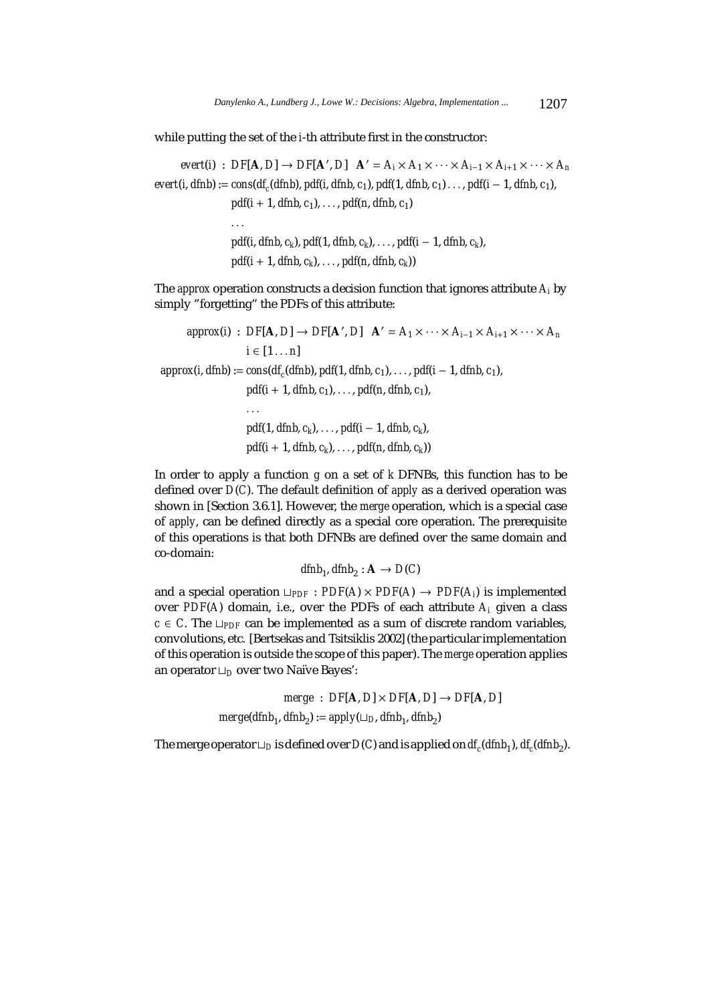while putting the set of the *i*-th attribute first in the constructor:

*, <i>D*]  $\mathbf{A}' = A_i \times A_1 \times \cdots \times A_{i-1} \times A_{i+1} \times \cdots \times A_n$  $evert(i, dfnh) := \cos(df_c(dfnh), pdf(i, dfnh, c_1), pdf(1, dfnh, c_1) \ldots$ ,  $pdf(i-1, dfnh, c_1)$ , *pdf*( $i + 1$ , *dfnb*,  $c_1$ ),..., *pdf*( $n$ , *dfnb*,  $c_1$ ) ... *pdf*(*i*, *dfnb*, *ck*), *pdf*(1, *dfnb*, *ck*),..., *pdf*(*i* − 1, *dfnb*, *ck*),  $pdf(i + 1, dfnb, c_k), \ldots, pdf(n, dfnb, c_k))$ 

The *approx* operation constructs a decision function that ignores attribute *Ai* by simply "forgetting" the PDFs of this attribute:

 $approx(i)$  :  $DF[A, D] \rightarrow DF[A', D]$   $A' = A_1 \times \cdots \times A_{i-1} \times A_{i+1} \times \cdots \times A_n$ *i* ∈  $[1 \dots n]$  $approx(i, dfnb) := cons(df_c(dfnb), pdf(1, dfnb, c_1), \ldots, pdf(i-1, dfnb, c_1),$  $pdf(i + 1, dfnb, c_1), \ldots, pdf(n, dfnb, c_1),$ ... *pdf*(1, *dfnb*, *ck*),..., *pdf*(*i* − 1, *dfnb*, *ck*),  $pdf(i + 1, dfnb, c_k), \ldots, pdf(n, dfnb, c_k))$ 

In order to apply a function *g* on a set of *k* DFNBs, this function has to be defined over *D*(*C*). The default definition of *apply* as a derived operation was shown in [Section 3.6.1]. However, the *merge* operation, which is a special case of *apply*, can be defined directly as a special core operation. The prerequisite of this operations is that both DFNBs are defined over the same domain and co-domain:

*dfnb*<sub>1</sub>, *dfnb*<sub>2</sub> :  $A \rightarrow D(C)$ 

and a special operation  $\Box_{PDF}$ :  $PDF(A) \times PDF(A) \rightarrow PDF(A_i)$  is implemented over *PDF*( $A$ ) domain, i.e., over the *PDFs* of each attribute  $A_i$  given a class *c*  $\in$  *C*. The  $\Box_{PDF}$  can be implemented as a sum of discrete random variables, convolutions, etc. [Bertsekas and Tsitsiklis 2002] (the particular implementation of this operation is outside the scope of this paper). The *merge* operation applies an operator *D* over two Naïve Bayes':

> $merge : DF[A, D] \times DF[A, D] \rightarrow DF[A, D]$  $merge(dfnh<sub>1</sub>, dfnh<sub>2</sub>) := apply(\sqcup_D, dfnh<sub>1</sub>, dfnh<sub>2</sub>)$

The merge operator  $\Box_D$  is defined over  $D(C)$  and is applied on  $df_c(dfnh_1)$ ,  $df_c(dfnh_2)$ .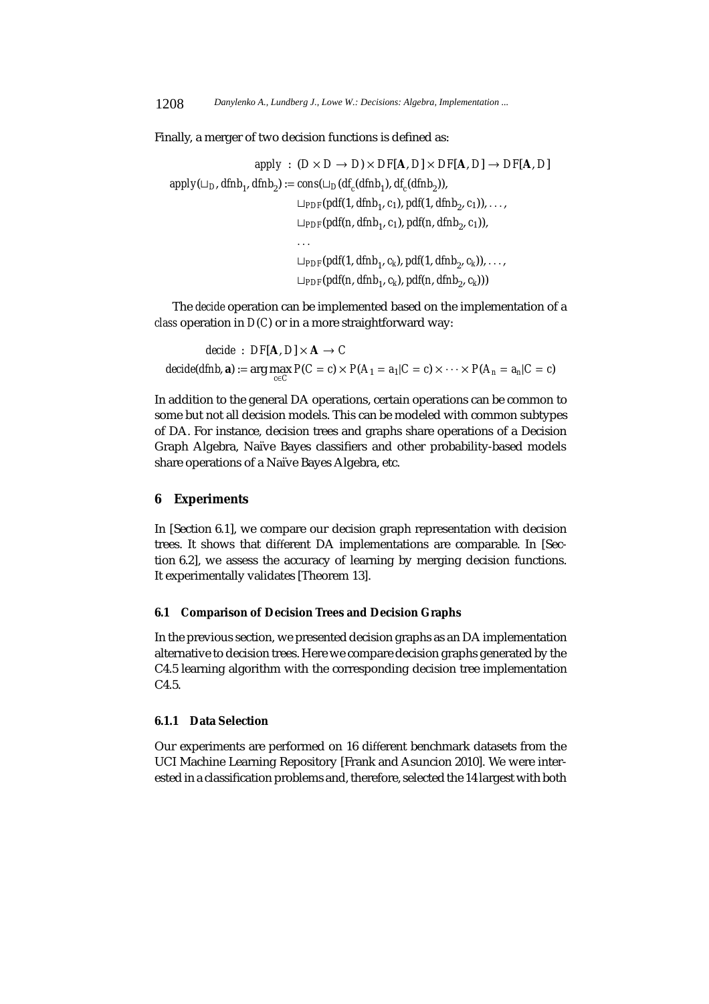Finally, a merger of two decision functions is defined as:

$$
apply: (D \times D \rightarrow D) \times DF[A, D] \times DF[A, D] \rightarrow DF[A, D]
$$
\n
$$
apply(\sqcup_D, dfinb_1, dfinb_2) := cons(\sqcup_D(df_c(dfinb_1), df_c(dfinb_2)),
$$
\n
$$
\sqcup_{PDF}(pdf(1, dfinb_1, c_1), pdf(1, dfinb_2, c_1)), \dots,
$$
\n
$$
\sqcup_{PDF}(pdf(n, dfinb_1, c_1), pdf(n, dfinb_2, c_1)), \dots,
$$
\n
$$
\sqcup_{PDF}(pdf(1, dfinb_1, c_k), pdf(1, dfinb_2, c_k)), \dots,
$$
\n
$$
\sqcup_{PDF}(pdf(n, dfinb_1, c_k), pdf(n, dfinb_2, c_k)))
$$

The *decide* operation can be implemented based on the implementation of a *class* operation in *D*(*C*) or in a more straightforward way:

*decide* :  $DF[A, D] \times A \rightarrow C$ *decide*(*dfnb*, **a**) := arg max  $P(C = c) \times P(A_1 = a_1 | C = c) \times \cdots \times P(A_n = a_n | C = c)$ 

In addition to the general DA operations, certain operations can be common to some but not all decision models. This can be modeled with common subtypes of DA. For instance, decision trees and graphs share operations of a Decision Graph Algebra, Naïve Bayes classifiers and other probability-based models share operations of a Naïve Bayes Algebra, etc.

# **6 Experiments**

In [Section 6.1], we compare our decision graph representation with decision trees. It shows that different DA implementations are comparable. In [Section 6.2], we assess the accuracy of learning by merging decision functions. It experimentally validates [Theorem 13].

# **6.1 Comparison of Decision Trees and Decision Graphs**

In the previous section, we presented decision graphs as an DA implementation alternative to decision trees. Here we compare decision graphs generated by the C4.5 learning algorithm with the corresponding decision tree implementation C4.5.

#### **6.1.1 Data Selection**

Our experiments are performed on 16 different benchmark datasets from the UCI Machine Learning Repository [Frank and Asuncion 2010]. We were interested in a classification problems and, therefore, selected the 14 largest with both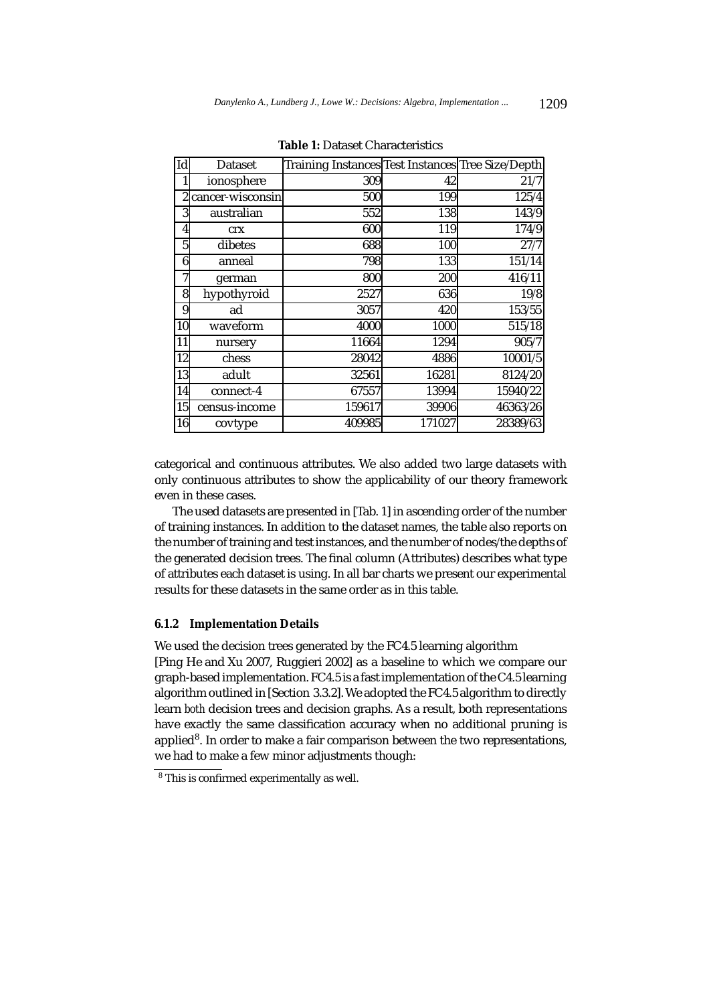| Id             | <b>Dataset</b>   | Training Instances Test Instances Tree Size/Depth |        |                 |
|----------------|------------------|---------------------------------------------------|--------|-----------------|
|                | ionosphere       | 309                                               | 42     | 21/7            |
| $\overline{c}$ | cancer-wisconsin | 500                                               | 199    | 125/4           |
| 3              | australian       | 552                                               | 138    | 143/9           |
| 4              | crx              | 600                                               | 119    | $\frac{174}{9}$ |
| 5              | dibetes          | 688                                               | 100    | 27/7            |
| 6              | anneal           | 798                                               | 133    | 151/14          |
| 7              | german           | 800                                               | 200    | 416/11          |
| 8              | hypothyroid      | 2527                                              | 636    | 19/8            |
| 9              | ad               | 3057                                              | 420    | 153/55          |
| 10             | waveform         | 4000                                              | 1000   | 515/18          |
| 11             | nursery          | 11664                                             | 1294   | 905/7           |
| 12             | chess            | 28042                                             | 4886   | 10001/5         |
| 13             | adult            | 32561                                             | 16281  | 8124/20         |
| 14             | connect-4        | 67557                                             | 13994  | 15940/22        |
| 15             | census-income    | 159617                                            | 39906  | 46363/26        |
| 16             | covtype          | 409985                                            | 171027 | 28389/63        |

**Table 1:** Dataset Characteristics

categorical and continuous attributes. We also added two large datasets with only continuous attributes to show the applicability of our theory framework even in these cases.

The used datasets are presented in [Tab. 1] in ascending order of the number of training instances. In addition to the dataset names, the table also reports on the number of training and test instances, and the number of nodes/the depths of the generated decision trees. The final column (Attributes) describes what type of attributes each dataset is using. In all bar charts we present our experimental results for these datasets in the same order as in this table.

## **6.1.2 Implementation Details**

We used the decision trees generated by the FC4.5 learning algorithm [Ping He and Xu 2007, Ruggieri 2002] as a baseline to which we compare our graph-based implementation. FC4.5 is a fast implementation of the C4.5 learning algorithm outlined in [Section 3.3.2]. We adopted the FC4.5 algorithm to directly learn *both* decision trees and decision graphs. As a result, both representations have exactly the same classification accuracy when no additional pruning is applied8. In order to make a fair comparison between the two representations, we had to make a few minor adjustments though:

<sup>8</sup> This is confirmed experimentally as well.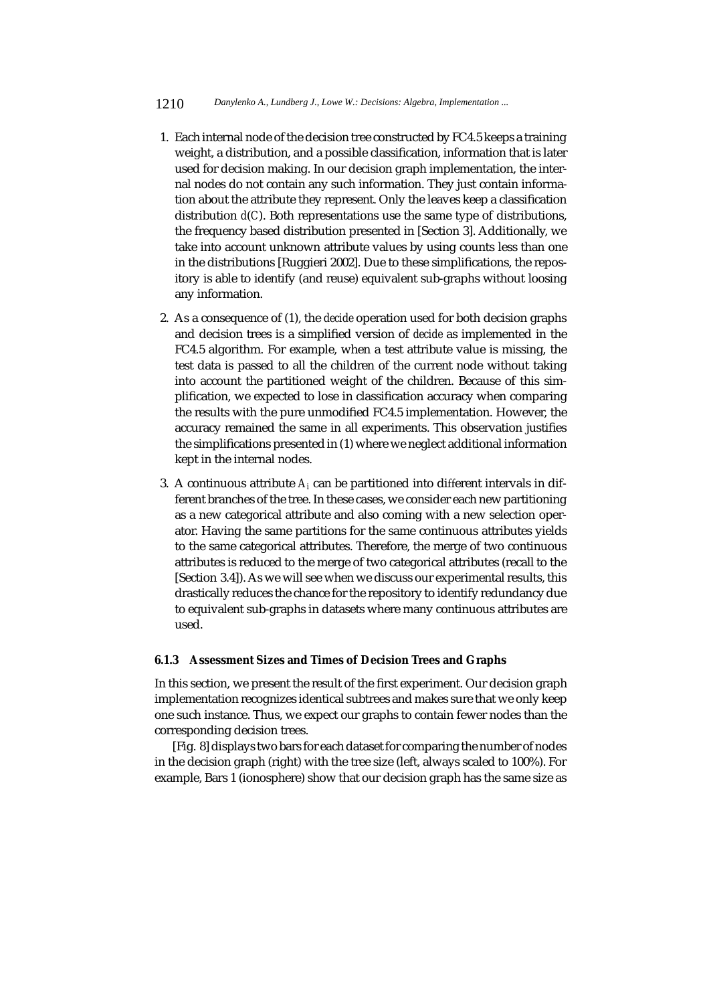- 1. Each internal node of the decision tree constructed by FC4.5 keeps a training weight, a distribution, and a possible classification, information that is later used for decision making. In our decision graph implementation, the internal nodes do not contain any such information. They just contain information about the attribute they represent. Only the leaves keep a classification distribution *d*(*C*). Both representations use the same type of distributions, the frequency based distribution presented in [Section 3]. Additionally, we take into account unknown attribute values by using counts less than one in the distributions [Ruggieri 2002]. Due to these simplifications, the repository is able to identify (and reuse) equivalent sub-graphs without loosing any information.
- 2. As a consequence of (1), the *decide* operation used for both decision graphs and decision trees is a simplified version of *decide* as implemented in the FC4.5 algorithm. For example, when a test attribute value is missing, the test data is passed to all the children of the current node without taking into account the partitioned weight of the children. Because of this simplification, we expected to lose in classification accuracy when comparing the results with the pure unmodified FC4.5 implementation. However, the accuracy remained the same in all experiments. This observation justifies the simplifications presented in (1) where we neglect additional information kept in the internal nodes.
- 3. A continuous attribute  $A_i$  can be partitioned into different intervals in different branches of the tree. In these cases, we consider each new partitioning as a new categorical attribute and also coming with a new selection operator. Having the same partitions for the same continuous attributes yields to the same categorical attributes. Therefore, the merge of two continuous attributes is reduced to the merge of two categorical attributes (recall to the [Section 3.4]). As we will see when we discuss our experimental results, this drastically reduces the chance for the repository to identify redundancy due to equivalent sub-graphs in datasets where many continuous attributes are used.

## **6.1.3 Assessment Sizes and Times of Decision Trees and Graphs**

In this section, we present the result of the first experiment. Our decision graph implementation recognizes identical subtrees and makes sure that we only keep one such instance. Thus, we expect our graphs to contain fewer nodes than the corresponding decision trees.

[Fig. 8] displays two bars for each dataset for comparing the number of nodes in the decision graph (right) with the tree size (left, always scaled to 100%). For example, Bars 1 (ionosphere) show that our decision graph has the same size as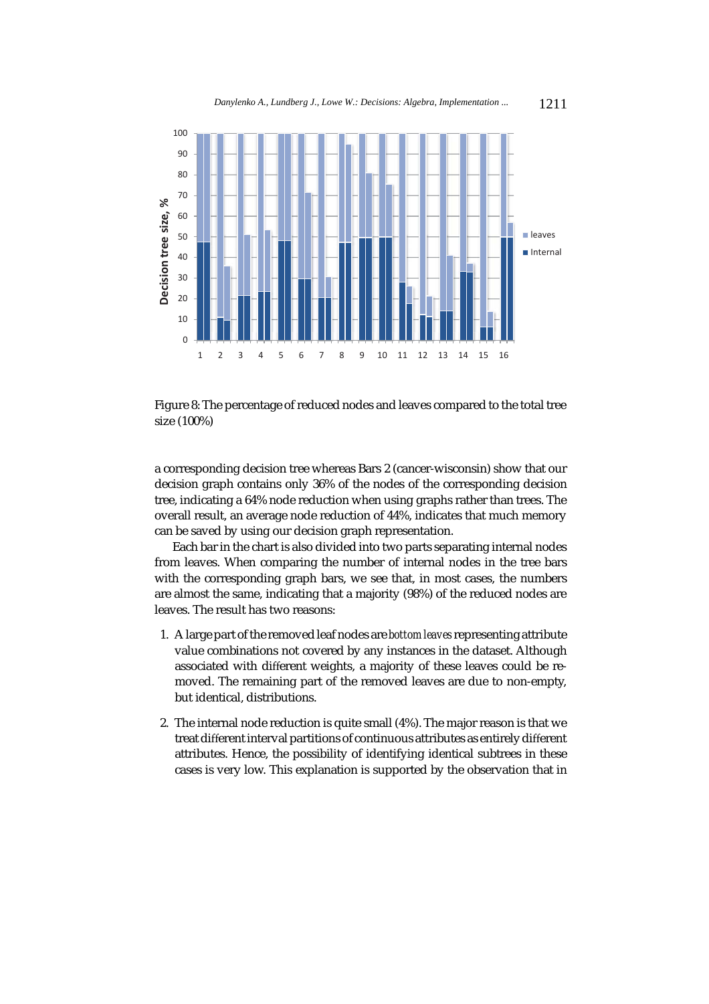

Figure 8: The percentage of reduced nodes and leaves compared to the total tree size (100%)

a corresponding decision tree whereas Bars 2 (cancer-wisconsin) show that our decision graph contains only 36% of the nodes of the corresponding decision tree, indicating a 64% node reduction when using graphs rather than trees. The overall result, an average node reduction of 44%, indicates that much memory can be saved by using our decision graph representation.

Each bar in the chart is also divided into two parts separating internal nodes from leaves. When comparing the number of internal nodes in the tree bars with the corresponding graph bars, we see that, in most cases, the numbers are almost the same, indicating that a majority (98%) of the reduced nodes are leaves. The result has two reasons:

- 1. A large part of the removed leaf nodes are *bottom leaves*representing attribute value combinations not covered by any instances in the dataset. Although associated with different weights, a majority of these leaves could be removed. The remaining part of the removed leaves are due to non-empty, but identical, distributions.
- 2. The internal node reduction is quite small (4%). The major reason is that we treat different interval partitions of continuous attributes as entirely different attributes. Hence, the possibility of identifying identical subtrees in these cases is very low. This explanation is supported by the observation that in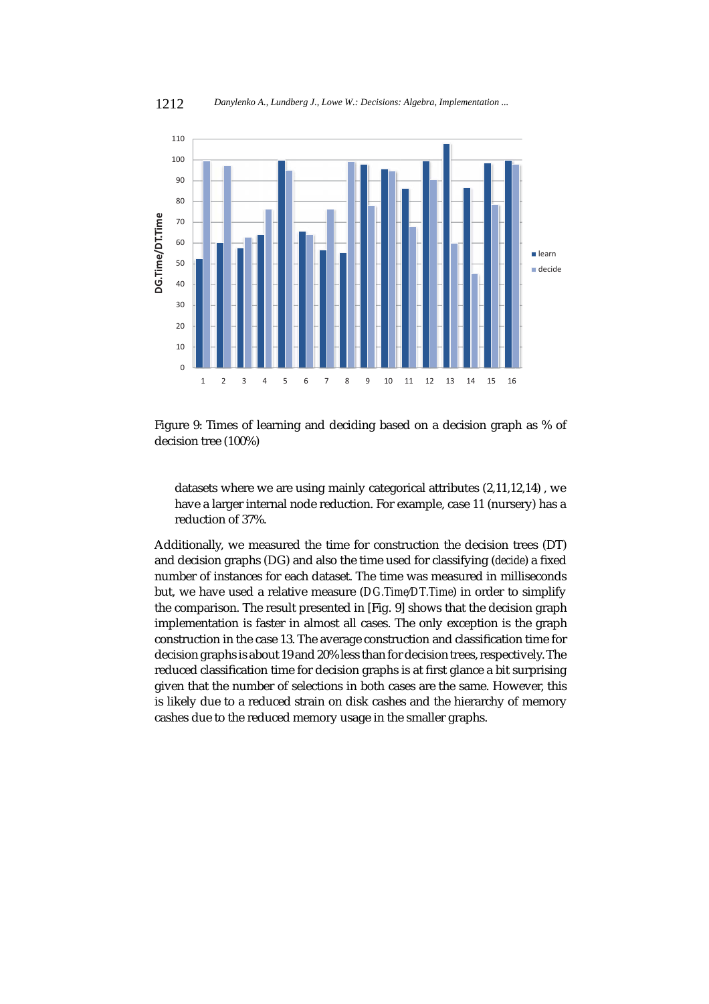

Figure 9: Times of learning and deciding based on a decision graph as % of decision tree (100%)

1 2 3 4 5 6 7 8 9 10 11 12 13 14 15 16

 $\Omega$ 10 20

datasets where we are using mainly categorical attributes (2,11,12,14) , we have a larger internal node reduction. For example, case 11 (nursery) has a reduction of 37%.

Additionally, we measured the time for construction the decision trees (DT) and decision graphs (DG) and also the time used for classifying (*decide*) a fixed number of instances for each dataset. The time was measured in milliseconds but, we have used a relative measure (*DG.Time*/*DT.Time*) in order to simplify the comparison. The result presented in [Fig. 9] shows that the decision graph implementation is faster in almost all cases. The only exception is the graph construction in the case 13. The average construction and classification time for decision graphs is about 19 and 20% less than for decision trees, respectively. The reduced classification time for decision graphs is at first glance a bit surprising given that the number of selections in both cases are the same. However, this is likely due to a reduced strain on disk cashes and the hierarchy of memory cashes due to the reduced memory usage in the smaller graphs.

1212 *Danylenko A., Lundberg J., Lowe W.: Decisions: Algebra, Implementation ...*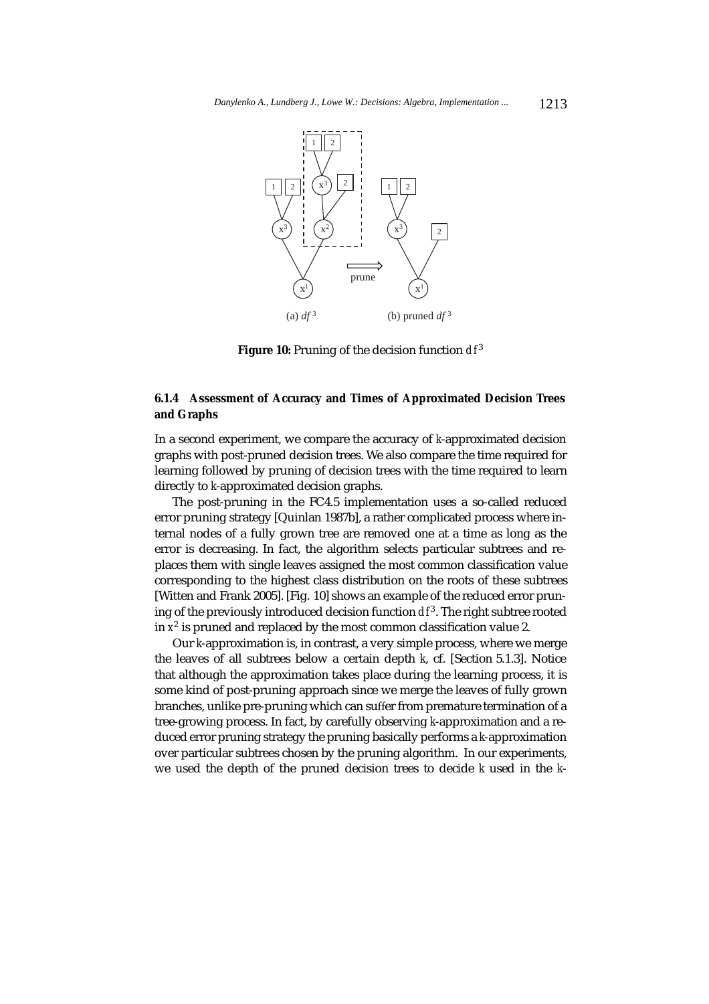

**Figure 10:** Pruning of the decision function  $df^3$ 

# **6.1.4 Assessment of Accuracy and Times of Approximated Decision Trees and Graphs**

In a second experiment, we compare the accuracy of *k*-approximated decision graphs with post-pruned decision trees. We also compare the time required for learning followed by pruning of decision trees with the time required to learn directly to *k*-approximated decision graphs.

The post-pruning in the FC4.5 implementation uses a so-called reduced error pruning strategy [Quinlan 1987b], a rather complicated process where internal nodes of a fully grown tree are removed one at a time as long as the error is decreasing. In fact, the algorithm selects particular subtrees and replaces them with single leaves assigned the most common classification value corresponding to the highest class distribution on the roots of these subtrees [Witten and Frank 2005]. [Fig. 10] shows an example of the reduced error pruning of the previously introduced decision function  $df^3$ . The right subtree rooted in  $x^2$  is pruned and replaced by the most common classification value 2.

Our *k*-approximation is, in contrast, a very simple process, where we merge the leaves of all subtrees below a certain depth *k*, cf. [Section 5.1.3]. Notice that although the approximation takes place during the learning process, it is some kind of post-pruning approach since we merge the leaves of fully grown branches, unlike pre-pruning which can suffer from premature termination of a tree-growing process. In fact, by carefully observing *k*-approximation and a reduced error pruning strategy the pruning basically performs a *k*-approximation over particular subtrees chosen by the pruning algorithm. In our experiments, we used the depth of the pruned decision trees to decide *k* used in the *k*-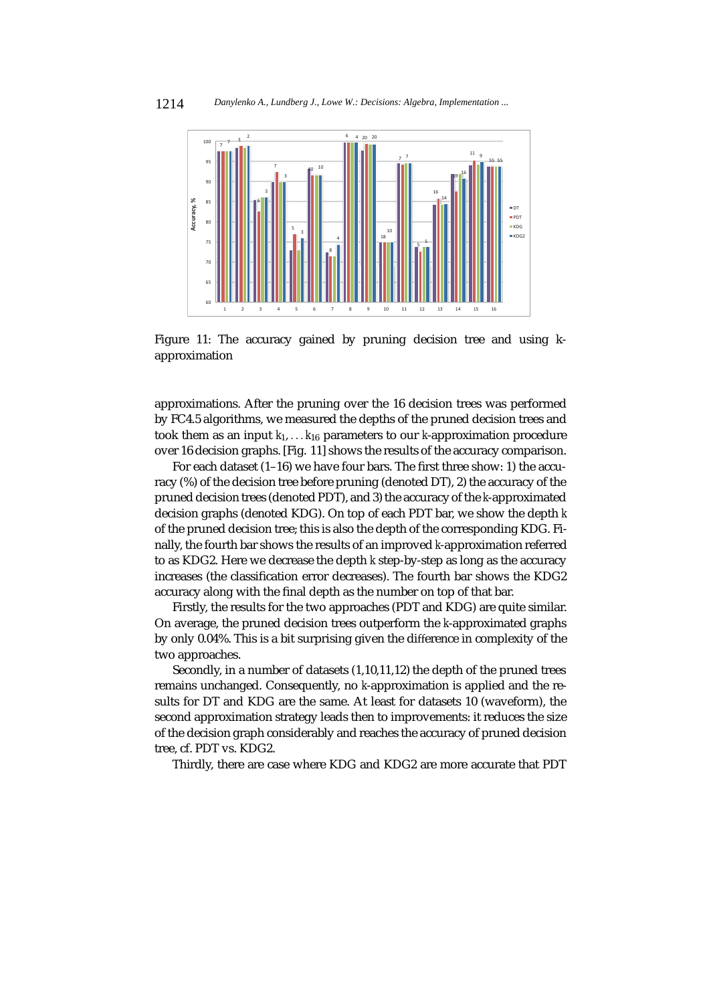

Figure 11: The accuracy gained by pruning decision tree and using kapproximation

approximations. After the pruning over the 16 decision trees was performed by FC4.5 algorithms, we measured the depths of the pruned decision trees and took them as an input  $k_1$ ,... $k_{16}$  parameters to our *k*-approximation procedure over 16 decision graphs. [Fig. 11] shows the results of the accuracy comparison.

For each dataset (1–16) we have four bars. The first three show: 1) the accuracy (%) of the decision tree before pruning (denoted DT), 2) the accuracy of the pruned decision trees (denoted PDT), and 3) the accuracy of the *k*-approximated decision graphs (denoted KDG). On top of each PDT bar, we show the depth *k* of the pruned decision tree; this is also the depth of the corresponding KDG. Finally, the fourth bar shows the results of an improved *k*-approximation referred to as KDG2. Here we decrease the depth *k* step-by-step as long as the accuracy increases (the classification error decreases). The fourth bar shows the KDG2 accuracy along with the final depth as the number on top of that bar.

Firstly, the results for the two approaches (PDT and KDG) are quite similar. On average, the pruned decision trees outperform the *k*-approximated graphs by only 0.04%. This is a bit surprising given the difference in complexity of the two approaches.

Secondly, in a number of datasets (1,10,11,12) the depth of the pruned trees remains unchanged. Consequently, no *k*-approximation is applied and the results for DT and KDG are the same. At least for datasets 10 (waveform), the second approximation strategy leads then to improvements: it reduces the size of the decision graph considerably and reaches the accuracy of pruned decision tree, cf. PDT vs. KDG2.

Thirdly, there are case where KDG and KDG2 are more accurate that PDT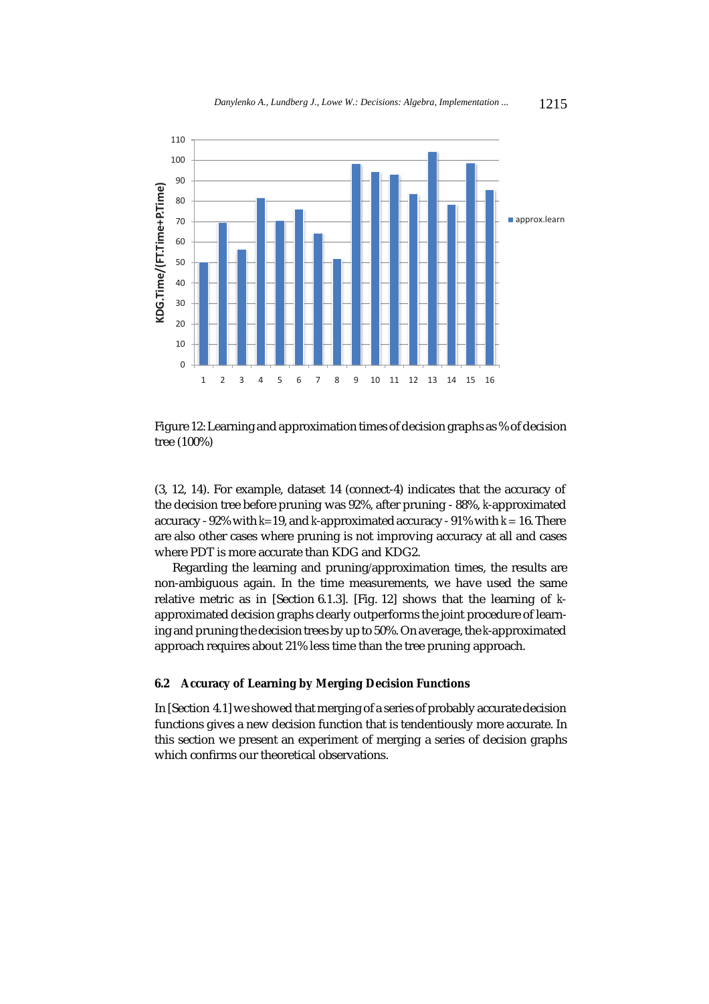

Figure 12: Learning and approximation times of decision graphs as % of decision tree (100%)

(3, 12, 14). For example, dataset 14 (connect-4) indicates that the accuracy of the decision tree before pruning was 92%, after pruning - 88%, *k*-approximated accuracy - 92% with *k*=19, and *k*-approximated accuracy - 91% with *k* = 16. There are also other cases where pruning is not improving accuracy at all and cases where PDT is more accurate than KDG and KDG2.

Regarding the learning and pruning/approximation times, the results are non-ambiguous again. In the time measurements, we have used the same relative metric as in [Section 6.1.3]. [Fig. 12] shows that the learning of *k*approximated decision graphs clearly outperforms the joint procedure of learning and pruning the decision trees by up to 50%. On average, the *k*-approximated approach requires about 21% less time than the tree pruning approach.

# **6.2 Accuracy of Learning by Merging Decision Functions**

In [Section 4.1] we showed that merging of a series of probably accurate decision functions gives a new decision function that is tendentiously more accurate. In this section we present an experiment of merging a series of decision graphs which confirms our theoretical observations.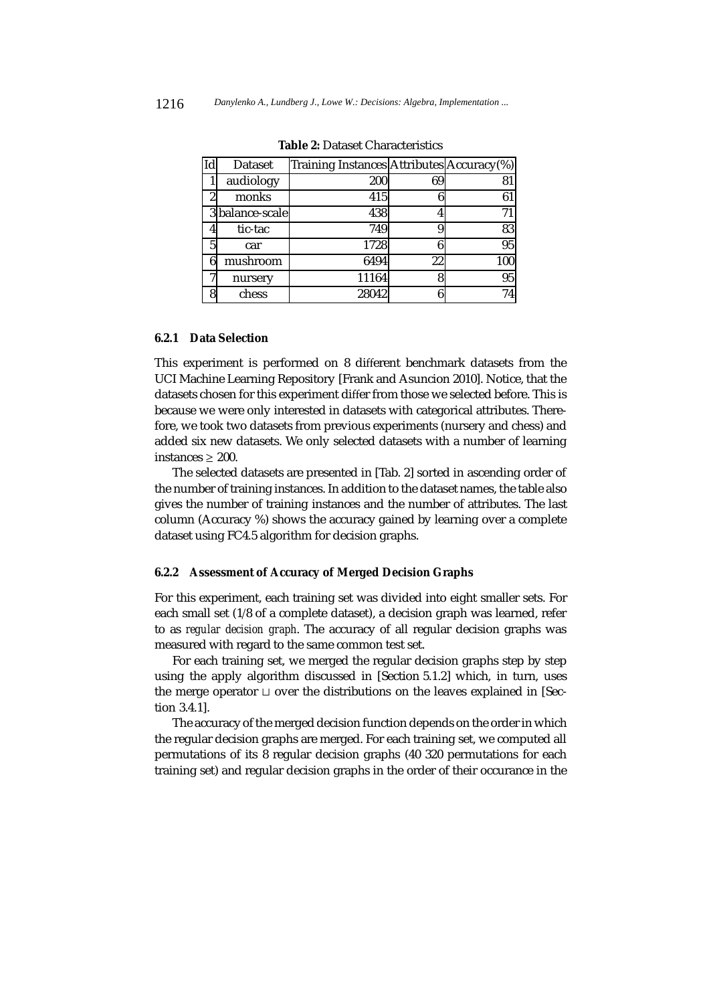| Id | Dataset         | Training Instances Attributes Accuracy(%) |    |     |
|----|-----------------|-------------------------------------------|----|-----|
|    | audiology       | 200                                       | 69 | 81  |
| 2  | monks           | 415                                       |    | 61  |
|    | 3 balance-scale | 438                                       |    | 71  |
| 4  | tic-tac         | 749                                       |    | 83  |
| 5  | car             | 1728                                      |    | 95  |
| 6  | mushroom        | 6494                                      | 22 | 100 |
| 7  | nursery         | 11164                                     |    | 95  |
| 8  | chess           | 28042                                     |    | 74  |

**Table 2:** Dataset Characteristics

# **6.2.1 Data Selection**

This experiment is performed on 8 different benchmark datasets from the UCI Machine Learning Repository [Frank and Asuncion 2010]. Notice, that the datasets chosen for this experiment differ from those we selected before. This is because we were only interested in datasets with categorical attributes. Therefore, we took two datasets from previous experiments (nursery and chess) and added six new datasets. We only selected datasets with a number of learning instances  $\geq 200$ .

The selected datasets are presented in [Tab. 2] sorted in ascending order of the number of training instances. In addition to the dataset names, the table also gives the number of training instances and the number of attributes. The last column (Accuracy %) shows the accuracy gained by learning over a complete dataset using FC4.5 algorithm for decision graphs.

## **6.2.2 Assessment of Accuracy of Merged Decision Graphs**

For this experiment, each training set was divided into eight smaller sets. For each small set (1/8 of a complete dataset), a decision graph was learned, refer to as *regular decision graph*. The accuracy of all regular decision graphs was measured with regard to the same common test set.

For each training set, we merged the regular decision graphs step by step using the apply algorithm discussed in [Section 5.1.2] which, in turn, uses the merge operator  $\sqcup$  over the distributions on the leaves explained in [Section 3.4.1].

The accuracy of the merged decision function depends on the order in which the regular decision graphs are merged. For each training set, we computed all permutations of its 8 regular decision graphs (40 320 permutations for each training set) and regular decision graphs in the order of their occurance in the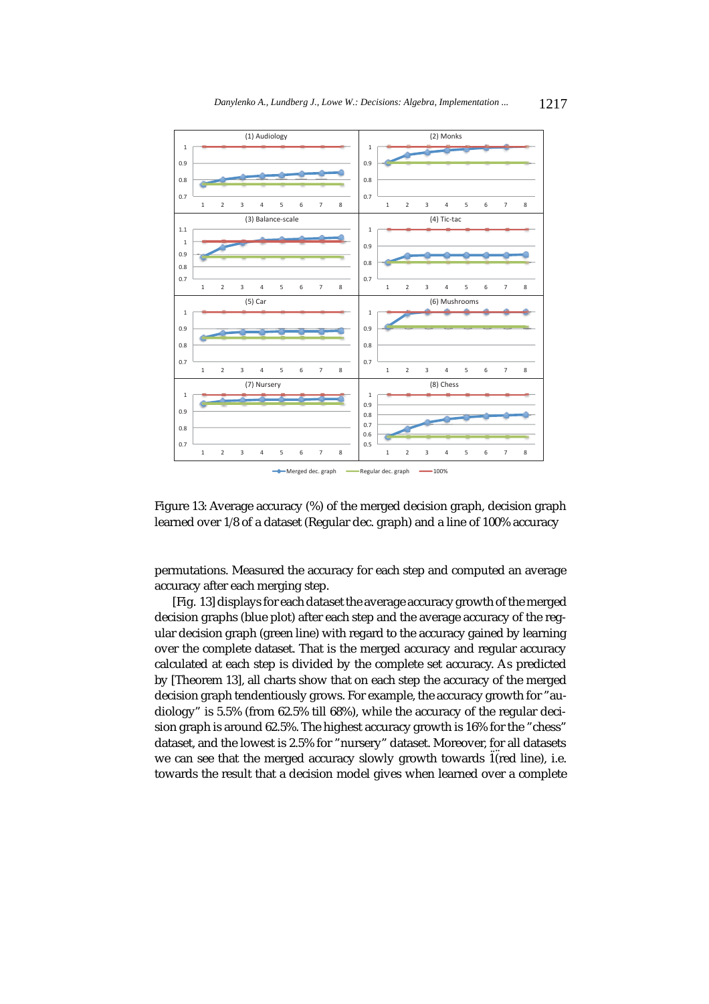



permutations. Measured the accuracy for each step and computed an average accuracy after each merging step.

[Fig. 13] displays for each dataset the average accuracy growth of the merged decision graphs (blue plot) after each step and the average accuracy of the regular decision graph (green line) with regard to the accuracy gained by learning over the complete dataset. That is the merged accuracy and regular accuracy calculated at each step is divided by the complete set accuracy. As predicted by [Theorem 13], all charts show that on each step the accuracy of the merged decision graph tendentiously grows. For example, the accuracy growth for "audiology" is 5.5% (from 62.5% till 68%), while the accuracy of the regular decision graph is around 62.5%. The highest accuracy growth is 16% for the "chess" dataset, and the lowest is 2.5% for "nursery" dataset. Moreover, for all datasets we can see that the merged accuracy slowly growth towards 1(red line), i.e. towards the result that a decision model gives when learned over a complete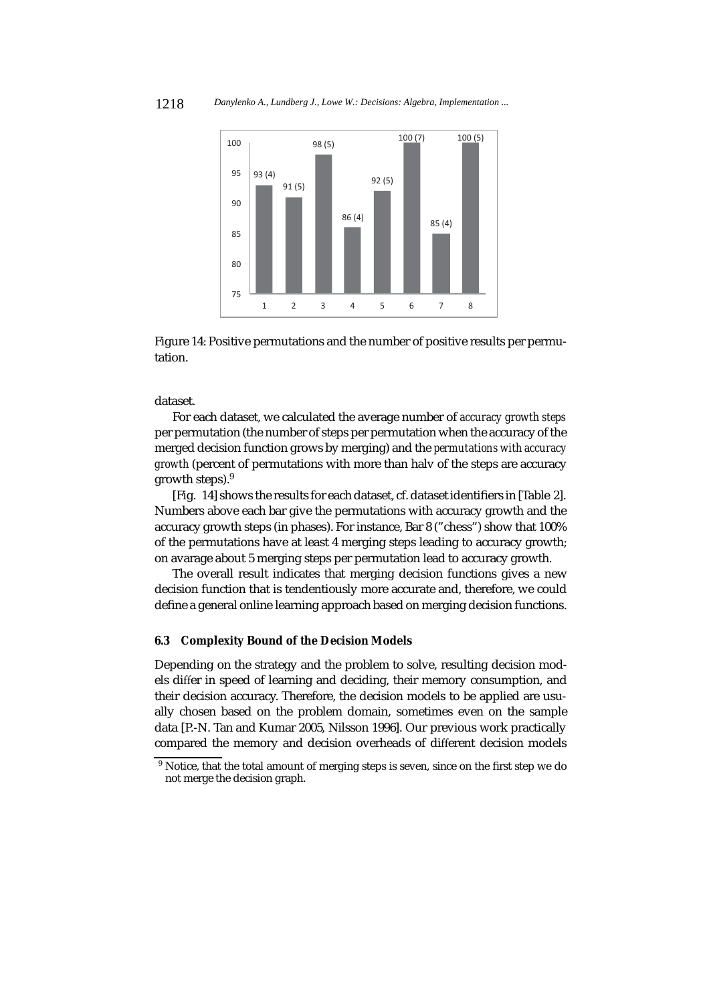

Figure 14: Positive permutations and the number of positive results per permutation.

dataset.

For each dataset, we calculated the average number of *accuracy growth steps* per permutation (the number of steps per permutation when the accuracy of the merged decision function grows by merging) and the *permutations with accuracy growth* (percent of permutations with more than halv of the steps are accuracy growth steps).9

[Fig. 14] shows the results for each dataset, cf. dataset identifiers in [Table 2]. Numbers above each bar give the permutations with accuracy growth and the accuracy growth steps (in phases). For instance, Bar 8 ("chess") show that 100% of the permutations have at least 4 merging steps leading to accuracy growth; on avarage about 5 merging steps per permutation lead to accuracy growth.

The overall result indicates that merging decision functions gives a new decision function that is tendentiously more accurate and, therefore, we could define a general online learning approach based on merging decision functions.

### **6.3 Complexity Bound of the Decision Models**

Depending on the strategy and the problem to solve, resulting decision models differ in speed of learning and deciding, their memory consumption, and their decision accuracy. Therefore, the decision models to be applied are usually chosen based on the problem domain, sometimes even on the sample data [P.-N. Tan and Kumar 2005, Nilsson 1996]. Our previous work practically compared the memory and decision overheads of different decision models

<sup>&</sup>lt;sup>9</sup> Notice, that the total amount of merging steps is seven, since on the first step we do not merge the decision graph.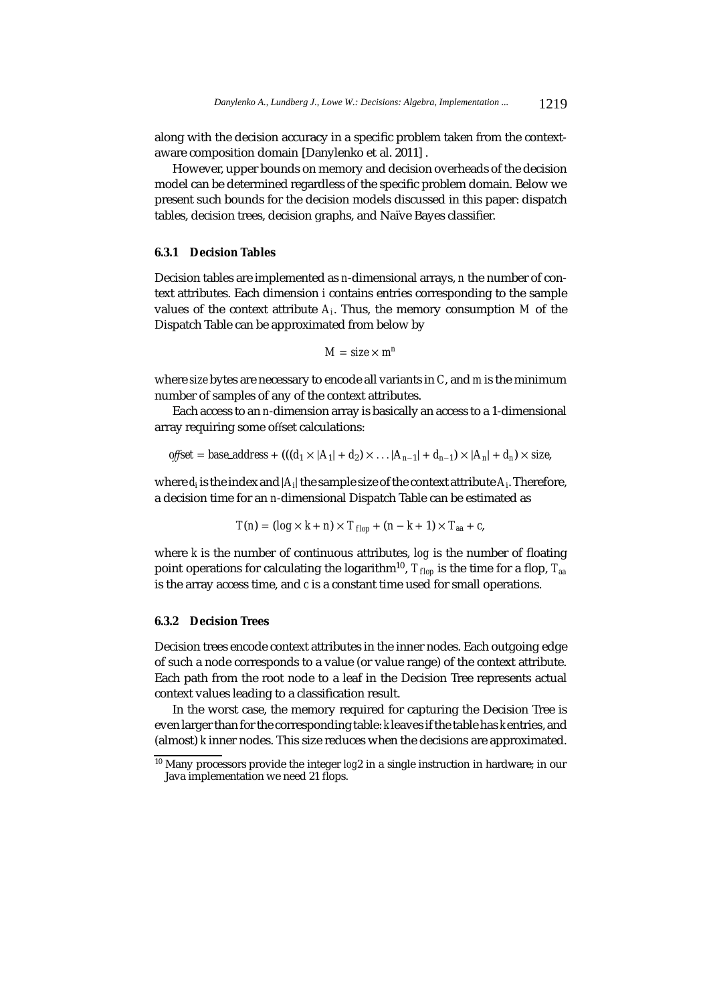along with the decision accuracy in a specific problem taken from the contextaware composition domain [Danylenko et al. 2011] .

However, upper bounds on memory and decision overheads of the decision model can be determined regardless of the specific problem domain. Below we present such bounds for the decision models discussed in this paper: dispatch tables, decision trees, decision graphs, and Naïve Bayes classifier.

#### **6.3.1 Decision Tables**

Decision tables are implemented as *n*-dimensional arrays, *n* the number of context attributes. Each dimension *i* contains entries corresponding to the sample values of the context attribute *Ai*. Thus, the memory consumption *M* of the Dispatch Table can be approximated from below by

$$
M = size \times m^n
$$

where *size* bytes are necessary to encode all variants in *C*, and *m* is the minimum number of samples of any of the context attributes.

Each access to an *n*-dimension array is basically an access to a 1-dimensional array requiring some offset calculations:

offset = base\_address + 
$$
((d_1 \times |A_1| + d_2) \times ... |A_{n-1}| + d_{n-1}) \times |A_n| + d_n) \times size
$$
,

where  $d_i$  is the index and  $|A_i|$  the sample size of the context attribute  $A_i$ . Therefore, a decision time for an *n*-dimensional Dispatch Table can be estimated as

$$
T(n) = (\log \times k + n) \times T_{flop} + (n - k + 1) \times T_{aa} + c,
$$

where *k* is the number of continuous attributes, *log* is the number of floating point operations for calculating the logarithm<sup>10</sup>,  $T_{flop}$  is the time for a flop,  $T_{aa}$ is the array access time, and *c* is a constant time used for small operations.

### **6.3.2 Decision Trees**

Decision trees encode context attributes in the inner nodes. Each outgoing edge of such a node corresponds to a value (or value range) of the context attribute. Each path from the root node to a leaf in the Decision Tree represents actual context values leading to a classification result.

In the worst case, the memory required for capturing the Decision Tree is even larger than for the corresponding table: *k* leaves if the table has *k* entries, and (almost) *k* inner nodes. This size reduces when the decisions are approximated.

<sup>10</sup> Many processors provide the integer *log*2 in a single instruction in hardware; in our Java implementation we need 21 flops.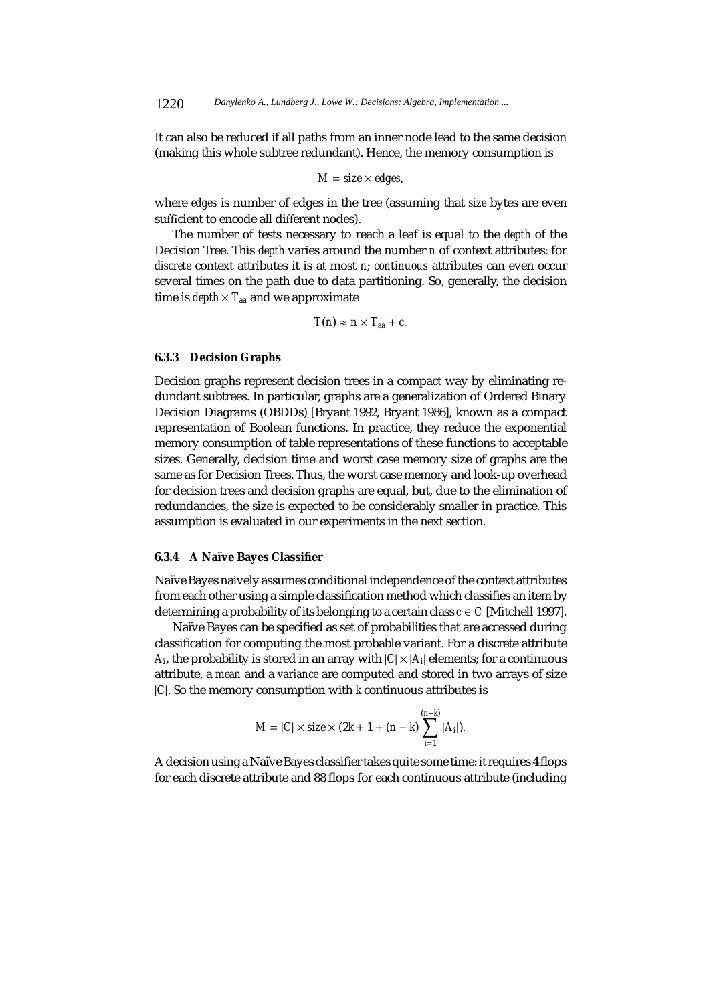It can also be reduced if all paths from an inner node lead to the same decision (making this whole subtree redundant). Hence, the memory consumption is

$$
M = size \times edges,
$$

where *edges* is number of edges in the tree (assuming that *size* bytes are even sufficient to encode all different nodes).

The number of tests necessary to reach a leaf is equal to the *depth* of the Decision Tree. This *depth* varies around the number *n* of context attributes: for *discrete* context attributes it is at most *n*; *continuous* attributes can even occur several times on the path due to data partitioning. So, generally, the decision time is  $depth \times T_{aa}$  and we approximate

$$
T(n) \approx n \times T_{aa} + c.
$$

## **6.3.3 Decision Graphs**

Decision graphs represent decision trees in a compact way by eliminating redundant subtrees. In particular, graphs are a generalization of Ordered Binary Decision Diagrams (OBDDs) [Bryant 1992, Bryant 1986], known as a compact representation of Boolean functions. In practice, they reduce the exponential memory consumption of table representations of these functions to acceptable sizes. Generally, decision time and worst case memory size of graphs are the same as for Decision Trees. Thus, the worst case memory and look-up overhead for decision trees and decision graphs are equal, but, due to the elimination of redundancies, the size is expected to be considerably smaller in practice. This assumption is evaluated in our experiments in the next section.

## **6.3.4 A Na¨ıve Bayes Classifier**

Naïve Bayes naively assumes conditional independence of the context attributes from each other using a simple classification method which classifies an item by determining a probability of its belonging to a certain class  $c \in C$  [Mitchell 1997].

Naïve Bayes can be specified as set of probabilities that are accessed during classification for computing the most probable variant. For a discrete attribute *A<sub>i</sub>*, the probability is stored in an array with  $|C| \times |A_i|$  elements; for a continuous attribute, a *mean* and a *variance* are computed and stored in two arrays of size |*C*|. So the memory consumption with *k* continuous attributes is

$$
M = |C| \times size \times (2k + 1 + (n - k) \sum_{i=1}^{(n-k)} |A_i|).
$$

A decision using a Naïve Bayes classifier takes quite some time: it requires 4 flops for each discrete attribute and 88 flops for each continuous attribute (including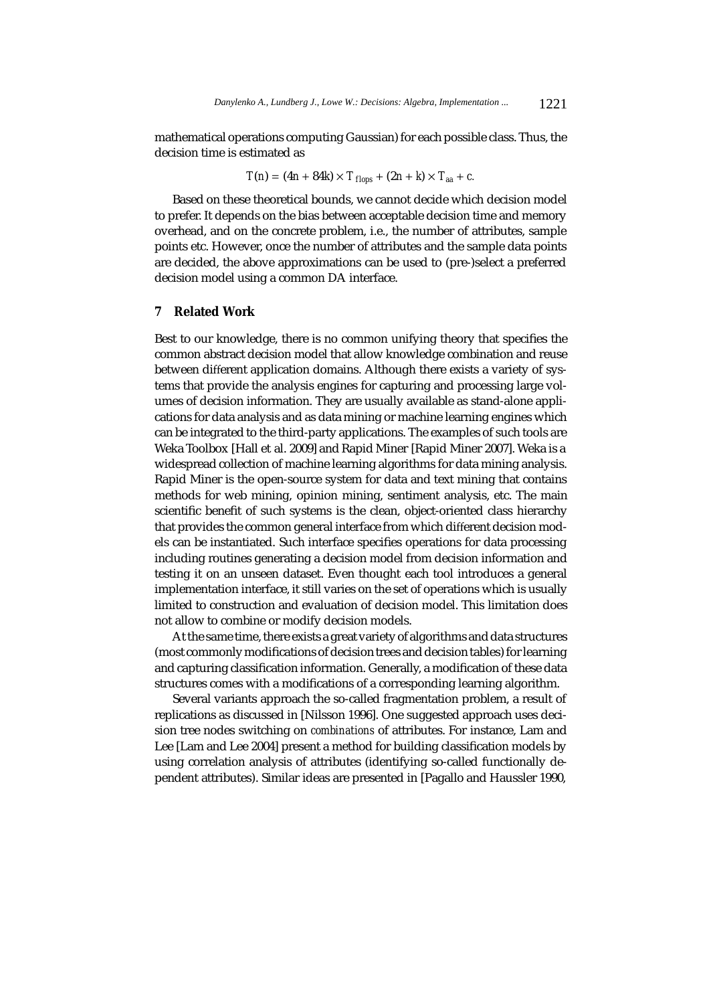mathematical operations computing Gaussian) for each possible class. Thus, the decision time is estimated as

$$
T(n) = (4n + 84k) \times T_{flops} + (2n + k) \times T_{aa} + c.
$$

Based on these theoretical bounds, we cannot decide which decision model to prefer. It depends on the bias between acceptable decision time and memory overhead, and on the concrete problem, i.e., the number of attributes, sample points etc. However, once the number of attributes and the sample data points are decided, the above approximations can be used to (pre-)select a preferred decision model using a common DA interface.

# **7 Related Work**

Best to our knowledge, there is no common unifying theory that specifies the common abstract decision model that allow knowledge combination and reuse between different application domains. Although there exists a variety of systems that provide the analysis engines for capturing and processing large volumes of decision information. They are usually available as stand-alone applications for data analysis and as data mining or machine learning engines which can be integrated to the third-party applications. The examples of such tools are Weka Toolbox [Hall et al. 2009] and Rapid Miner [Rapid Miner 2007]. Weka is a widespread collection of machine learning algorithms for data mining analysis. Rapid Miner is the open-source system for data and text mining that contains methods for web mining, opinion mining, sentiment analysis, etc. The main scientific benefit of such systems is the clean, object-oriented class hierarchy that provides the common general interface from which different decision models can be instantiated. Such interface specifies operations for data processing including routines generating a decision model from decision information and testing it on an unseen dataset. Even thought each tool introduces a general implementation interface, it still varies on the set of operations which is usually limited to construction and evaluation of decision model. This limitation does not allow to combine or modify decision models.

At the same time, there exists a great variety of algorithms and data structures (most commonly modifications of decision trees and decision tables) for learning and capturing classification information. Generally, a modification of these data structures comes with a modifications of a corresponding learning algorithm.

Several variants approach the so-called fragmentation problem, a result of replications as discussed in [Nilsson 1996]. One suggested approach uses decision tree nodes switching on *combinations* of attributes. For instance, Lam and Lee [Lam and Lee 2004] present a method for building classification models by using correlation analysis of attributes (identifying so-called functionally dependent attributes). Similar ideas are presented in [Pagallo and Haussler 1990,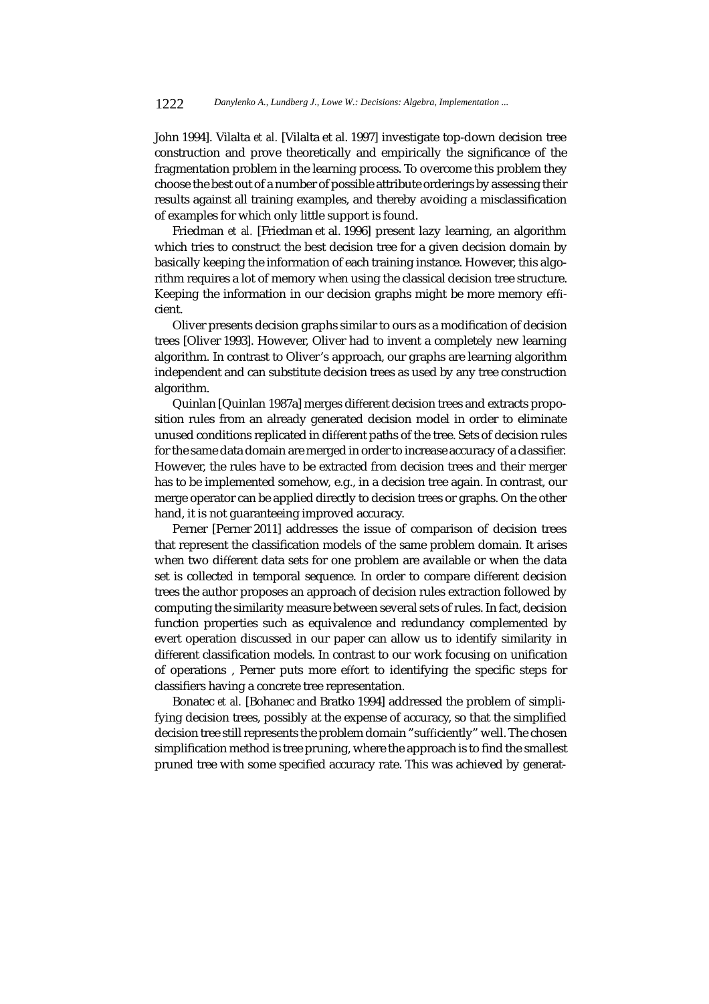John 1994]. Vilalta *et al.* [Vilalta et al. 1997] investigate top-down decision tree construction and prove theoretically and empirically the significance of the fragmentation problem in the learning process. To overcome this problem they choose the best out of a number of possible attribute orderings by assessing their results against all training examples, and thereby avoiding a misclassification of examples for which only little support is found.

Friedman *et al.* [Friedman et al. 1996] present lazy learning, an algorithm which tries to construct the best decision tree for a given decision domain by basically keeping the information of each training instance. However, this algorithm requires a lot of memory when using the classical decision tree structure. Keeping the information in our decision graphs might be more memory efficient.

Oliver presents decision graphs similar to ours as a modification of decision trees [Oliver 1993]. However, Oliver had to invent a completely new learning algorithm. In contrast to Oliver's approach, our graphs are learning algorithm independent and can substitute decision trees as used by any tree construction algorithm.

Quinlan [Quinlan 1987a] merges different decision trees and extracts proposition rules from an already generated decision model in order to eliminate unused conditions replicated in different paths of the tree. Sets of decision rules for the same data domain are merged in order to increase accuracy of a classifier. However, the rules have to be extracted from decision trees and their merger has to be implemented somehow, e.g., in a decision tree again. In contrast, our merge operator can be applied directly to decision trees or graphs. On the other hand, it is not guaranteeing improved accuracy.

Perner [Perner 2011] addresses the issue of comparison of decision trees that represent the classification models of the same problem domain. It arises when two different data sets for one problem are available or when the data set is collected in temporal sequence. In order to compare different decision trees the author proposes an approach of decision rules extraction followed by computing the similarity measure between several sets of rules. In fact, decision function properties such as equivalence and redundancy complemented by evert operation discussed in our paper can allow us to identify similarity in different classification models. In contrast to our work focusing on unification of operations , Perner puts more effort to identifying the specific steps for classifiers having a concrete tree representation.

Bonatec *et al.* [Bohanec and Bratko 1994] addressed the problem of simplifying decision trees, possibly at the expense of accuracy, so that the simplified decision tree still represents the problem domain "sufficiently" well. The chosen simplification method is tree pruning, where the approach is to find the smallest pruned tree with some specified accuracy rate. This was achieved by generat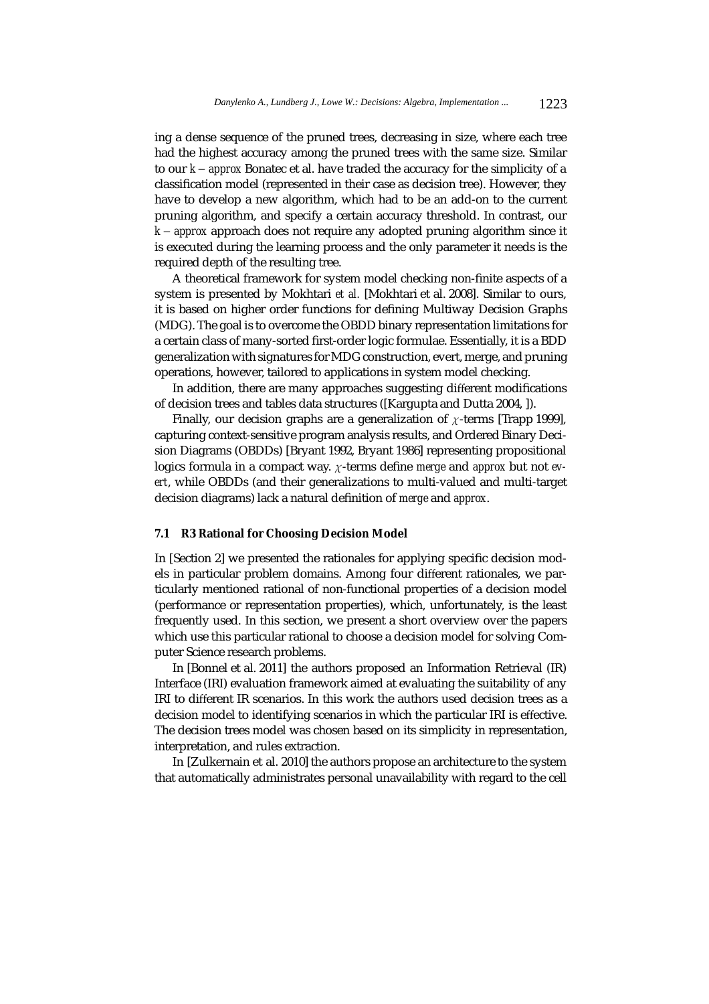ing a dense sequence of the pruned trees, decreasing in size, where each tree had the highest accuracy among the pruned trees with the same size. Similar to our *k* − *approx* Bonatec et al. have traded the accuracy for the simplicity of a classification model (represented in their case as decision tree). However, they have to develop a new algorithm, which had to be an add-on to the current pruning algorithm, and specify a certain accuracy threshold. In contrast, our *k* − *approx* approach does not require any adopted pruning algorithm since it is executed during the learning process and the only parameter it needs is the required depth of the resulting tree.

A theoretical framework for system model checking non-finite aspects of a system is presented by Mokhtari *et al.* [Mokhtari et al. 2008]. Similar to ours, it is based on higher order functions for defining Multiway Decision Graphs (MDG). The goal is to overcome the OBDD binary representation limitations for a certain class of many-sorted first-order logic formulae. Essentially, it is a BDD generalization with signatures for MDG construction, evert, merge, and pruning operations, however, tailored to applications in system model checking.

In addition, there are many approaches suggesting different modifications of decision trees and tables data structures ([Kargupta and Dutta 2004, ]).

Finally, our decision graphs are a generalization of  $\chi$ -terms [Trapp 1999], capturing context-sensitive program analysis results, and Ordered Binary Decision Diagrams (OBDDs) [Bryant 1992, Bryant 1986] representing propositional logics formula in a compact way. χ-terms define *merge* and *approx* but not *evert*, while OBDDs (and their generalizations to multi-valued and multi-target decision diagrams) lack a natural definition of *merge* and *approx*.

#### **7.1 R3 Rational for Choosing Decision Model**

In [Section 2] we presented the rationales for applying specific decision models in particular problem domains. Among four different rationales, we particularly mentioned rational of non-functional properties of a decision model (performance or representation properties), which, unfortunately, is the least frequently used. In this section, we present a short overview over the papers which use this particular rational to choose a decision model for solving Computer Science research problems.

In [Bonnel et al. 2011] the authors proposed an Information Retrieval (IR) Interface (IRI) evaluation framework aimed at evaluating the suitability of any IRI to different IR scenarios. In this work the authors used decision trees as a decision model to identifying scenarios in which the particular IRI is effective. The decision trees model was chosen based on its simplicity in representation, interpretation, and rules extraction.

In [Zulkernain et al. 2010] the authors propose an architecture to the system that automatically administrates personal unavailability with regard to the cell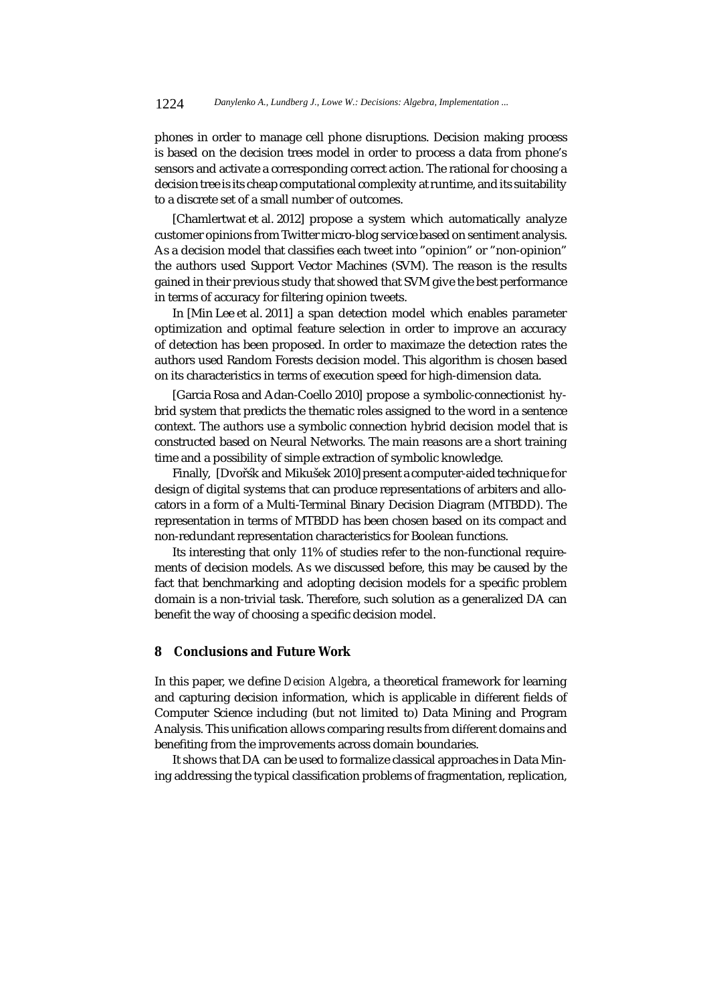phones in order to manage cell phone disruptions. Decision making process is based on the decision trees model in order to process a data from phone's sensors and activate a corresponding correct action. The rational for choosing a decision tree is its cheap computational complexity at runtime, and its suitability to a discrete set of a small number of outcomes.

[Chamlertwat et al. 2012] propose a system which automatically analyze customer opinions from Twitter micro-blog service based on sentiment analysis. As a decision model that classifies each tweet into "opinion" or "non-opinion" the authors used Support Vector Machines (SVM). The reason is the results gained in their previous study that showed that SVM give the best performance in terms of accuracy for filtering opinion tweets.

In [Min Lee et al. 2011] a span detection model which enables parameter optimization and optimal feature selection in order to improve an accuracy of detection has been proposed. In order to maximaze the detection rates the authors used Random Forests decision model. This algorithm is chosen based on its characteristics in terms of execution speed for high-dimension data.

[Garcia Rosa and Adan-Coello 2010] propose a symbolic-connectionist hybrid system that predicts the thematic roles assigned to the word in a sentence context. The authors use a symbolic connection hybrid decision model that is constructed based on Neural Networks. The main reasons are a short training time and a possibility of simple extraction of symbolic knowledge.

Finally, [Dvořsk and Mikušek 2010] present a computer-aided technique for design of digital systems that can produce representations of arbiters and allocators in a form of a Multi-Terminal Binary Decision Diagram (MTBDD). The representation in terms of MTBDD has been chosen based on its compact and non-redundant representation characteristics for Boolean functions.

Its interesting that only 11% of studies refer to the non-functional requirements of decision models. As we discussed before, this may be caused by the fact that benchmarking and adopting decision models for a specific problem domain is a non-trivial task. Therefore, such solution as a generalized DA can benefit the way of choosing a specific decision model.

# **8 Conclusions and Future Work**

In this paper, we define *Decision Algebra*, a theoretical framework for learning and capturing decision information, which is applicable in different fields of Computer Science including (but not limited to) Data Mining and Program Analysis. This unification allows comparing results from different domains and benefiting from the improvements across domain boundaries.

It shows that DA can be used to formalize classical approaches in Data Mining addressing the typical classification problems of fragmentation, replication,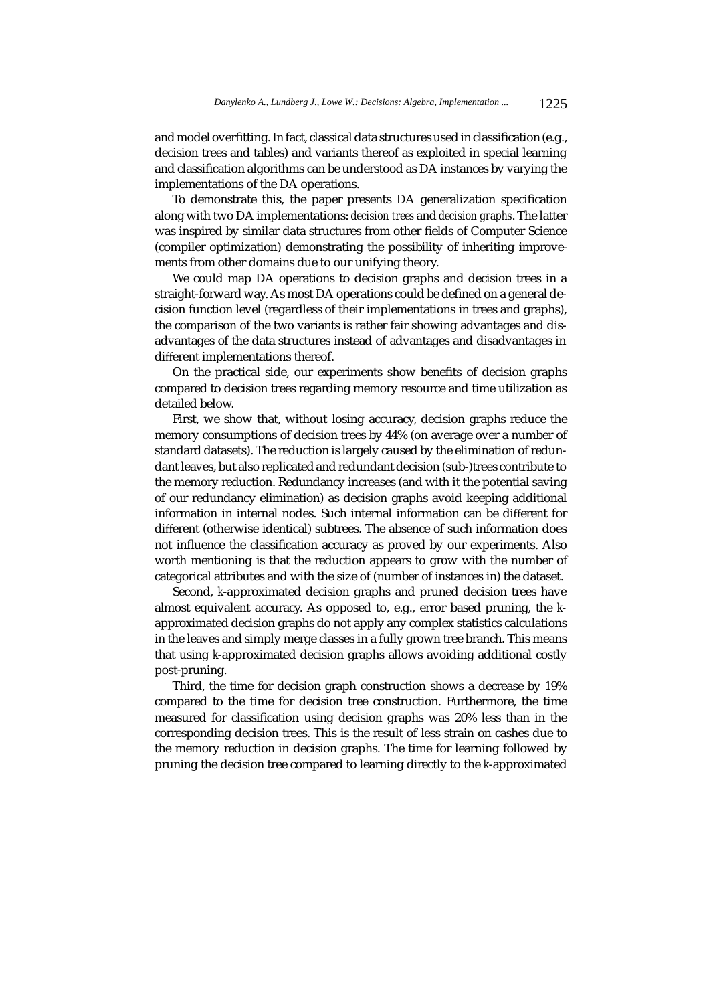and model overfitting. In fact, classical data structures used in classification (e.g., decision trees and tables) and variants thereof as exploited in special learning and classification algorithms can be understood as DA instances by varying the implementations of the DA operations.

To demonstrate this, the paper presents DA generalization specification along with two DA implementations: *decision trees* and *decision graphs*. The latter was inspired by similar data structures from other fields of Computer Science (compiler optimization) demonstrating the possibility of inheriting improvements from other domains due to our unifying theory.

We could map DA operations to decision graphs and decision trees in a straight-forward way. As most DA operations could be defined on a general decision function level (regardless of their implementations in trees and graphs), the comparison of the two variants is rather fair showing advantages and disadvantages of the data structures instead of advantages and disadvantages in different implementations thereof.

On the practical side, our experiments show benefits of decision graphs compared to decision trees regarding memory resource and time utilization as detailed below.

First, we show that, without losing accuracy, decision graphs reduce the memory consumptions of decision trees by 44% (on average over a number of standard datasets). The reduction is largely caused by the elimination of redundant leaves, but also replicated and redundant decision (sub-)trees contribute to the memory reduction. Redundancy increases (and with it the potential saving of our redundancy elimination) as decision graphs avoid keeping additional information in internal nodes. Such internal information can be different for different (otherwise identical) subtrees. The absence of such information does not influence the classification accuracy as proved by our experiments. Also worth mentioning is that the reduction appears to grow with the number of categorical attributes and with the size of (number of instances in) the dataset.

Second, *k*-approximated decision graphs and pruned decision trees have almost equivalent accuracy. As opposed to, e.g., error based pruning, the *k*approximated decision graphs do not apply any complex statistics calculations in the leaves and simply merge classes in a fully grown tree branch. This means that using *k*-approximated decision graphs allows avoiding additional costly post-pruning.

Third, the time for decision graph construction shows a decrease by 19% compared to the time for decision tree construction. Furthermore, the time measured for classification using decision graphs was 20% less than in the corresponding decision trees. This is the result of less strain on cashes due to the memory reduction in decision graphs. The time for learning followed by pruning the decision tree compared to learning directly to the *k*-approximated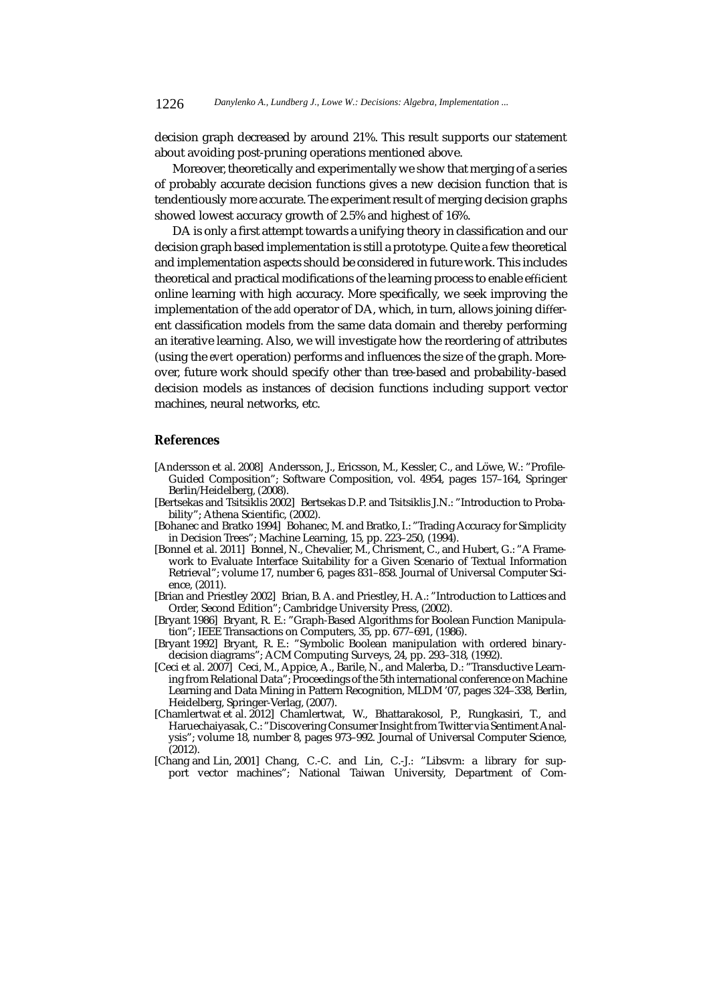decision graph decreased by around 21%. This result supports our statement about avoiding post-pruning operations mentioned above.

Moreover, theoretically and experimentally we show that merging of a series of probably accurate decision functions gives a new decision function that is tendentiously more accurate. The experiment result of merging decision graphs showed lowest accuracy growth of 2.5% and highest of 16%.

DA is only a first attempt towards a unifying theory in classification and our decision graph based implementation is still a prototype. Quite a few theoretical and implementation aspects should be considered in future work. This includes theoretical and practical modifications of the learning process to enable efficient online learning with high accuracy. More specifically, we seek improving the implementation of the *add* operator of DA, which, in turn, allows joining different classification models from the same data domain and thereby performing an iterative learning. Also, we will investigate how the reordering of attributes (using the *evert* operation) performs and influences the size of the graph. Moreover, future work should specify other than tree-based and probability-based decision models as instances of decision functions including support vector machines, neural networks, etc.

#### **References**

- [Andersson et al. 2008] Andersson, J., Ericsson, M., Kessler, C., and Löwe, W.: "Profile-Guided Composition"; Software Composition, vol. 4954, pages 157–164, Springer Berlin/Heidelberg, (2008).
- [Bertsekas and Tsitsiklis 2002] Bertsekas D.P. and Tsitsiklis J.N.: "Introduction to Probability"; Athena Scientific, (2002).
- [Bohanec and Bratko 1994] Bohanec, M. and Bratko, I.: "Trading Accuracy for Simplicity in Decision Trees"; Machine Learning, 15, pp. 223–250, (1994).
- [Bonnel et al. 2011] Bonnel, N., Chevalier, M., Chrisment, C., and Hubert, G.: "A Framework to Evaluate Interface Suitability for a Given Scenario of Textual Information Retrieval"; volume 17, number 6, pages 831–858. Journal of Universal Computer Science, (2011).
- [Brian and Priestley 2002] Brian, B. A. and Priestley, H. A.: "Introduction to Lattices and Order, Second Edition"; Cambridge University Press, (2002).
- [Bryant 1986] Bryant, R. E.: "Graph-Based Algorithms for Boolean Function Manipulation"; IEEE Transactions on Computers, 35, pp. 677–691, (1986).
- [Bryant 1992] Bryant, R. E.: "Symbolic Boolean manipulation with ordered binarydecision diagrams"; ACM Computing Surveys, 24, pp. 293–318, (1992).
- [Ceci et al. 2007] Ceci, M., Appice, A., Barile, N., and Malerba, D.: "Transductive Learning from Relational Data"; Proceedings of the 5th international conference on Machine Learning and Data Mining in Pattern Recognition, MLDM '07, pages 324–338, Berlin, Heidelberg, Springer-Verlag, (2007).
- [Chamlertwat et al. 2012] Chamlertwat, W., Bhattarakosol, P., Rungkasiri, T., and Haruechaiyasak, C.: "Discovering Consumer Insight from Twitter via Sentiment Analysis"; volume 18, number 8, pages 973–992. Journal of Universal Computer Science,  $(2012).$
- [Chang and Lin, 2001] Chang, C.-C. and Lin, C.-J.: "Libsvm: a library for support vector machines"; National Taiwan University, Department of Com-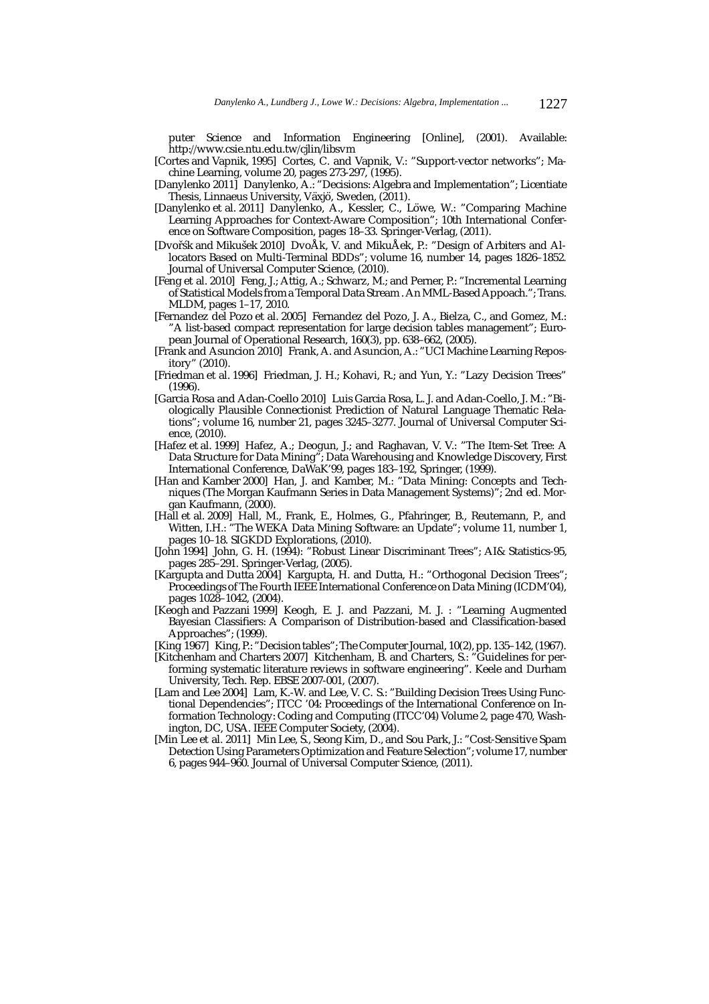puter Science and Information Engineering [Online], (2001). Available: http://www.csie.ntu.edu.tw/cjlin/libsvm

- [Cortes and Vapnik, 1995] Cortes, C. and Vapnik, V.: "Support-vector networks"; Machine Learning, volume 20, pages 273-297, (1995).
- [Danylenko 2011] Danylenko, A.: "Decisions: Algebra and Implementation"; Licentiate Thesis, Linnaeus University, Växjö, Sweden, (2011).
- [Danylenko et al. 2011] Danylenko, A., Kessler, C., Löwe, W.: "Comparing Machine Learning Approaches for Context-Aware Composition"; 10th International Conference on Software Composition, pages 18–33. Springer-Verlag, (2011).
- [Dvořsk and Mikušek 2010] DvoÅk, V. and MikuÅek, P.: "Design of Arbiters and Allocators Based on Multi-Terminal BDDs"; volume 16, number 14, pages 1826–1852. Journal of Universal Computer Science, (2010).
- [Feng et al. 2010] Feng, J.; Attig, A.; Schwarz, M.; and Perner, P.: "Incremental Learning of Statistical Models from a Temporal Data Stream . An MML-Based Appoach."; Trans. MLDM, pages 1–17, 2010.
- [Fernandez del Pozo et al. 2005] Fernandez del Pozo, J. A., Bielza, C., and Gomez, M.: "A list-based compact representation for large decision tables management"; European Journal of Operational Research, 160(3), pp. 638–662, (2005).
- [Frank and Asuncion 2010] Frank, A. and Asuncion, A.: "UCI Machine Learning Repository" (2010).
- [Friedman et al. 1996] Friedman, J. H.; Kohavi, R.; and Yun, Y.: "Lazy Decision Trees" (1996).
- [Garcia Rosa and Adan-Coello 2010] Luis Garcia Rosa, L. J. and Adan-Coello, J. M.: "Biologically Plausible Connectionist Prediction of Natural Language Thematic Relations"; volume 16, number 21, pages 3245–3277. Journal of Universal Computer Science, (2010).
- [Hafez et al. 1999] Hafez, A.; Deogun, J.; and Raghavan, V. V.: "The Item-Set Tree: A Data Structure for Data Mining"; Data Warehousing and Knowledge Discovery, First International Conference, DaWaK'99, pages 183–192, Springer, (1999).
- [Han and Kamber 2000] Han, J. and Kamber, M.: "Data Mining: Concepts and Techniques (The Morgan Kaufmann Series in Data Management Systems)"; 2nd ed. Morgan Kaufmann, (2000).
- [Hall et al. 2009] Hall, M., Frank, E., Holmes, G., Pfahringer, B., Reutemann, P., and Witten, I.H.: "The WEKA Data Mining Software: an Update"; volume 11, number 1, pages 10-18. SIGKDD Explorations, (2010).
- [John 1994] John, G. H. (1994): "Robust Linear Discriminant Trees"; AI& Statistics-95, pages 285–291. Springer-Verlag, (2005).
- [Kargupta and Dutta 2004] Kargupta, H. and Dutta, H.: "Orthogonal Decision Trees"; Proceedings of The Fourth IEEE International Conference on Data Mining (ICDM'04), pages 1028–1042, (2004).
- [Keogh and Pazzani 1999] Keogh, E. J. and Pazzani, M. J. : "Learning Augmented Bayesian Classifiers: A Comparison of Distribution-based and Classification-based Approaches"; (1999).
- [King 1967] King, P.: "Decision tables"; The Computer Journal, 10(2), pp. 135–142, (1967).
- [Kitchenham and Charters 2007] Kitchenham, B. and Charters, S.: "Guidelines for performing systematic literature reviews in software engineering". Keele and Durham University, Tech. Rep. EBSE 2007-001, (2007).
- [Lam and Lee 2004] Lam, K.-W. and Lee, V. C. S.: "Building Decision Trees Using Functional Dependencies"; ITCC '04: Proceedings of the International Conference on Information Technology: Coding and Computing (ITCC'04) Volume 2, page 470, Washington, DC, USA. IEEE Computer Society, (2004).
- [Min Lee et al. 2011] Min Lee, S., Seong Kim, D., and Sou Park, J.: "Cost-Sensitive Spam Detection Using Parameters Optimization and Feature Selection"; volume 17, number 6, pages 944–960. Journal of Universal Computer Science, (2011).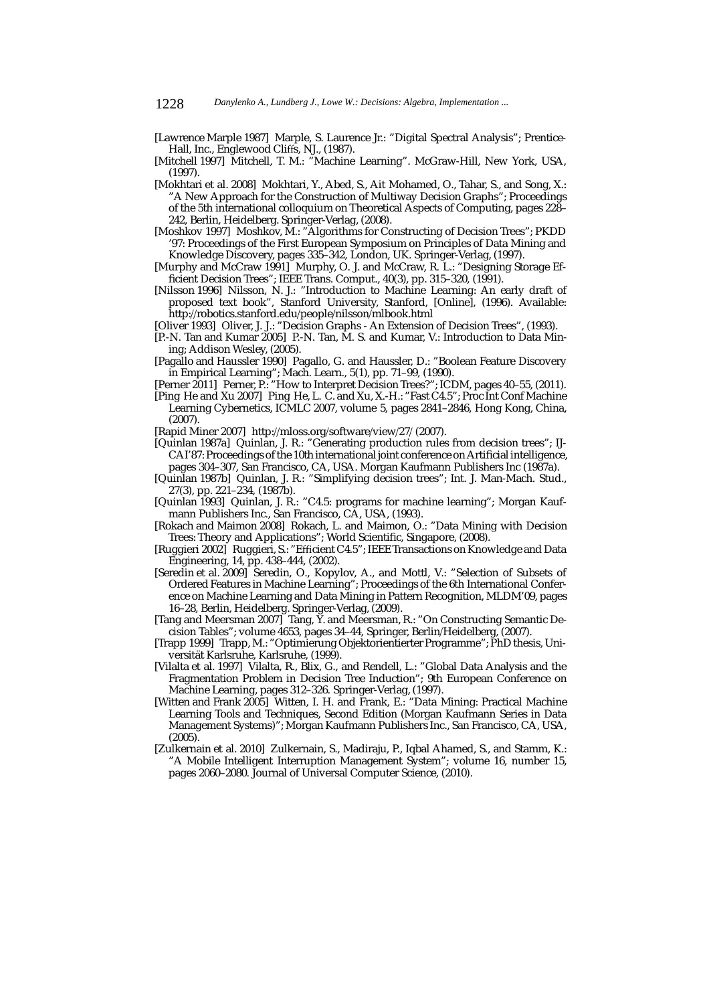- [Lawrence Marple 1987] Marple, S. Laurence Jr.: "Digital Spectral Analysis"; Prentice-Hall, Inc., Englewood Cliffs, NJ., (1987).
- [Mitchell 1997] Mitchell, T. M.: "Machine Learning". McGraw-Hill, New York, USA, (1997).
- [Mokhtari et al. 2008] Mokhtari, Y., Abed, S., Ait Mohamed, O., Tahar, S., and Song, X.: "A New Approach for the Construction of Multiway Decision Graphs"; Proceedings of the 5th international colloquium on Theoretical Aspects of Computing, pages 228– 242, Berlin, Heidelberg. Springer-Verlag, (2008).
- [Moshkov 1997] Moshkov, M.: "Algorithms for Constructing of Decision Trees"; PKDD '97: Proceedings of the First European Symposium on Principles of Data Mining and Knowledge Discovery, pages 335–342, London, UK. Springer-Verlag, (1997).
- [Murphy and McCraw 1991] Murphy, O. J. and McCraw, R. L.: "Designing Storage Efficient Decision Trees"; IEEE Trans. Comput., 40(3), pp. 315–320, (1991).
- [Nilsson 1996] Nilsson, N. J.: "Introduction to Machine Learning: An early draft of proposed text book", Stanford University, Stanford, [Online], (1996). Available: http://robotics.stanford.edu/people/nilsson/mlbook.html
- [Oliver 1993] Oliver, J. J.: "Decision Graphs An Extension of Decision Trees", (1993).
- [P.-N. Tan and Kumar 2005] P.-N. Tan, M. S. and Kumar, V.: Introduction to Data Mining; Addison Wesley, (2005).
- [Pagallo and Haussler 1990] Pagallo, G. and Haussler, D.: "Boolean Feature Discovery in Empirical Learning"; Mach. Learn., 5(1), pp. 71–99, (1990).
- [Perner 2011] Perner, P.: "How to Interpret Decision Trees?"; ICDM, pages 40–55, (2011).
- [Ping He and Xu 2007] Ping He, L. C. and Xu, X.-H.: "Fast C4.5"; Proc Int Conf Machine Learning Cybernetics, ICMLC 2007, volume 5, pages 2841–2846, Hong Kong, China,  $(2007)$
- [Rapid Miner 2007] http://mloss.org/software/view/27/ (2007).
- [Quinlan 1987a] Quinlan, J. R.: "Generating production rules from decision trees"; IJ-CAI'87: Proceedings of the 10th international joint conference on Artificial intelligence, pages 304–307, San Francisco, CA, USA. Morgan Kaufmann Publishers Inc (1987a).
- [Quinlan 1987b] Quinlan, J. R.: "Simplifying decision trees"; Int. J. Man-Mach. Stud., 27(3), pp. 221–234, (1987b).
- [Quinlan 1993] Quinlan, J. R.: "C4.5: programs for machine learning"; Morgan Kaufmann Publishers Inc., San Francisco, CA, USA, (1993).
- [Rokach and Maimon 2008] Rokach, L. and Maimon, O.: "Data Mining with Decision Trees: Theory and Applications"; World Scientific, Singapore, (2008).
- [Ruggieri 2002] Ruggieri, S.: "Efficient C4.5"; IEEE Transactions on Knowledge and Data Engineering, 14, pp. 438–444, (2002).
- [Seredin et al. 2009] Seredin, O., Kopylov, A., and Mottl, V.: "Selection of Subsets of Ordered Features in Machine Learning"; Proceedings of the 6th International Conference on Machine Learning and Data Mining in Pattern Recognition, MLDM'09, pages 16–28, Berlin, Heidelberg. Springer-Verlag, (2009).
- [Tang and Meersman 2007] Tang, Y. and Meersman, R.: "On Constructing Semantic Decision Tables"; volume 4653, pages 34–44, Springer, Berlin/Heidelberg, (2007).
- [Trapp 1999] Trapp, M.: "Optimierung Objektorientierter Programme"; PhD thesis, Universität Karlsruhe, Karlsruhe, (1999).
- [Vilalta et al. 1997] Vilalta, R., Blix, G., and Rendell, L.: "Global Data Analysis and the Fragmentation Problem in Decision Tree Induction"; 9th European Conference on Machine Learning, pages 312–326. Springer-Verlag, (1997).
- [Witten and Frank 2005] Witten, I. H. and Frank, E.: "Data Mining: Practical Machine Learning Tools and Techniques, Second Edition (Morgan Kaufmann Series in Data Management Systems)"; Morgan Kaufmann Publishers Inc., San Francisco, CA, USA, (2005).
- [Zulkernain et al. 2010] Zulkernain, S., Madiraju, P., Iqbal Ahamed, S., and Stamm, K.: "A Mobile Intelligent Interruption Management System"; volume 16, number 15, pages 2060–2080. Journal of Universal Computer Science, (2010).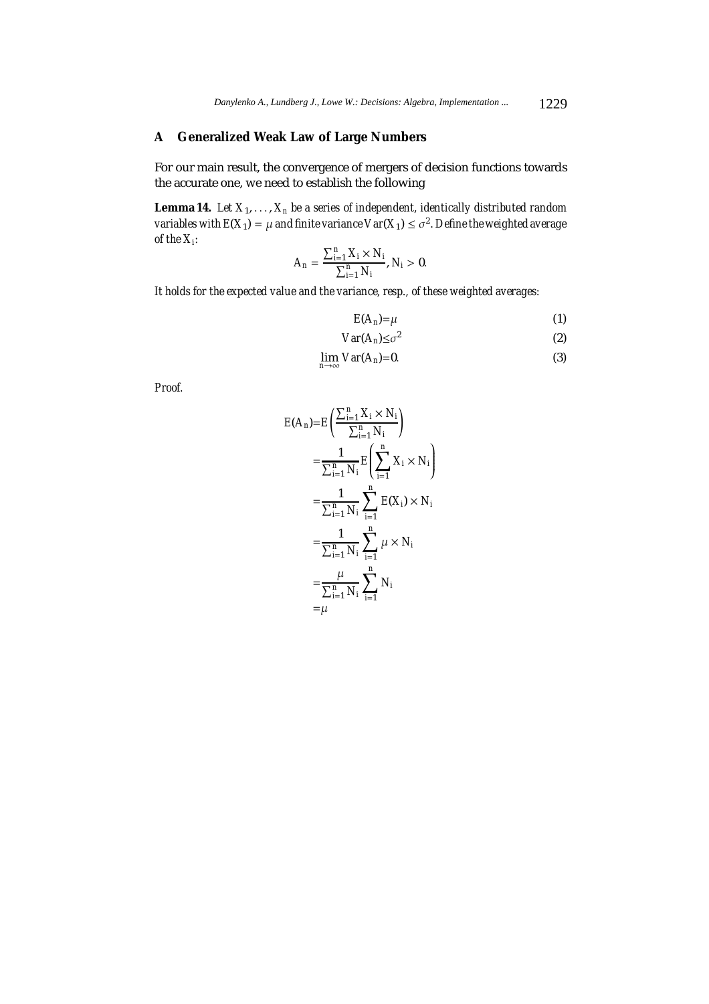# **A Generalized Weak Law of Large Numbers**

For our main result, the convergence of mergers of decision functions towards the accurate one, we need to establish the following

**Lemma 14.** *Let*  $X_1, \ldots, X_n$  *be a series of independent, identically distributed random variables with*  $E(X_1) = \mu$  *and finite variance*  $Var(X_1) \leq \sigma^2$ . Define the weighted average *of the Xi:*

$$
A_n = \frac{\sum_{i=1}^{n} X_i \times N_i}{\sum_{i=1}^{n} N_i}, N_i > 0.
$$

*It holds for the expected value and the variance, resp., of these weighted averages:*

$$
E(A_n) = \mu \tag{1}
$$

$$
Var(A_n) \leq \sigma^2 \tag{2}
$$

$$
\lim_{n\to\infty} Var(A_n)=0.
$$
\n(3)

*Proof.*

$$
E(A_n) = E\left(\frac{\sum_{i=1}^n X_i \times N_i}{\sum_{i=1}^n N_i}\right)
$$
  
=  $\frac{1}{\sum_{i=1}^n N_i} E\left(\sum_{i=1}^n X_i \times N_i\right)$   
=  $\frac{1}{\sum_{i=1}^n N_i} \sum_{i=1}^n E(X_i) \times N_i$   
=  $\frac{1}{\sum_{i=1}^n N_i} \sum_{i=1}^n \mu \times N_i$   
=  $\frac{\mu}{\sum_{i=1}^n N_i} \sum_{i=1}^n N_i$   
=  $\mu$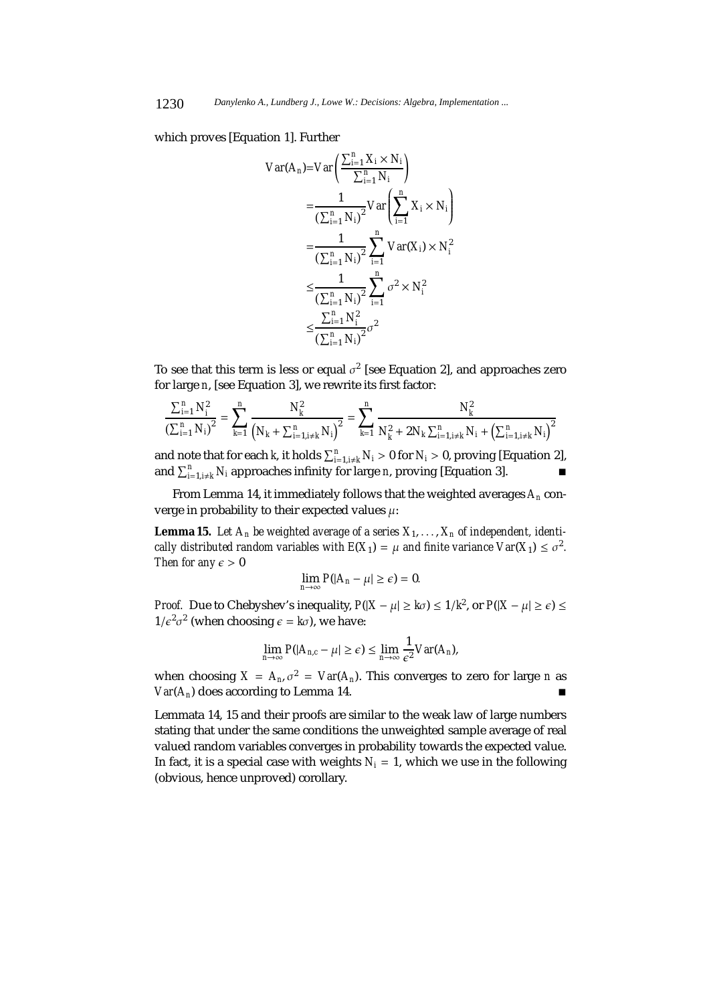which proves [Equation 1]. Further

$$
Var(A_n) = Var\left(\frac{\sum_{i=1}^{n} X_i \times N_i}{\sum_{i=1}^{n} N_i}\right)
$$
  
= 
$$
\frac{1}{\left(\sum_{i=1}^{n} N_i\right)^2} Var\left(\sum_{i=1}^{n} X_i \times N_i\right)
$$
  
= 
$$
\frac{1}{\left(\sum_{i=1}^{n} N_i\right)^2} \sum_{i=1}^{n} Var(X_i) \times N_i^2
$$
  

$$
\leq \frac{1}{\left(\sum_{i=1}^{n} N_i\right)^2} \sum_{i=1}^{n} \sigma^2 \times N_i^2
$$
  

$$
\leq \frac{\sum_{i=1}^{n} N_i^2}{\left(\sum_{i=1}^{n} N_i\right)^2} \sigma^2
$$

To see that this term is less or equal  $\sigma^2$  [see Equation 2], and approaches zero for large *n*, [see Equation 3], we rewrite its first factor:

$$
\frac{\sum_{i=1}^{n} N_i^2}{\left(\sum_{i=1}^{n} N_i\right)^2} = \sum_{k=1}^{n} \frac{N_k^2}{\left(N_k + \sum_{i=1, i \neq k}^{n} N_i\right)^2} = \sum_{k=1}^{n} \frac{N_k^2}{N_k^2 + 2N_k \sum_{i=1, i \neq k}^{n} N_i + \left(\sum_{i=1, i \neq k}^{n} N_i\right)^2}
$$

and note that for each *k*, it holds  $\sum_{i=1, i\neq k}^{n} N_i > 0$  for  $N_i > 0$ , proving [Equation 2], and  $\sum_{i=1,i\neq k}^{n} N_i$  approaches infinity for large *n*, proving [Equation 3].

From Lemma 14, it immediately follows that the weighted averages *An* converge in probability to their expected values  $\mu$ :

**Lemma 15.** Let  $A_n$  be weighted average of a series  $X_1, \ldots, X_n$  of independent, identi*cally distributed random variables with*  $E(X_1) = \mu$  *and finite variance Var* $(X_1) \leq \sigma^2$ *. Then for any*  $\epsilon > 0$ 

$$
\lim_{n\to\infty}P(|A_n-\mu|\geq \epsilon)=0.
$$

*Proof.* Due to Chebyshev's inequality,  $P(|X - \mu| \geq k\sigma) \leq 1/k^2$ , or  $P(|X - \mu| \geq \epsilon) \leq$  $1/\epsilon^2 \sigma^2$  (when choosing  $\epsilon = k\sigma$ ), we have:

$$
\lim_{n\to\infty} P(|A_{n,c}-\mu|\geq \epsilon) \leq \lim_{n\to\infty} \frac{1}{\epsilon^2} Var(A_n),
$$

when choosing  $X = A_n$ ,  $\sigma^2 = Var(A_n)$ . This converges to zero for large *n* as  $Var(A_n)$  does according to Lemma 14.

Lemmata 14, 15 and their proofs are similar to the weak law of large numbers stating that under the same conditions the unweighted sample average of real valued random variables converges in probability towards the expected value. In fact, it is a special case with weights  $N_i = 1$ , which we use in the following (obvious, hence unproved) corollary.